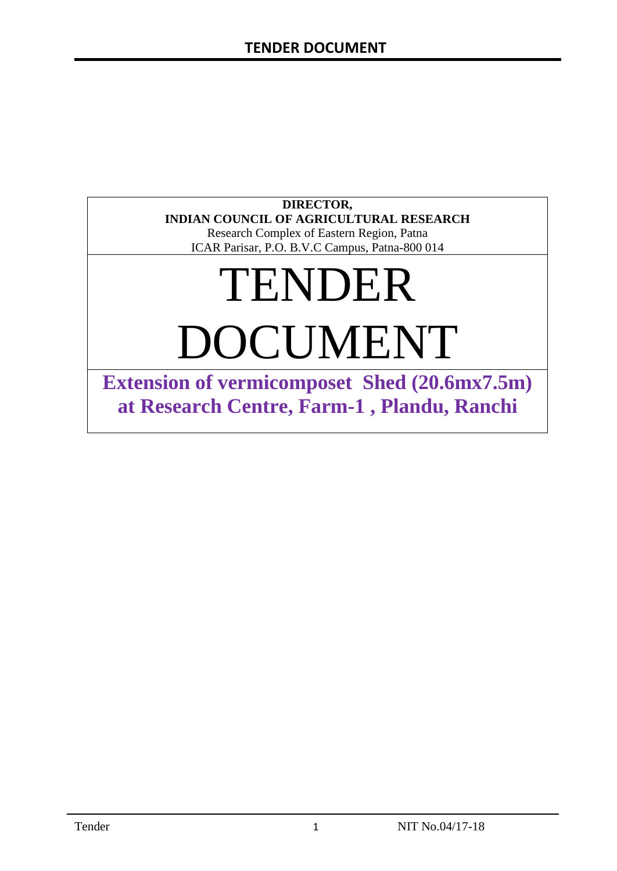## **DIRECTOR, INDIAN COUNCIL OF AGRICULTURAL RESEARCH**

Research Complex of Eastern Region, Patna ICAR Parisar, P.O. B.V.C Campus, Patna-800 014

# TENDER DOCUMENT

**Extension of vermicomposet Shed (20.6mx7.5m) at Research Centre, Farm-1 , Plandu, Ranchi**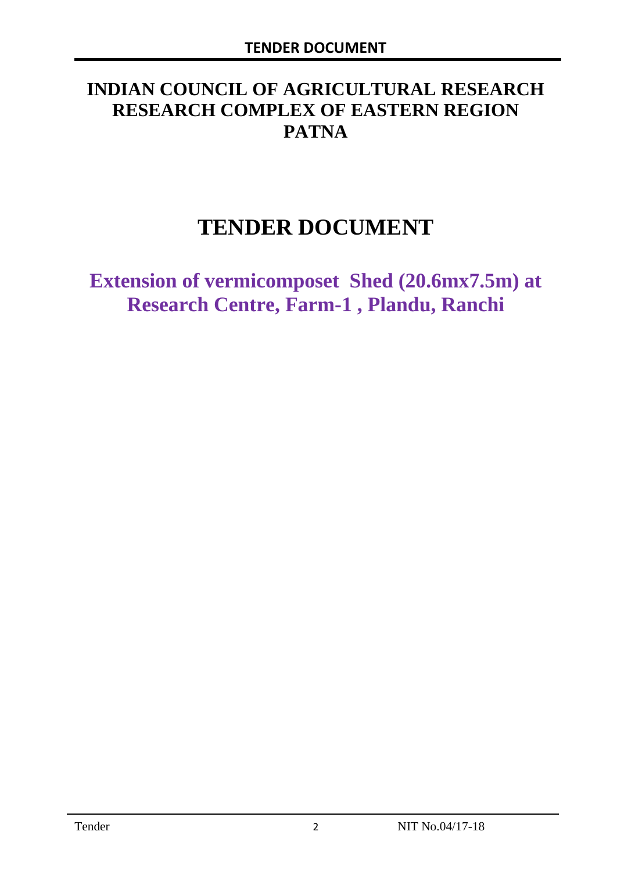# **INDIAN COUNCIL OF AGRICULTURAL RESEARCH RESEARCH COMPLEX OF EASTERN REGION PATNA**

# **TENDER DOCUMENT**

**Extension of vermicomposet Shed (20.6mx7.5m) at Research Centre, Farm-1 , Plandu, Ranchi**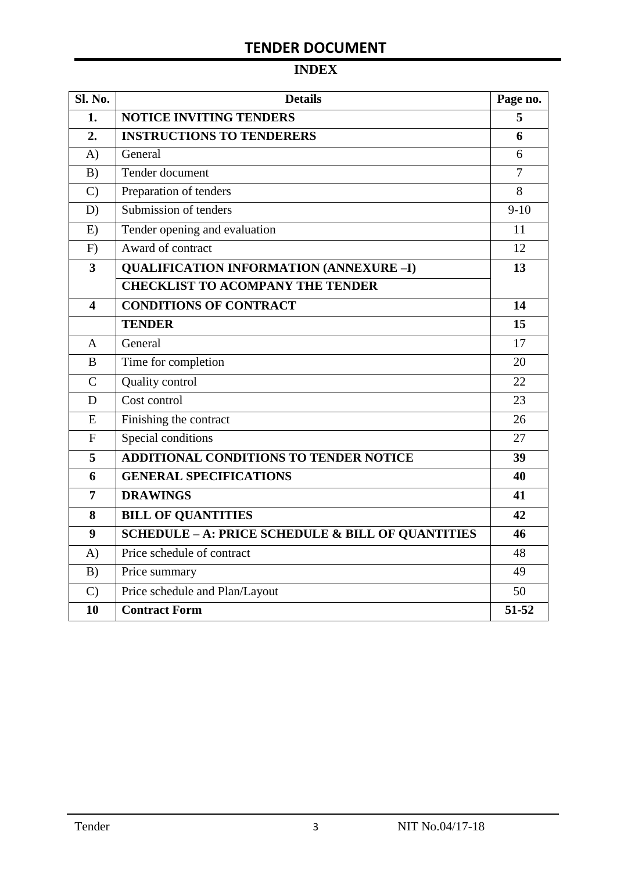# **INDEX**

| Sl. No.                 | <b>Details</b>                                               |        |  |  |
|-------------------------|--------------------------------------------------------------|--------|--|--|
| 1.                      | <b>NOTICE INVITING TENDERS</b>                               |        |  |  |
| 2.                      | <b>INSTRUCTIONS TO TENDERERS</b>                             | 6      |  |  |
| A)                      | General                                                      | 6      |  |  |
| B)                      | Tender document                                              |        |  |  |
| $\mathcal{C}$           | Preparation of tenders                                       | 8      |  |  |
| D)                      | Submission of tenders                                        | $9-10$ |  |  |
| E)                      | Tender opening and evaluation                                | 11     |  |  |
| F)                      | Award of contract                                            | 12     |  |  |
| 3                       | <b>QUALIFICATION INFORMATION (ANNEXURE-I)</b>                | 13     |  |  |
|                         | <b>CHECKLIST TO ACOMPANY THE TENDER</b>                      |        |  |  |
| $\overline{\mathbf{4}}$ | <b>CONDITIONS OF CONTRACT</b>                                | 14     |  |  |
|                         | <b>TENDER</b>                                                | 15     |  |  |
| $\overline{A}$          | General                                                      | 17     |  |  |
| B                       | Time for completion                                          | 20     |  |  |
| $\mathcal{C}$           | Quality control                                              | 22     |  |  |
| D                       | Cost control                                                 | 23     |  |  |
| E                       | Finishing the contract                                       | 26     |  |  |
| $\mathbf{F}$            | Special conditions                                           | 27     |  |  |
| 5                       | <b>ADDITIONAL CONDITIONS TO TENDER NOTICE</b>                | 39     |  |  |
| 6                       | <b>GENERAL SPECIFICATIONS</b>                                | 40     |  |  |
| 7                       | <b>DRAWINGS</b>                                              | 41     |  |  |
| 8                       | <b>BILL OF QUANTITIES</b>                                    | 42     |  |  |
| 9                       | <b>SCHEDULE - A: PRICE SCHEDULE &amp; BILL OF QUANTITIES</b> | 46     |  |  |
| A)                      | Price schedule of contract                                   | 48     |  |  |
| B)                      | Price summary                                                | 49     |  |  |
| $\mathcal{C}$           | Price schedule and Plan/Layout                               | 50     |  |  |
| 10                      | <b>Contract Form</b>                                         | 51-52  |  |  |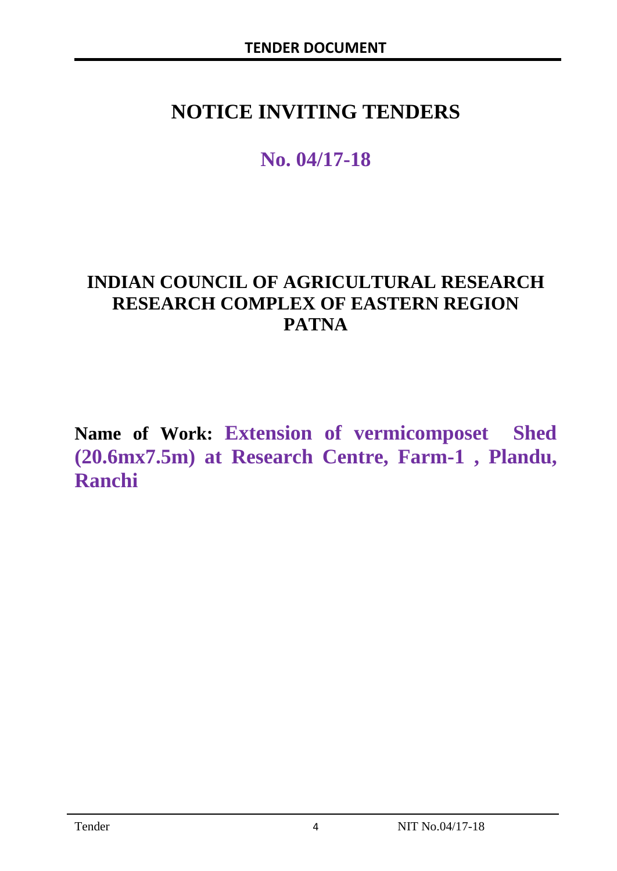# **NOTICE INVITING TENDERS**

# **No. 04/17-18**

# **INDIAN COUNCIL OF AGRICULTURAL RESEARCH RESEARCH COMPLEX OF EASTERN REGION PATNA**

**Name of Work: Extension of vermicomposet Shed (20.6mx7.5m) at Research Centre, Farm-1 , Plandu, Ranchi**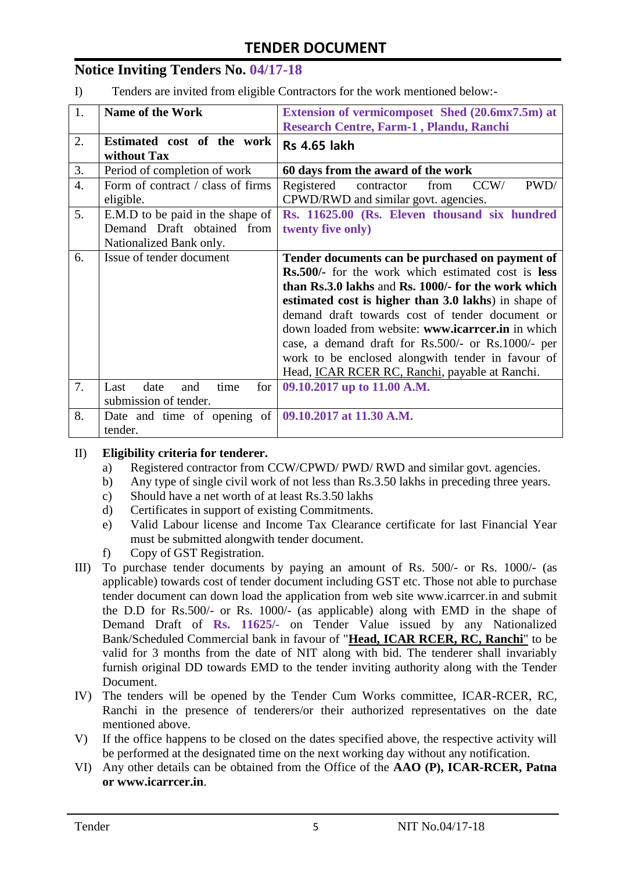## **Notice Inviting Tenders No. 04/17-18**

I) Tenders are invited from eligible Contractors for the work mentioned below:-

| 1.               | <b>Name of the Work</b>                                      | Extension of vermicomposet Shed (20.6mx7.5m) at<br>Research Centre, Farm-1, Plandu, Ranchi |
|------------------|--------------------------------------------------------------|--------------------------------------------------------------------------------------------|
| 2.               | Estimated cost of the work<br>without Tax                    | <b>Rs 4.65 lakh</b>                                                                        |
| 3.               | Period of completion of work                                 | 60 days from the award of the work                                                         |
| $\overline{4}$ . | Form of contract / class of firms<br>eligible.               | PWD/<br>CCW/<br>Registered<br>from<br>contractor<br>CPWD/RWD and similar govt. agencies.   |
| 5.               | E.M.D to be paid in the shape of                             | Rs. 11625.00 (Rs. Eleven thousand six hundred                                              |
|                  | Demand Draft obtained from                                   | twenty five only)                                                                          |
|                  | Nationalized Bank only.                                      |                                                                                            |
| 6.               | Issue of tender document                                     | Tender documents can be purchased on payment of                                            |
|                  |                                                              | <b>Rs.500/-</b> for the work which estimated cost is <b>less</b>                           |
|                  |                                                              | than Rs.3.0 lakhs and Rs. 1000/- for the work which                                        |
|                  |                                                              | estimated cost is higher than 3.0 lakhs) in shape of                                       |
|                  |                                                              | demand draft towards cost of tender document or                                            |
|                  |                                                              | down loaded from website: www.icarrcer.in in which                                         |
|                  |                                                              | case, a demand draft for Rs.500/- or Rs.1000/- per                                         |
|                  |                                                              | work to be enclosed alongwith tender in favour of                                          |
|                  |                                                              | Head, <b>ICAR RCER RC, Ranchi</b> , payable at Ranchi.                                     |
| 7.               | time<br>date<br>for<br>Last<br>and                           | 09.10.2017 up to 11.00 A.M.                                                                |
|                  | submission of tender.                                        |                                                                                            |
| 8.               | Date and time of opening of $\vert$ 09.10.2017 at 11.30 A.M. |                                                                                            |
|                  | tender.                                                      |                                                                                            |

#### II) **Eligibility criteria for tenderer.**

- a) Registered contractor from CCW/CPWD/ PWD/ RWD and similar govt. agencies.
- b) Any type of single civil work of not less than Rs.3.50 lakhs in preceding three years.
- c) Should have a net worth of at least Rs.3.50 lakhs
- d) Certificates in support of existing Commitments.
- e) Valid Labour license and Income Tax Clearance certificate for last Financial Year must be submitted alongwith tender document.
- f) Copy of GST Registration.
- III) To purchase tender documents by paying an amount of Rs. 500/- or Rs. 1000/- (as applicable) towards cost of tender document including GST etc. Those not able to purchase tender document can down load the application from web site www.icarrcer.in and submit the D.D for Rs.500/- or Rs. 1000/- (as applicable) along with EMD in the shape of Demand Draft of **Rs. 11625/-** on Tender Value issued by any Nationalized Bank/Scheduled Commercial bank in favour of "**Head, ICAR RCER, RC, Ranchi**" to be valid for 3 months from the date of NIT along with bid. The tenderer shall invariably furnish original DD towards EMD to the tender inviting authority along with the Tender Document.
- IV) The tenders will be opened by the Tender Cum Works committee, ICAR-RCER, RC, Ranchi in the presence of tenderers/or their authorized representatives on the date mentioned above.
- V) If the office happens to be closed on the dates specified above, the respective activity will be performed at the designated time on the next working day without any notification.
- VI) Any other details can be obtained from the Office of the **AAO (P), ICAR-RCER, Patna or www.icarrcer.in**.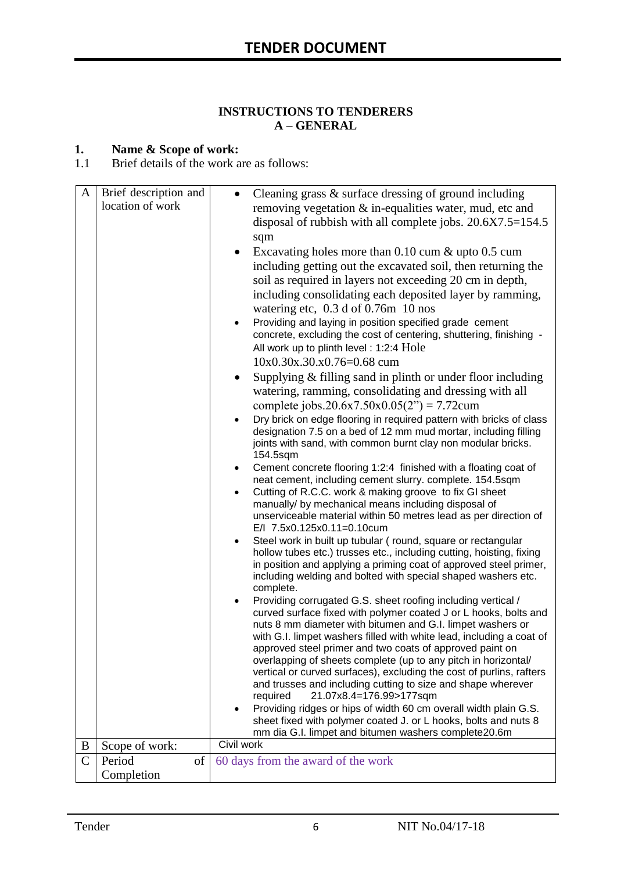#### **INSTRUCTIONS TO TENDERERS A – GENERAL**

#### **1. Name & Scope of work:**

1.1 Brief details of the work are as follows:

|               | location of work           | removing vegetation $\&$ in-equalities water, mud, etc and<br>disposal of rubbish with all complete jobs. $20.6X7.5=154.5$                                                                                                                                                                                                                                                                                                                                                                                                                                                                                                                                                                                                                                                                                                                                                                                                                                                                                                                                                                                                                                                                                                                                                                                                                                              |
|---------------|----------------------------|-------------------------------------------------------------------------------------------------------------------------------------------------------------------------------------------------------------------------------------------------------------------------------------------------------------------------------------------------------------------------------------------------------------------------------------------------------------------------------------------------------------------------------------------------------------------------------------------------------------------------------------------------------------------------------------------------------------------------------------------------------------------------------------------------------------------------------------------------------------------------------------------------------------------------------------------------------------------------------------------------------------------------------------------------------------------------------------------------------------------------------------------------------------------------------------------------------------------------------------------------------------------------------------------------------------------------------------------------------------------------|
| A             | Brief description and      | Cleaning grass & surface dressing of ground including<br>sqm<br>Excavating holes more than $0.10$ cum $\&$ upto $0.5$ cum<br>including getting out the excavated soil, then returning the<br>soil as required in layers not exceeding 20 cm in depth,<br>including consolidating each deposited layer by ramming,<br>watering etc, $0.3 d$ of 0.76m 10 nos<br>Providing and laying in position specified grade cement<br>$\bullet$<br>concrete, excluding the cost of centering, shuttering, finishing -<br>All work up to plinth level: 1:2:4 Hole<br>10x0.30x.30.x0.76=0.68 cum<br>Supplying & filling sand in plinth or under floor including<br>$\bullet$<br>watering, ramming, consolidating and dressing with all<br>complete jobs.20.6x7.50x0.05(2") = 7.72cum<br>Dry brick on edge flooring in required pattern with bricks of class<br>designation 7.5 on a bed of 12 mm mud mortar, including filling<br>joints with sand, with common burnt clay non modular bricks.<br>154.5sqm<br>Cement concrete flooring 1:2:4 finished with a floating coat of<br>$\bullet$<br>neat cement, including cement slurry. complete. 154.5sqm<br>Cutting of R.C.C. work & making groove to fix GI sheet<br>$\bullet$<br>manually/ by mechanical means including disposal of<br>unserviceable material within 50 metres lead as per direction of<br>E/I 7.5x0.125x0.11=0.10cum |
|               |                            | Steel work in built up tubular (round, square or rectangular<br>$\bullet$<br>hollow tubes etc.) trusses etc., including cutting, hoisting, fixing<br>in position and applying a priming coat of approved steel primer,<br>including welding and bolted with special shaped washers etc.                                                                                                                                                                                                                                                                                                                                                                                                                                                                                                                                                                                                                                                                                                                                                                                                                                                                                                                                                                                                                                                                                 |
|               |                            | complete.                                                                                                                                                                                                                                                                                                                                                                                                                                                                                                                                                                                                                                                                                                                                                                                                                                                                                                                                                                                                                                                                                                                                                                                                                                                                                                                                                               |
|               |                            | Providing corrugated G.S. sheet roofing including vertical /<br>$\bullet$<br>curved surface fixed with polymer coated J or L hooks, bolts and<br>nuts 8 mm diameter with bitumen and G.I. limpet washers or<br>with G.I. limpet washers filled with white lead, including a coat of<br>approved steel primer and two coats of approved paint on<br>overlapping of sheets complete (up to any pitch in horizontal/<br>vertical or curved surfaces), excluding the cost of purlins, rafters<br>and trusses and including cutting to size and shape wherever<br>21.07x8.4=176.99>177sqm<br>required                                                                                                                                                                                                                                                                                                                                                                                                                                                                                                                                                                                                                                                                                                                                                                        |
|               |                            | Providing ridges or hips of width 60 cm overall width plain G.S.<br>$\bullet$<br>sheet fixed with polymer coated J. or L hooks, bolts and nuts 8                                                                                                                                                                                                                                                                                                                                                                                                                                                                                                                                                                                                                                                                                                                                                                                                                                                                                                                                                                                                                                                                                                                                                                                                                        |
|               |                            | mm dia G.I. limpet and bitumen washers complete20.6m                                                                                                                                                                                                                                                                                                                                                                                                                                                                                                                                                                                                                                                                                                                                                                                                                                                                                                                                                                                                                                                                                                                                                                                                                                                                                                                    |
| B             | Scope of work:             | Civil work                                                                                                                                                                                                                                                                                                                                                                                                                                                                                                                                                                                                                                                                                                                                                                                                                                                                                                                                                                                                                                                                                                                                                                                                                                                                                                                                                              |
| $\mathcal{C}$ | of<br>Period<br>Completion | 60 days from the award of the work                                                                                                                                                                                                                                                                                                                                                                                                                                                                                                                                                                                                                                                                                                                                                                                                                                                                                                                                                                                                                                                                                                                                                                                                                                                                                                                                      |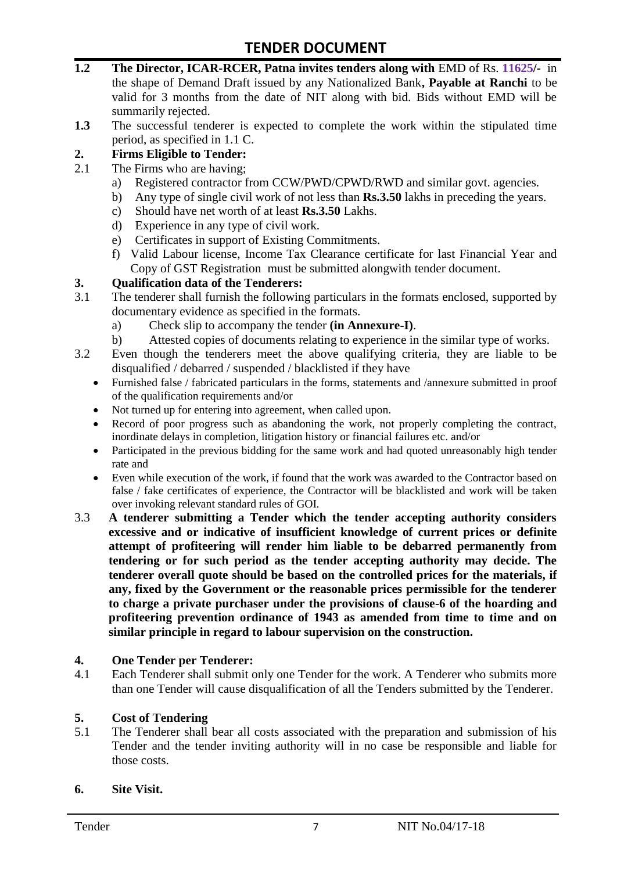- **1.2 The Director, ICAR-RCER, Patna invites tenders along with** EMD of Rs. **11625/-** in the shape of Demand Draft issued by any Nationalized Bank**, Payable at Ranchi** to be valid for 3 months from the date of NIT along with bid. Bids without EMD will be summarily rejected.
- **1.3** The successful tenderer is expected to complete the work within the stipulated time period, as specified in 1.1 C.

#### **2. Firms Eligible to Tender:**

- 2.1 The Firms who are having;
	- a) Registered contractor from CCW/PWD/CPWD/RWD and similar govt. agencies.
	- b) Any type of single civil work of not less than **Rs.3.50** lakhs in preceding the years.
	- c) Should have net worth of at least **Rs.3.50** Lakhs.
	- d) Experience in any type of civil work.
	- e) Certificates in support of Existing Commitments.
	- f) Valid Labour license, Income Tax Clearance certificate for last Financial Year and Copy of GST Registration must be submitted alongwith tender document.

#### **3. Qualification data of the Tenderers:**

- 3.1 The tenderer shall furnish the following particulars in the formats enclosed, supported by documentary evidence as specified in the formats.
	- a) Check slip to accompany the tender **(in Annexure-I)**.
	- b) Attested copies of documents relating to experience in the similar type of works.
- 3.2 Even though the tenderers meet the above qualifying criteria, they are liable to be disqualified / debarred / suspended / blacklisted if they have
	- Furnished false / fabricated particulars in the forms, statements and /annexure submitted in proof of the qualification requirements and/or
	- Not turned up for entering into agreement, when called upon.
	- Record of poor progress such as abandoning the work, not properly completing the contract, inordinate delays in completion, litigation history or financial failures etc. and/or
	- Participated in the previous bidding for the same work and had quoted unreasonably high tender rate and
	- Even while execution of the work, if found that the work was awarded to the Contractor based on false / fake certificates of experience, the Contractor will be blacklisted and work will be taken over invoking relevant standard rules of GOI.
- 3.3 **A tenderer submitting a Tender which the tender accepting authority considers excessive and or indicative of insufficient knowledge of current prices or definite attempt of profiteering will render him liable to be debarred permanently from tendering or for such period as the tender accepting authority may decide. The tenderer overall quote should be based on the controlled prices for the materials, if any, fixed by the Government or the reasonable prices permissible for the tenderer to charge a private purchaser under the provisions of clause-6 of the hoarding and profiteering prevention ordinance of 1943 as amended from time to time and on similar principle in regard to labour supervision on the construction.**

#### **4. One Tender per Tenderer:**

4.1 Each Tenderer shall submit only one Tender for the work. A Tenderer who submits more than one Tender will cause disqualification of all the Tenders submitted by the Tenderer.

#### **5. Cost of Tendering**

5.1 The Tenderer shall bear all costs associated with the preparation and submission of his Tender and the tender inviting authority will in no case be responsible and liable for those costs.

#### **6. Site Visit.**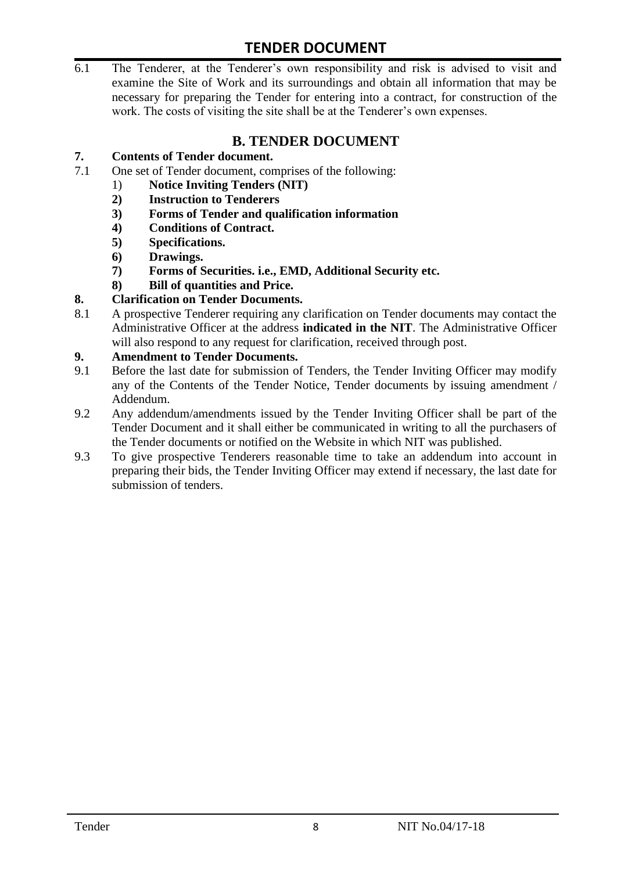6.1 The Tenderer, at the Tenderer's own responsibility and risk is advised to visit and examine the Site of Work and its surroundings and obtain all information that may be necessary for preparing the Tender for entering into a contract, for construction of the work. The costs of visiting the site shall be at the Tenderer's own expenses.

# **B. TENDER DOCUMENT**

#### **7. Contents of Tender document.**

- 7.1 One set of Tender document, comprises of the following:
	- 1) **Notice Inviting Tenders (NIT)**
	- **2) Instruction to Tenderers**
	- **3) Forms of Tender and qualification information**
	- **4) Conditions of Contract.**
	- **5) Specifications.**
	- **6) Drawings.**
	- **7) Forms of Securities. i.e., EMD, Additional Security etc.**
	- **8) Bill of quantities and Price.**

#### **8. Clarification on Tender Documents.**

8.1 A prospective Tenderer requiring any clarification on Tender documents may contact the Administrative Officer at the address **indicated in the NIT**. The Administrative Officer will also respond to any request for clarification, received through post.

#### **9. Amendment to Tender Documents.**

- 9.1 Before the last date for submission of Tenders, the Tender Inviting Officer may modify any of the Contents of the Tender Notice, Tender documents by issuing amendment / Addendum.
- 9.2 Any addendum/amendments issued by the Tender Inviting Officer shall be part of the Tender Document and it shall either be communicated in writing to all the purchasers of the Tender documents or notified on the Website in which NIT was published.
- 9.3 To give prospective Tenderers reasonable time to take an addendum into account in preparing their bids, the Tender Inviting Officer may extend if necessary, the last date for submission of tenders.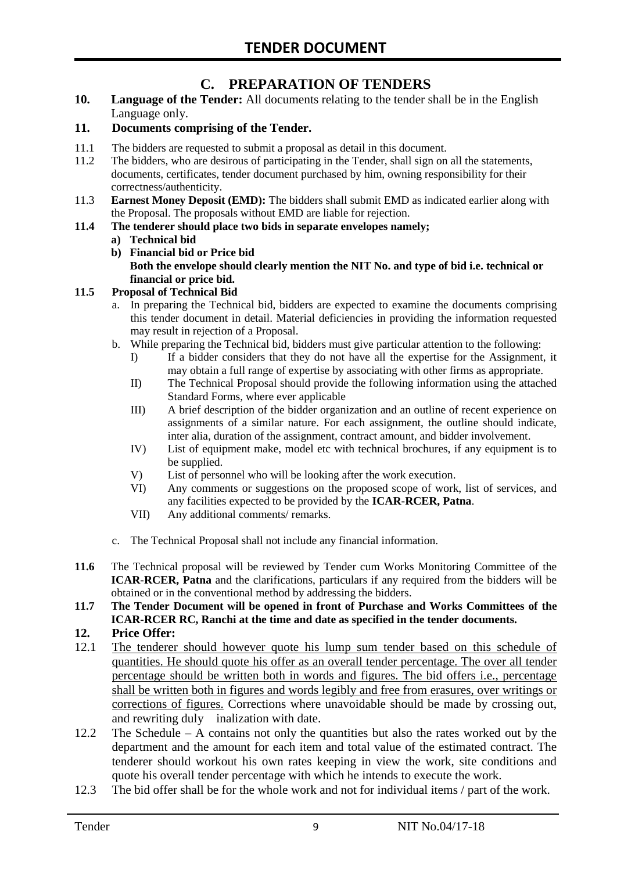# **C. PREPARATION OF TENDERS**

**10. Language of the Tender:** All documents relating to the tender shall be in the English Language only.

#### **11. Documents comprising of the Tender.**

- 11.1 The bidders are requested to submit a proposal as detail in this document.
- 11.2 The bidders, who are desirous of participating in the Tender, shall sign on all the statements, documents, certificates, tender document purchased by him, owning responsibility for their correctness/authenticity.
- 11.3 **Earnest Money Deposit (EMD):** The bidders shall submit EMD as indicated earlier along with the Proposal. The proposals without EMD are liable for rejection.

#### **11.4 The tenderer should place two bids in separate envelopes namely;**

#### **a) Technical bid**

**b) Financial bid or Price bid Both the envelope should clearly mention the NIT No. and type of bid i.e. technical or financial or price bid.**

#### **11.5 Proposal of Technical Bid**

- a. In preparing the Technical bid, bidders are expected to examine the documents comprising this tender document in detail. Material deficiencies in providing the information requested may result in rejection of a Proposal.
- b. While preparing the Technical bid, bidders must give particular attention to the following:
	- I) If a bidder considers that they do not have all the expertise for the Assignment, it may obtain a full range of expertise by associating with other firms as appropriate.
	- II) The Technical Proposal should provide the following information using the attached Standard Forms, where ever applicable
	- III) A brief description of the bidder organization and an outline of recent experience on assignments of a similar nature. For each assignment, the outline should indicate, inter alia, duration of the assignment, contract amount, and bidder involvement.
	- IV) List of equipment make, model etc with technical brochures, if any equipment is to be supplied.
	- V) List of personnel who will be looking after the work execution.
	- VI) Any comments or suggestions on the proposed scope of work, list of services, and any facilities expected to be provided by the **ICAR-RCER, Patna**.
	- VII) Any additional comments/ remarks.
- c. The Technical Proposal shall not include any financial information.
- **11.6** The Technical proposal will be reviewed by Tender cum Works Monitoring Committee of the **ICAR-RCER, Patna** and the clarifications, particulars if any required from the bidders will be obtained or in the conventional method by addressing the bidders.
- **11.7 The Tender Document will be opened in front of Purchase and Works Committees of the ICAR-RCER RC, Ranchi at the time and date as specified in the tender documents.**

#### **12. Price Offer:**

- 12.1 The tenderer should however quote his lump sum tender based on this schedule of quantities. He should quote his offer as an overall tender percentage. The over all tender percentage should be written both in words and figures. The bid offers i.e., percentage shall be written both in figures and words legibly and free from erasures, over writings or corrections of figures. Corrections where unavoidable should be made by crossing out, and rewriting duly inalization with date.
- 12.2 The Schedule A contains not only the quantities but also the rates worked out by the department and the amount for each item and total value of the estimated contract. The tenderer should workout his own rates keeping in view the work, site conditions and quote his overall tender percentage with which he intends to execute the work.
- 12.3 The bid offer shall be for the whole work and not for individual items / part of the work.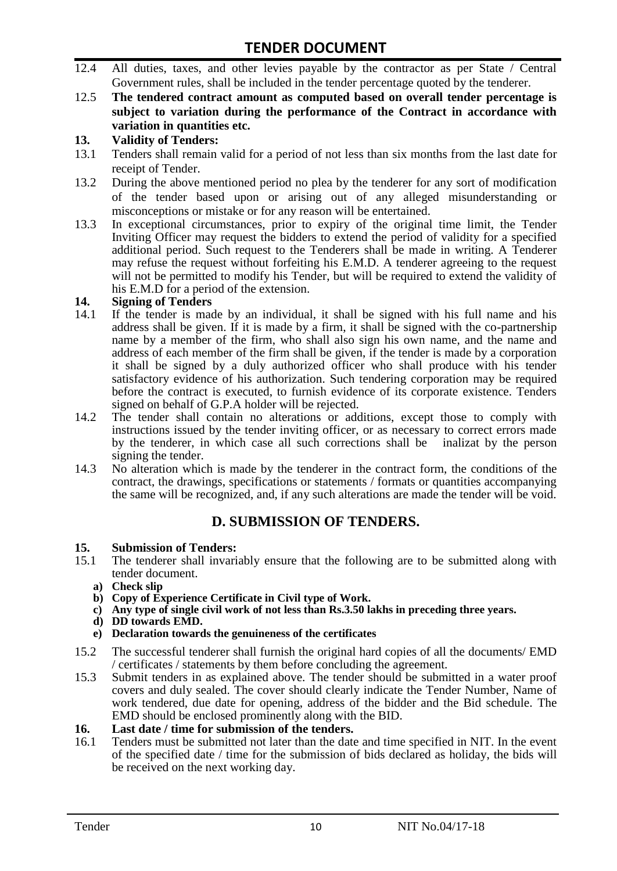- 12.4 All duties, taxes, and other levies payable by the contractor as per State / Central Government rules, shall be included in the tender percentage quoted by the tenderer.
- 12.5 **The tendered contract amount as computed based on overall tender percentage is subject to variation during the performance of the Contract in accordance with variation in quantities etc.**

#### **13. Validity of Tenders:**

- 13.1 Tenders shall remain valid for a period of not less than six months from the last date for receipt of Tender.
- 13.2 During the above mentioned period no plea by the tenderer for any sort of modification of the tender based upon or arising out of any alleged misunderstanding or misconceptions or mistake or for any reason will be entertained.
- 13.3 In exceptional circumstances, prior to expiry of the original time limit, the Tender Inviting Officer may request the bidders to extend the period of validity for a specified additional period. Such request to the Tenderers shall be made in writing. A Tenderer may refuse the request without forfeiting his E.M.D. A tenderer agreeing to the request will not be permitted to modify his Tender, but will be required to extend the validity of his E.M.D for a period of the extension.

#### **14. Signing of Tenders**

- 14.1 If the tender is made by an individual, it shall be signed with his full name and his address shall be given. If it is made by a firm, it shall be signed with the co-partnership name by a member of the firm, who shall also sign his own name, and the name and address of each member of the firm shall be given, if the tender is made by a corporation it shall be signed by a duly authorized officer who shall produce with his tender satisfactory evidence of his authorization. Such tendering corporation may be required before the contract is executed, to furnish evidence of its corporate existence. Tenders signed on behalf of G.P.A holder will be rejected.
- 14.2 The tender shall contain no alterations or additions, except those to comply with instructions issued by the tender inviting officer, or as necessary to correct errors made by the tenderer, in which case all such corrections shall be inalizat by the person signing the tender.
- 14.3 No alteration which is made by the tenderer in the contract form, the conditions of the contract, the drawings, specifications or statements / formats or quantities accompanying the same will be recognized, and, if any such alterations are made the tender will be void.

# **D. SUBMISSION OF TENDERS.**

# **15. Submission of Tenders:**

- 15.1 The tenderer shall invariably ensure that the following are to be submitted along with tender document.
	- **a) Check slip**
	- **b) Copy of Experience Certificate in Civil type of Work.**
	- **c) Any type of single civil work of not less than Rs.3.50 lakhs in preceding three years.**
	- **d) DD towards EMD.**
	- **e) Declaration towards the genuineness of the certificates**
- 15.2 The successful tenderer shall furnish the original hard copies of all the documents/ EMD / certificates / statements by them before concluding the agreement.
- 15.3 Submit tenders in as explained above. The tender should be submitted in a water proof covers and duly sealed. The cover should clearly indicate the Tender Number, Name of work tendered, due date for opening, address of the bidder and the Bid schedule. The EMD should be enclosed prominently along with the BID.

# **16. Last date / time for submission of the tenders.**<br>**16.1** Tenders must be submitted not later than the date

16.1 Tenders must be submitted not later than the date and time specified in NIT. In the event of the specified date / time for the submission of bids declared as holiday, the bids will be received on the next working day.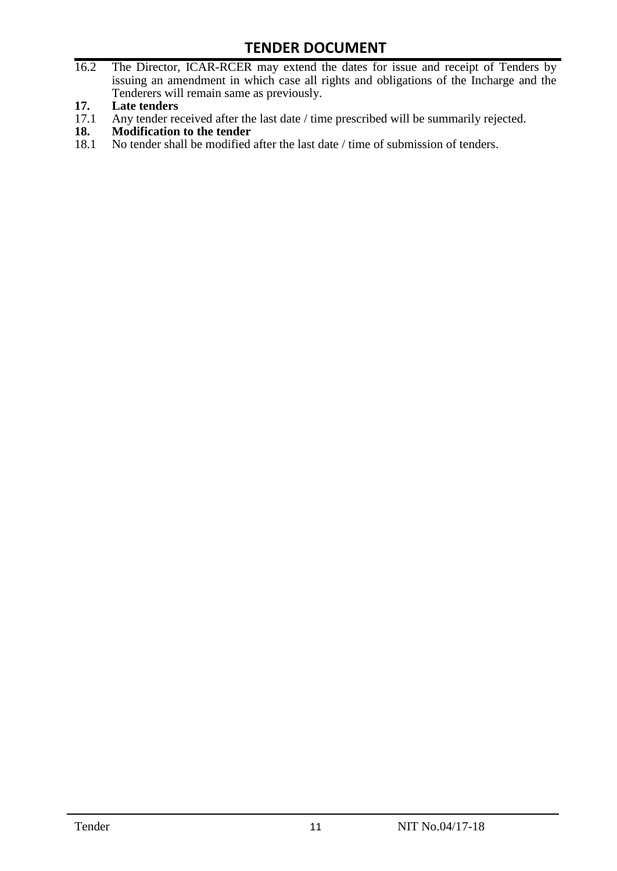- 16.2 The Director, ICAR-RCER may extend the dates for issue and receipt of Tenders by issuing an amendment in which case all rights and obligations of the Incharge and the Tenderers will remain same as previously.
- **17. Late tenders**
- 17.1 Any tender received after the last date / time prescribed will be summarily rejected.<br>18. Modification to the tender
- **18. Modification to the tender**<br>18.1 No tender shall be modified
- No tender shall be modified after the last date / time of submission of tenders.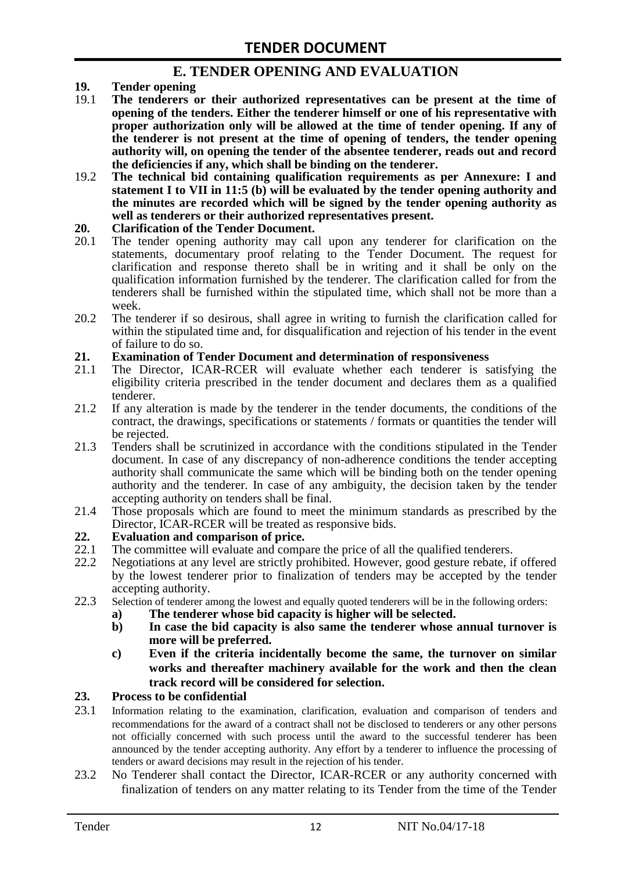### **E. TENDER OPENING AND EVALUATION**

- **19. Tender opening**
- 19.1 **The tenderers or their authorized representatives can be present at the time of opening of the tenders. Either the tenderer himself or one of his representative with proper authorization only will be allowed at the time of tender opening. If any of the tenderer is not present at the time of opening of tenders, the tender opening authority will, on opening the tender of the absentee tenderer, reads out and record the deficiencies if any, which shall be binding on the tenderer.**
- 19.2 **The technical bid containing qualification requirements as per Annexure: I and statement I to VII in 11:5 (b) will be evaluated by the tender opening authority and the minutes are recorded which will be signed by the tender opening authority as well as tenderers or their authorized representatives present.**

#### **20. Clarification of the Tender Document.**

- 20.1 The tender opening authority may call upon any tenderer for clarification on the statements, documentary proof relating to the Tender Document. The request for clarification and response thereto shall be in writing and it shall be only on the qualification information furnished by the tenderer. The clarification called for from the tenderers shall be furnished within the stipulated time, which shall not be more than a week.
- 20.2 The tenderer if so desirous, shall agree in writing to furnish the clarification called for within the stipulated time and, for disqualification and rejection of his tender in the event of failure to do so.

# **21. Examination of Tender Document and determination of responsiveness**

- 21.1 The Director, ICAR-RCER will evaluate whether each tenderer is satisfying the eligibility criteria prescribed in the tender document and declares them as a qualified tenderer.
- 21.2 If any alteration is made by the tenderer in the tender documents, the conditions of the contract, the drawings, specifications or statements / formats or quantities the tender will be rejected.
- 21.3 Tenders shall be scrutinized in accordance with the conditions stipulated in the Tender document. In case of any discrepancy of non-adherence conditions the tender accepting authority shall communicate the same which will be binding both on the tender opening authority and the tenderer. In case of any ambiguity, the decision taken by the tender accepting authority on tenders shall be final.
- 21.4 Those proposals which are found to meet the minimum standards as prescribed by the Director, ICAR-RCER will be treated as responsive bids.

# **22. Evaluation and comparison of price.**

- The committee will evaluate and compare the price of all the qualified tenderers.
- 22.2 Negotiations at any level are strictly prohibited. However, good gesture rebate, if offered by the lowest tenderer prior to finalization of tenders may be accepted by the tender accepting authority.
- 22.3 Selection of tenderer among the lowest and equally quoted tenderers will be in the following orders:
	- **a) The tenderer whose bid capacity is higher will be selected.**
	- **b) In case the bid capacity is also same the tenderer whose annual turnover is more will be preferred.**
	- **c) Even if the criteria incidentally become the same, the turnover on similar works and thereafter machinery available for the work and then the clean track record will be considered for selection.**

#### **23. Process to be confidential**

- 23.1 Information relating to the examination, clarification, evaluation and comparison of tenders and recommendations for the award of a contract shall not be disclosed to tenderers or any other persons not officially concerned with such process until the award to the successful tenderer has been announced by the tender accepting authority. Any effort by a tenderer to influence the processing of tenders or award decisions may result in the rejection of his tender.
- 23.2 No Tenderer shall contact the Director, ICAR-RCER or any authority concerned with finalization of tenders on any matter relating to its Tender from the time of the Tender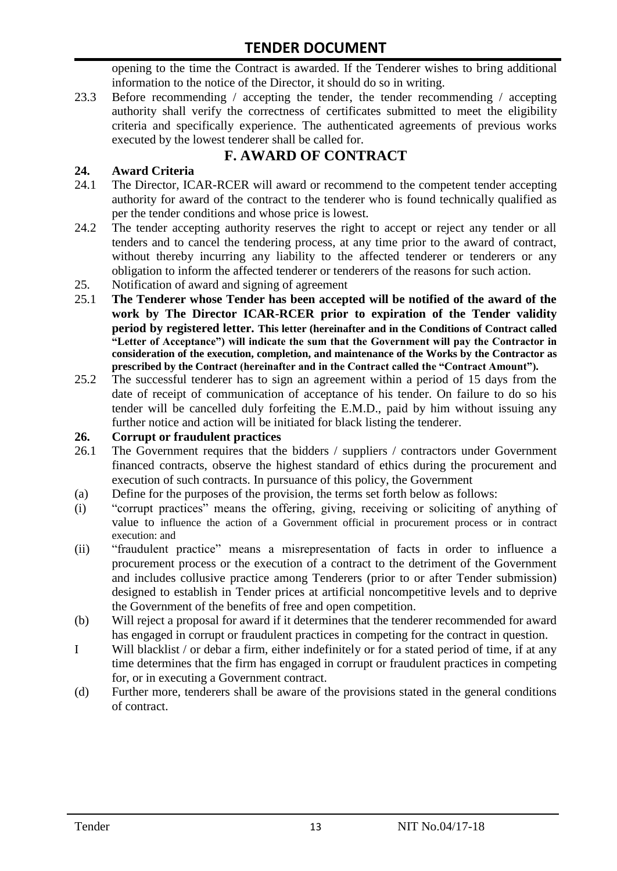opening to the time the Contract is awarded. If the Tenderer wishes to bring additional information to the notice of the Director, it should do so in writing.

23.3 Before recommending / accepting the tender, the tender recommending / accepting authority shall verify the correctness of certificates submitted to meet the eligibility criteria and specifically experience. The authenticated agreements of previous works executed by the lowest tenderer shall be called for.

# **F. AWARD OF CONTRACT**

#### **24. Award Criteria**

- 24.1 The Director, ICAR-RCER will award or recommend to the competent tender accepting authority for award of the contract to the tenderer who is found technically qualified as per the tender conditions and whose price is lowest.
- 24.2 The tender accepting authority reserves the right to accept or reject any tender or all tenders and to cancel the tendering process, at any time prior to the award of contract, without thereby incurring any liability to the affected tenderer or tenderers or any obligation to inform the affected tenderer or tenderers of the reasons for such action.
- 25. Notification of award and signing of agreement
- 25.1 **The Tenderer whose Tender has been accepted will be notified of the award of the work by The Director ICAR-RCER prior to expiration of the Tender validity period by registered letter. This letter (hereinafter and in the Conditions of Contract called "Letter of Acceptance") will indicate the sum that the Government will pay the Contractor in consideration of the execution, completion, and maintenance of the Works by the Contractor as prescribed by the Contract (hereinafter and in the Contract called the "Contract Amount").**
- 25.2 The successful tenderer has to sign an agreement within a period of 15 days from the date of receipt of communication of acceptance of his tender. On failure to do so his tender will be cancelled duly forfeiting the E.M.D., paid by him without issuing any further notice and action will be initiated for black listing the tenderer.

#### **26. Corrupt or fraudulent practices**

- 26.1 The Government requires that the bidders / suppliers / contractors under Government financed contracts, observe the highest standard of ethics during the procurement and execution of such contracts. In pursuance of this policy, the Government
- (a) Define for the purposes of the provision, the terms set forth below as follows:
- (i) "corrupt practices" means the offering, giving, receiving or soliciting of anything of value to influence the action of a Government official in procurement process or in contract execution: and
- (ii) "fraudulent practice" means a misrepresentation of facts in order to influence a procurement process or the execution of a contract to the detriment of the Government and includes collusive practice among Tenderers (prior to or after Tender submission) designed to establish in Tender prices at artificial noncompetitive levels and to deprive the Government of the benefits of free and open competition.
- (b) Will reject a proposal for award if it determines that the tenderer recommended for award has engaged in corrupt or fraudulent practices in competing for the contract in question.
- I Will blacklist / or debar a firm, either indefinitely or for a stated period of time, if at any time determines that the firm has engaged in corrupt or fraudulent practices in competing for, or in executing a Government contract.
- (d) Further more, tenderers shall be aware of the provisions stated in the general conditions of contract.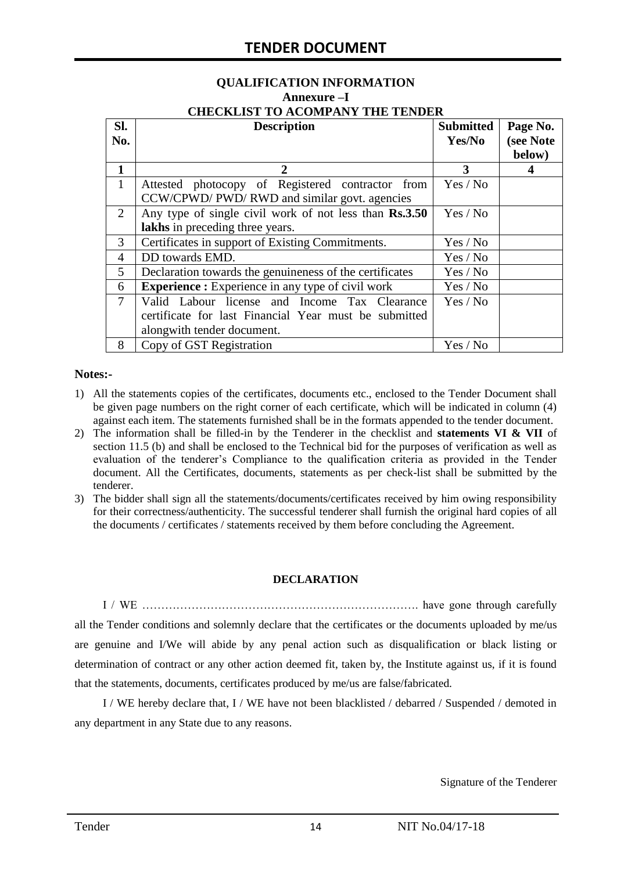#### **QUALIFICATION INFORMATION Annexure –I CHECKLIST TO ACOMPANY THE TENDER**

| Sl.            | <b>Description</b>                                       | <b>Submitted</b> | Page No.  |
|----------------|----------------------------------------------------------|------------------|-----------|
| No.            |                                                          | Yes/No           | (see Note |
|                |                                                          |                  | below)    |
| 1              | 2                                                        | 3                |           |
| $\mathbf{1}$   | Attested photocopy of Registered contractor from         | Yes / No         |           |
|                | CCW/CPWD/ PWD/ RWD and similar govt. agencies            |                  |           |
| 2              | Any type of single civil work of not less than Rs.3.50   | Yes / No         |           |
|                | lakhs in preceding three years.                          |                  |           |
| 3              | Certificates in support of Existing Commitments.         | Yes / No         |           |
| 4              | DD towards EMD.                                          | Yes / No         |           |
| 5              | Declaration towards the genuineness of the certificates  | Yes / No         |           |
| 6              | <b>Experience :</b> Experience in any type of civil work | Yes / No         |           |
| $\overline{7}$ | Valid Labour license and Income Tax Clearance            | Yes / No         |           |
|                | certificate for last Financial Year must be submitted    |                  |           |
|                | alongwith tender document.                               |                  |           |
| 8              | Copy of GST Registration                                 | Yes / No         |           |

#### **Notes:-**

- 1) All the statements copies of the certificates, documents etc., enclosed to the Tender Document shall be given page numbers on the right corner of each certificate, which will be indicated in column (4) against each item. The statements furnished shall be in the formats appended to the tender document.
- 2) The information shall be filled-in by the Tenderer in the checklist and **statements VI & VII** of section 11.5 (b) and shall be enclosed to the Technical bid for the purposes of verification as well as evaluation of the tenderer's Compliance to the qualification criteria as provided in the Tender document. All the Certificates, documents, statements as per check-list shall be submitted by the tenderer.
- 3) The bidder shall sign all the statements/documents/certificates received by him owing responsibility for their correctness/authenticity. The successful tenderer shall furnish the original hard copies of all the documents / certificates / statements received by them before concluding the Agreement.

#### **DECLARATION**

I / WE ………………………………………………………………. have gone through carefully all the Tender conditions and solemnly declare that the certificates or the documents uploaded by me/us are genuine and I/We will abide by any penal action such as disqualification or black listing or determination of contract or any other action deemed fit, taken by, the Institute against us, if it is found that the statements, documents, certificates produced by me/us are false/fabricated.

I / WE hereby declare that, I / WE have not been blacklisted / debarred / Suspended / demoted in any department in any State due to any reasons.

Signature of the Tenderer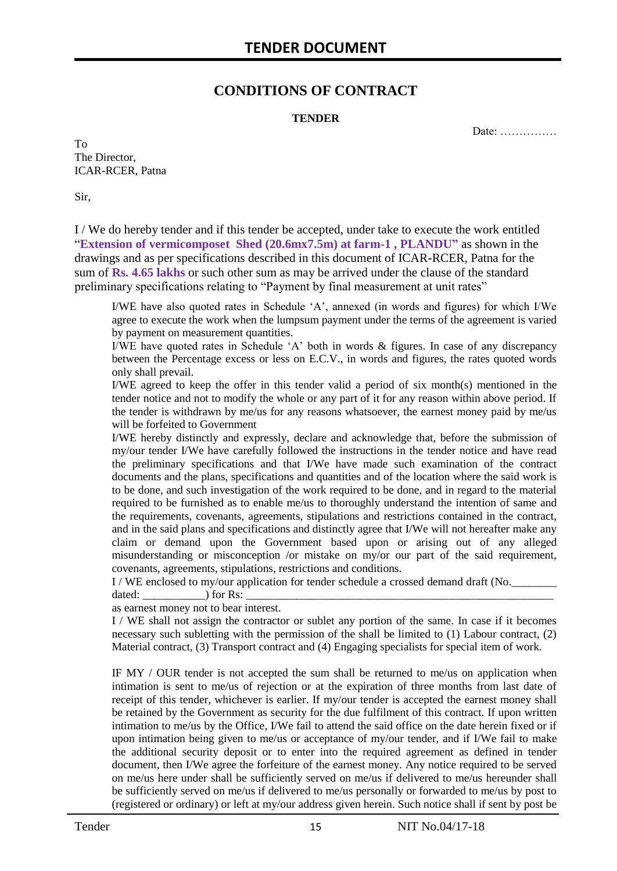## **CONDITIONS OF CONTRACT**

#### **TENDER**

Date: ……………

To The Director, ICAR-RCER, Patna

Sir,

I / We do hereby tender and if this tender be accepted, under take to execute the work entitled "**Extension of vermicomposet Shed (20.6mx7.5m) at farm-1 , PLANDU"** as shown in the drawings and as per specifications described in this document of ICAR-RCER, Patna for the sum of **Rs. 4.65 lakhs** or such other sum as may be arrived under the clause of the standard preliminary specifications relating to "Payment by final measurement at unit rates"

I/WE have also quoted rates in Schedule 'A', annexed (in words and figures) for which I/We agree to execute the work when the lumpsum payment under the terms of the agreement is varied by payment on measurement quantities.

I/WE have quoted rates in Schedule 'A' both in words & figures. In case of any discrepancy between the Percentage excess or less on E.C.V., in words and figures, the rates quoted words only shall prevail.

I/WE agreed to keep the offer in this tender valid a period of six month(s) mentioned in the tender notice and not to modify the whole or any part of it for any reason within above period. If the tender is withdrawn by me/us for any reasons whatsoever, the earnest money paid by me/us will be forfeited to Government

I/WE hereby distinctly and expressly, declare and acknowledge that, before the submission of my/our tender I/We have carefully followed the instructions in the tender notice and have read the preliminary specifications and that I/We have made such examination of the contract documents and the plans, specifications and quantities and of the location where the said work is to be done, and such investigation of the work required to be done, and in regard to the material required to be furnished as to enable me/us to thoroughly understand the intention of same and the requirements, covenants, agreements, stipulations and restrictions contained in the contract, and in the said plans and specifications and distinctly agree that I/We will not hereafter make any claim or demand upon the Government based upon or arising out of any alleged misunderstanding or misconception /or mistake on my/or our part of the said requirement, covenants, agreements, stipulations, restrictions and conditions.

I / WE enclosed to my/our application for tender schedule a crossed demand draft (No.

dated: \_\_\_\_\_\_\_\_\_\_\_) for Rs: \_\_\_\_\_\_\_\_\_\_\_\_\_\_\_\_\_\_\_\_\_\_\_\_\_\_\_\_\_\_\_\_\_\_\_\_\_\_\_\_\_\_\_\_\_\_\_\_\_\_\_\_\_\_ as earnest money not to bear interest.

I / WE shall not assign the contractor or sublet any portion of the same. In case if it becomes necessary such subletting with the permission of the shall be limited to (1) Labour contract, (2) Material contract, (3) Transport contract and (4) Engaging specialists for special item of work.

IF MY / OUR tender is not accepted the sum shall be returned to me/us on application when intimation is sent to me/us of rejection or at the expiration of three months from last date of receipt of this tender, whichever is earlier. If my/our tender is accepted the earnest money shall be retained by the Government as security for the due fulfilment of this contract. If upon written intimation to me/us by the Office, I/We fail to attend the said office on the date herein fixed or if upon intimation being given to me/us or acceptance of my/our tender, and if I/We fail to make the additional security deposit or to enter into the required agreement as defined in tender document, then I/We agree the forfeiture of the earnest money. Any notice required to be served on me/us here under shall be sufficiently served on me/us if delivered to me/us hereunder shall be sufficiently served on me/us if delivered to me/us personally or forwarded to me/us by post to (registered or ordinary) or left at my/our address given herein. Such notice shall if sent by post be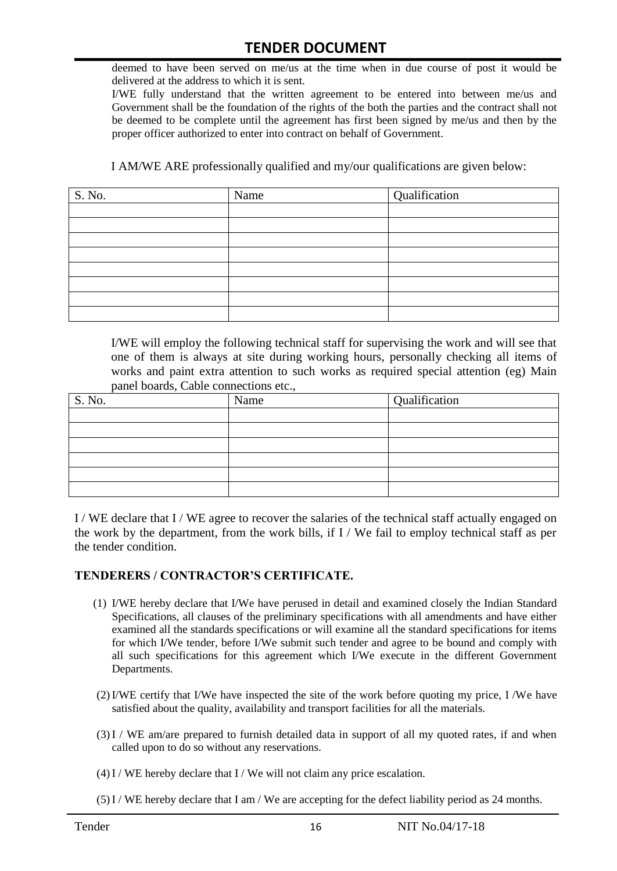deemed to have been served on me/us at the time when in due course of post it would be delivered at the address to which it is sent.

I/WE fully understand that the written agreement to be entered into between me/us and Government shall be the foundation of the rights of the both the parties and the contract shall not be deemed to be complete until the agreement has first been signed by me/us and then by the proper officer authorized to enter into contract on behalf of Government.

I AM/WE ARE professionally qualified and my/our qualifications are given below:

| S. No. | Name | Qualification |
|--------|------|---------------|
|        |      |               |
|        |      |               |
|        |      |               |
|        |      |               |
|        |      |               |
|        |      |               |
|        |      |               |
|        |      |               |

I/WE will employ the following technical staff for supervising the work and will see that one of them is always at site during working hours, personally checking all items of works and paint extra attention to such works as required special attention (eg) Main panel boards, Cable connections etc.,

| S. No. | Name | Qualification |
|--------|------|---------------|
|        |      |               |
|        |      |               |
|        |      |               |
|        |      |               |
|        |      |               |
|        |      |               |

I / WE declare that I / WE agree to recover the salaries of the technical staff actually engaged on the work by the department, from the work bills, if I / We fail to employ technical staff as per the tender condition.

#### **TENDERERS / CONTRACTOR'S CERTIFICATE.**

- (1) I/WE hereby declare that I/We have perused in detail and examined closely the Indian Standard Specifications, all clauses of the preliminary specifications with all amendments and have either examined all the standards specifications or will examine all the standard specifications for items for which I/We tender, before I/We submit such tender and agree to be bound and comply with all such specifications for this agreement which I/We execute in the different Government Departments.
- (2)I/WE certify that I/We have inspected the site of the work before quoting my price, I /We have satisfied about the quality, availability and transport facilities for all the materials.
- (3)I / WE am/are prepared to furnish detailed data in support of all my quoted rates, if and when called upon to do so without any reservations.
- $(4)$  I / WE hereby declare that I / We will not claim any price escalation.
- (5)I / WE hereby declare that I am / We are accepting for the defect liability period as 24 months.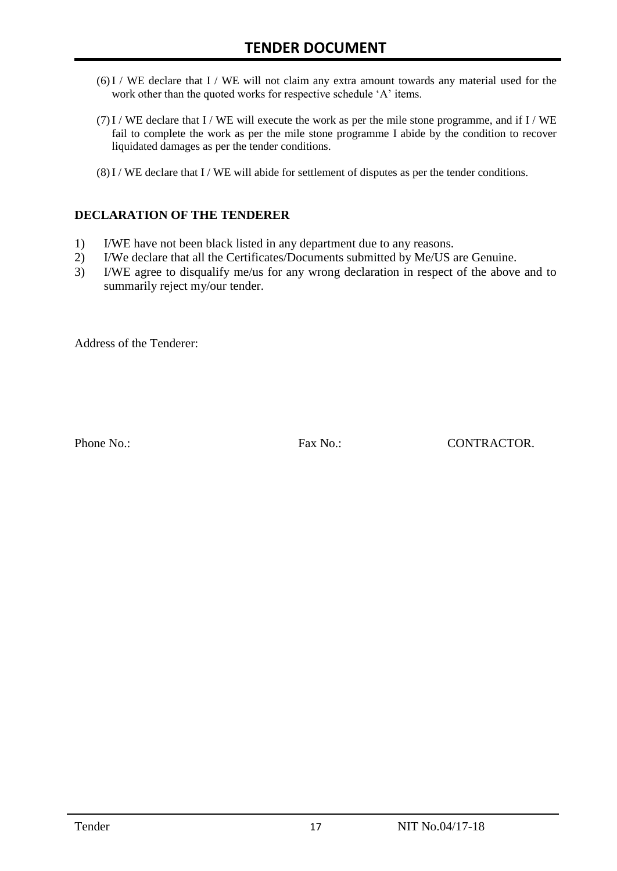- (6)I / WE declare that I / WE will not claim any extra amount towards any material used for the work other than the quoted works for respective schedule 'A' items.
- $(7)$  I / WE declare that I / WE will execute the work as per the mile stone programme, and if I / WE fail to complete the work as per the mile stone programme I abide by the condition to recover liquidated damages as per the tender conditions.
- (8)I / WE declare that I / WE will abide for settlement of disputes as per the tender conditions.

#### **DECLARATION OF THE TENDERER**

- 1) I/WE have not been black listed in any department due to any reasons.
- 2) I/We declare that all the Certificates/Documents submitted by Me/US are Genuine.
- 3) I/WE agree to disqualify me/us for any wrong declaration in respect of the above and to summarily reject my/our tender.

Address of the Tenderer:

Phone No.: Fax No.: Fax No.: CONTRACTOR.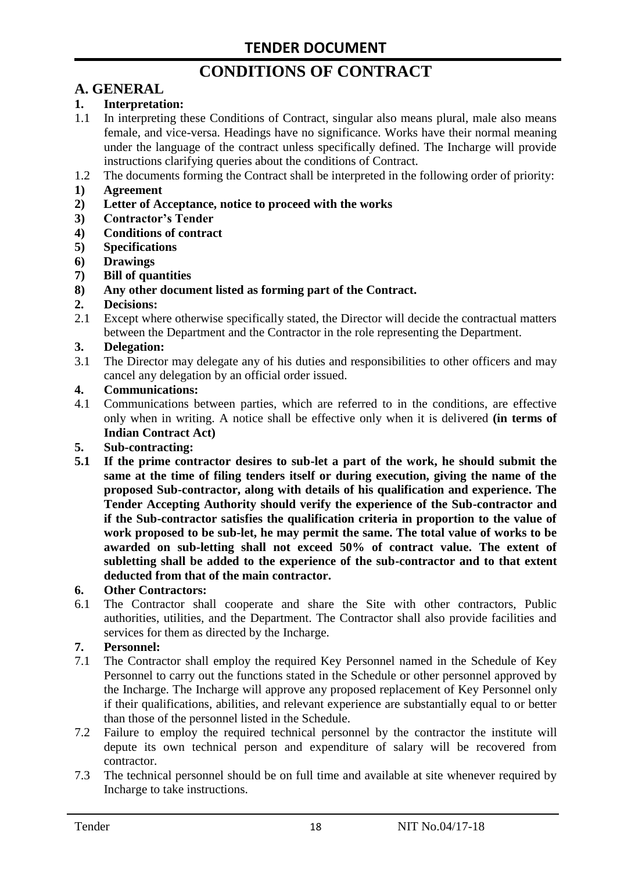# **CONDITIONS OF CONTRACT**

# **A. GENERAL**

#### **1. Interpretation:**

- 1.1 In interpreting these Conditions of Contract, singular also means plural, male also means female, and vice-versa. Headings have no significance. Works have their normal meaning under the language of the contract unless specifically defined. The Incharge will provide instructions clarifying queries about the conditions of Contract.
- 1.2 The documents forming the Contract shall be interpreted in the following order of priority:
- **1) Agreement**
- **2) Letter of Acceptance, notice to proceed with the works**
- **3) Contractor's Tender**
- **4) Conditions of contract**
- **5) Specifications**
- **6) Drawings**
- **7) Bill of quantities**
- **8) Any other document listed as forming part of the Contract.**

#### **2. Decisions:**

2.1 Except where otherwise specifically stated, the Director will decide the contractual matters between the Department and the Contractor in the role representing the Department.

#### **3. Delegation:**

3.1 The Director may delegate any of his duties and responsibilities to other officers and may cancel any delegation by an official order issued.

#### **4. Communications:**

4.1 Communications between parties, which are referred to in the conditions, are effective only when in writing. A notice shall be effective only when it is delivered **(in terms of Indian Contract Act)**

#### **5. Sub-contracting:**

**5.1 If the prime contractor desires to sub-let a part of the work, he should submit the same at the time of filing tenders itself or during execution, giving the name of the proposed Sub-contractor, along with details of his qualification and experience. The Tender Accepting Authority should verify the experience of the Sub-contractor and if the Sub-contractor satisfies the qualification criteria in proportion to the value of work proposed to be sub-let, he may permit the same. The total value of works to be awarded on sub-letting shall not exceed 50% of contract value. The extent of subletting shall be added to the experience of the sub-contractor and to that extent deducted from that of the main contractor.**

#### **6. Other Contractors:**

6.1 The Contractor shall cooperate and share the Site with other contractors, Public authorities, utilities, and the Department. The Contractor shall also provide facilities and services for them as directed by the Incharge.

#### **7. Personnel:**

- 7.1 The Contractor shall employ the required Key Personnel named in the Schedule of Key Personnel to carry out the functions stated in the Schedule or other personnel approved by the Incharge. The Incharge will approve any proposed replacement of Key Personnel only if their qualifications, abilities, and relevant experience are substantially equal to or better than those of the personnel listed in the Schedule.
- 7.2 Failure to employ the required technical personnel by the contractor the institute will depute its own technical person and expenditure of salary will be recovered from contractor.
- 7.3 The technical personnel should be on full time and available at site whenever required by Incharge to take instructions.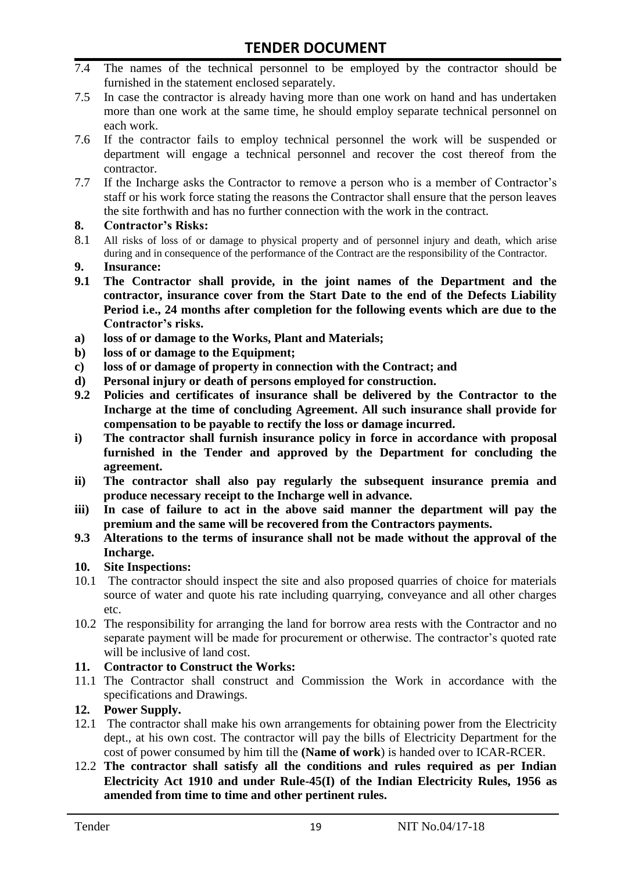- 7.4 The names of the technical personnel to be employed by the contractor should be furnished in the statement enclosed separately.
- 7.5 In case the contractor is already having more than one work on hand and has undertaken more than one work at the same time, he should employ separate technical personnel on each work.
- 7.6 If the contractor fails to employ technical personnel the work will be suspended or department will engage a technical personnel and recover the cost thereof from the contractor.
- 7.7 If the Incharge asks the Contractor to remove a person who is a member of Contractor's staff or his work force stating the reasons the Contractor shall ensure that the person leaves the site forthwith and has no further connection with the work in the contract.

#### **8. Contractor's Risks:**

- 8.1 All risks of loss of or damage to physical property and of personnel injury and death, which arise during and in consequence of the performance of the Contract are the responsibility of the Contractor.
- **9. Insurance:**
- **9.1 The Contractor shall provide, in the joint names of the Department and the contractor, insurance cover from the Start Date to the end of the Defects Liability Period i.e., 24 months after completion for the following events which are due to the Contractor's risks.**
- **a) loss of or damage to the Works, Plant and Materials;**
- **b) loss of or damage to the Equipment;**
- **c) loss of or damage of property in connection with the Contract; and**
- **d) Personal injury or death of persons employed for construction.**
- **9.2 Policies and certificates of insurance shall be delivered by the Contractor to the Incharge at the time of concluding Agreement. All such insurance shall provide for compensation to be payable to rectify the loss or damage incurred.**
- **i) The contractor shall furnish insurance policy in force in accordance with proposal furnished in the Tender and approved by the Department for concluding the agreement.**
- **ii) The contractor shall also pay regularly the subsequent insurance premia and produce necessary receipt to the Incharge well in advance.**
- **iii) In case of failure to act in the above said manner the department will pay the premium and the same will be recovered from the Contractors payments.**
- **9.3 Alterations to the terms of insurance shall not be made without the approval of the Incharge.**

#### **10. Site Inspections:**

- 10.1 The contractor should inspect the site and also proposed quarries of choice for materials source of water and quote his rate including quarrying, conveyance and all other charges etc.
- 10.2 The responsibility for arranging the land for borrow area rests with the Contractor and no separate payment will be made for procurement or otherwise. The contractor's quoted rate will be inclusive of land cost.

#### **11. Contractor to Construct the Works:**

11.1 The Contractor shall construct and Commission the Work in accordance with the specifications and Drawings.

#### **12. Power Supply.**

- 12.1 The contractor shall make his own arrangements for obtaining power from the Electricity dept., at his own cost. The contractor will pay the bills of Electricity Department for the cost of power consumed by him till the **(Name of work**) is handed over to ICAR-RCER.
- 12.2 **The contractor shall satisfy all the conditions and rules required as per Indian Electricity Act 1910 and under Rule-45(I) of the Indian Electricity Rules, 1956 as amended from time to time and other pertinent rules.**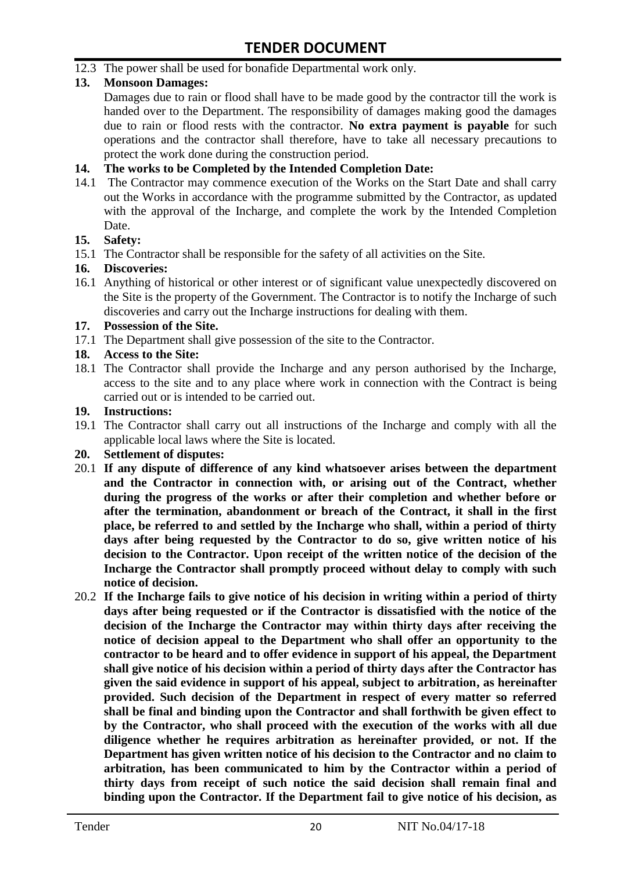12.3 The power shall be used for bonafide Departmental work only.

#### **13. Monsoon Damages:**

Damages due to rain or flood shall have to be made good by the contractor till the work is handed over to the Department. The responsibility of damages making good the damages due to rain or flood rests with the contractor. **No extra payment is payable** for such operations and the contractor shall therefore, have to take all necessary precautions to protect the work done during the construction period.

#### **14. The works to be Completed by the Intended Completion Date:**

14.1 The Contractor may commence execution of the Works on the Start Date and shall carry out the Works in accordance with the programme submitted by the Contractor, as updated with the approval of the Incharge, and complete the work by the Intended Completion Date.

#### **15. Safety:**

15.1 The Contractor shall be responsible for the safety of all activities on the Site.

#### **16. Discoveries:**

16.1 Anything of historical or other interest or of significant value unexpectedly discovered on the Site is the property of the Government. The Contractor is to notify the Incharge of such discoveries and carry out the Incharge instructions for dealing with them.

#### **17. Possession of the Site.**

17.1 The Department shall give possession of the site to the Contractor.

#### **18. Access to the Site:**

18.1 The Contractor shall provide the Incharge and any person authorised by the Incharge, access to the site and to any place where work in connection with the Contract is being carried out or is intended to be carried out.

#### **19. Instructions:**

- 19.1 The Contractor shall carry out all instructions of the Incharge and comply with all the applicable local laws where the Site is located.
- **20. Settlement of disputes:**
- 20.1 **If any dispute of difference of any kind whatsoever arises between the department and the Contractor in connection with, or arising out of the Contract, whether during the progress of the works or after their completion and whether before or after the termination, abandonment or breach of the Contract, it shall in the first place, be referred to and settled by the Incharge who shall, within a period of thirty days after being requested by the Contractor to do so, give written notice of his decision to the Contractor. Upon receipt of the written notice of the decision of the Incharge the Contractor shall promptly proceed without delay to comply with such notice of decision.**
- 20.2 **If the Incharge fails to give notice of his decision in writing within a period of thirty days after being requested or if the Contractor is dissatisfied with the notice of the decision of the Incharge the Contractor may within thirty days after receiving the notice of decision appeal to the Department who shall offer an opportunity to the contractor to be heard and to offer evidence in support of his appeal, the Department shall give notice of his decision within a period of thirty days after the Contractor has given the said evidence in support of his appeal, subject to arbitration, as hereinafter provided. Such decision of the Department in respect of every matter so referred shall be final and binding upon the Contractor and shall forthwith be given effect to by the Contractor, who shall proceed with the execution of the works with all due diligence whether he requires arbitration as hereinafter provided, or not. If the Department has given written notice of his decision to the Contractor and no claim to arbitration, has been communicated to him by the Contractor within a period of thirty days from receipt of such notice the said decision shall remain final and binding upon the Contractor. If the Department fail to give notice of his decision, as**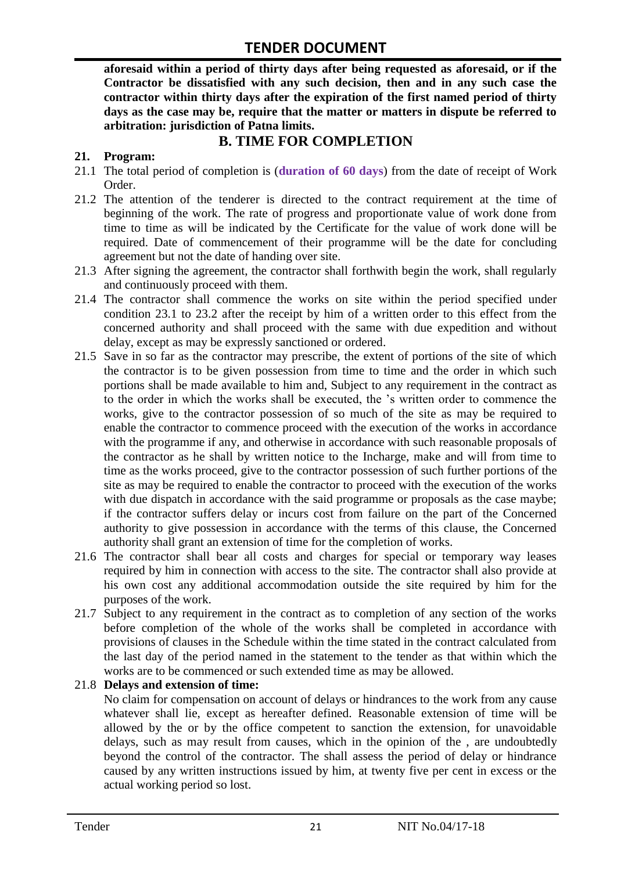**aforesaid within a period of thirty days after being requested as aforesaid, or if the Contractor be dissatisfied with any such decision, then and in any such case the contractor within thirty days after the expiration of the first named period of thirty days as the case may be, require that the matter or matters in dispute be referred to arbitration: jurisdiction of Patna limits.**

## **B. TIME FOR COMPLETION**

#### **21. Program:**

- 21.1 The total period of completion is (**duration of 60 days**) from the date of receipt of Work Order.
- 21.2 The attention of the tenderer is directed to the contract requirement at the time of beginning of the work. The rate of progress and proportionate value of work done from time to time as will be indicated by the Certificate for the value of work done will be required. Date of commencement of their programme will be the date for concluding agreement but not the date of handing over site.
- 21.3 After signing the agreement, the contractor shall forthwith begin the work, shall regularly and continuously proceed with them.
- 21.4 The contractor shall commence the works on site within the period specified under condition 23.1 to 23.2 after the receipt by him of a written order to this effect from the concerned authority and shall proceed with the same with due expedition and without delay, except as may be expressly sanctioned or ordered.
- 21.5 Save in so far as the contractor may prescribe, the extent of portions of the site of which the contractor is to be given possession from time to time and the order in which such portions shall be made available to him and, Subject to any requirement in the contract as to the order in which the works shall be executed, the 's written order to commence the works, give to the contractor possession of so much of the site as may be required to enable the contractor to commence proceed with the execution of the works in accordance with the programme if any, and otherwise in accordance with such reasonable proposals of the contractor as he shall by written notice to the Incharge, make and will from time to time as the works proceed, give to the contractor possession of such further portions of the site as may be required to enable the contractor to proceed with the execution of the works with due dispatch in accordance with the said programme or proposals as the case maybe; if the contractor suffers delay or incurs cost from failure on the part of the Concerned authority to give possession in accordance with the terms of this clause, the Concerned authority shall grant an extension of time for the completion of works.
- 21.6 The contractor shall bear all costs and charges for special or temporary way leases required by him in connection with access to the site. The contractor shall also provide at his own cost any additional accommodation outside the site required by him for the purposes of the work.
- 21.7 Subject to any requirement in the contract as to completion of any section of the works before completion of the whole of the works shall be completed in accordance with provisions of clauses in the Schedule within the time stated in the contract calculated from the last day of the period named in the statement to the tender as that within which the works are to be commenced or such extended time as may be allowed.

#### 21.8 **Delays and extension of time:**

No claim for compensation on account of delays or hindrances to the work from any cause whatever shall lie, except as hereafter defined. Reasonable extension of time will be allowed by the or by the office competent to sanction the extension, for unavoidable delays, such as may result from causes, which in the opinion of the , are undoubtedly beyond the control of the contractor. The shall assess the period of delay or hindrance caused by any written instructions issued by him, at twenty five per cent in excess or the actual working period so lost.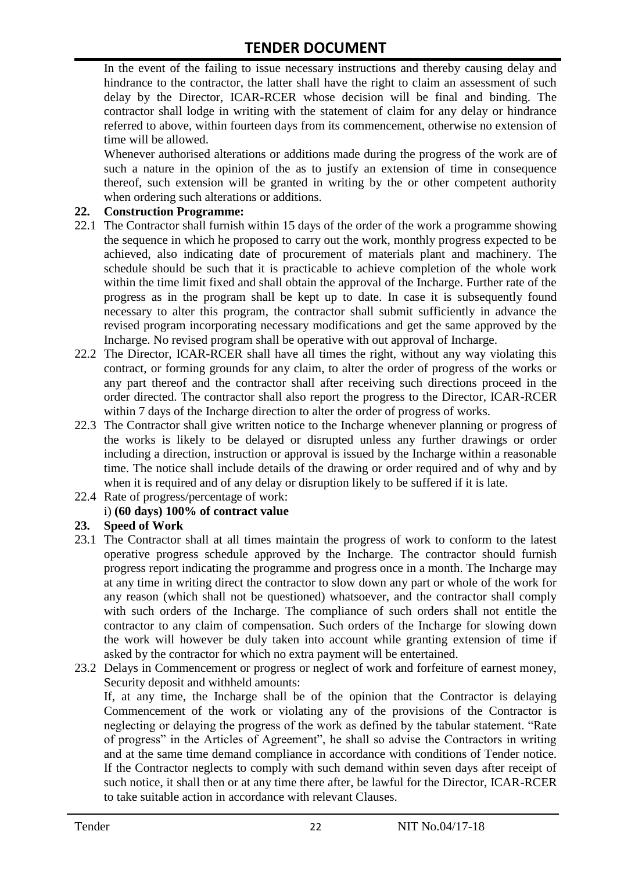In the event of the failing to issue necessary instructions and thereby causing delay and hindrance to the contractor, the latter shall have the right to claim an assessment of such delay by the Director, ICAR-RCER whose decision will be final and binding. The contractor shall lodge in writing with the statement of claim for any delay or hindrance referred to above, within fourteen days from its commencement, otherwise no extension of time will be allowed.

Whenever authorised alterations or additions made during the progress of the work are of such a nature in the opinion of the as to justify an extension of time in consequence thereof, such extension will be granted in writing by the or other competent authority when ordering such alterations or additions.

#### **22. Construction Programme:**

- 22.1 The Contractor shall furnish within 15 days of the order of the work a programme showing the sequence in which he proposed to carry out the work, monthly progress expected to be achieved, also indicating date of procurement of materials plant and machinery. The schedule should be such that it is practicable to achieve completion of the whole work within the time limit fixed and shall obtain the approval of the Incharge. Further rate of the progress as in the program shall be kept up to date. In case it is subsequently found necessary to alter this program, the contractor shall submit sufficiently in advance the revised program incorporating necessary modifications and get the same approved by the Incharge. No revised program shall be operative with out approval of Incharge.
- 22.2 The Director, ICAR-RCER shall have all times the right, without any way violating this contract, or forming grounds for any claim, to alter the order of progress of the works or any part thereof and the contractor shall after receiving such directions proceed in the order directed. The contractor shall also report the progress to the Director, ICAR-RCER within 7 days of the Incharge direction to alter the order of progress of works.
- 22.3 The Contractor shall give written notice to the Incharge whenever planning or progress of the works is likely to be delayed or disrupted unless any further drawings or order including a direction, instruction or approval is issued by the Incharge within a reasonable time. The notice shall include details of the drawing or order required and of why and by when it is required and of any delay or disruption likely to be suffered if it is late.
- 22.4 Rate of progress/percentage of work:

#### i) **(60 days) 100% of contract value**

#### **23. Speed of Work**

- 23.1 The Contractor shall at all times maintain the progress of work to conform to the latest operative progress schedule approved by the Incharge. The contractor should furnish progress report indicating the programme and progress once in a month. The Incharge may at any time in writing direct the contractor to slow down any part or whole of the work for any reason (which shall not be questioned) whatsoever, and the contractor shall comply with such orders of the Incharge. The compliance of such orders shall not entitle the contractor to any claim of compensation. Such orders of the Incharge for slowing down the work will however be duly taken into account while granting extension of time if asked by the contractor for which no extra payment will be entertained.
- 23.2 Delays in Commencement or progress or neglect of work and forfeiture of earnest money, Security deposit and withheld amounts:

If, at any time, the Incharge shall be of the opinion that the Contractor is delaying Commencement of the work or violating any of the provisions of the Contractor is neglecting or delaying the progress of the work as defined by the tabular statement. "Rate of progress" in the Articles of Agreement", he shall so advise the Contractors in writing and at the same time demand compliance in accordance with conditions of Tender notice. If the Contractor neglects to comply with such demand within seven days after receipt of such notice, it shall then or at any time there after, be lawful for the Director, ICAR-RCER to take suitable action in accordance with relevant Clauses.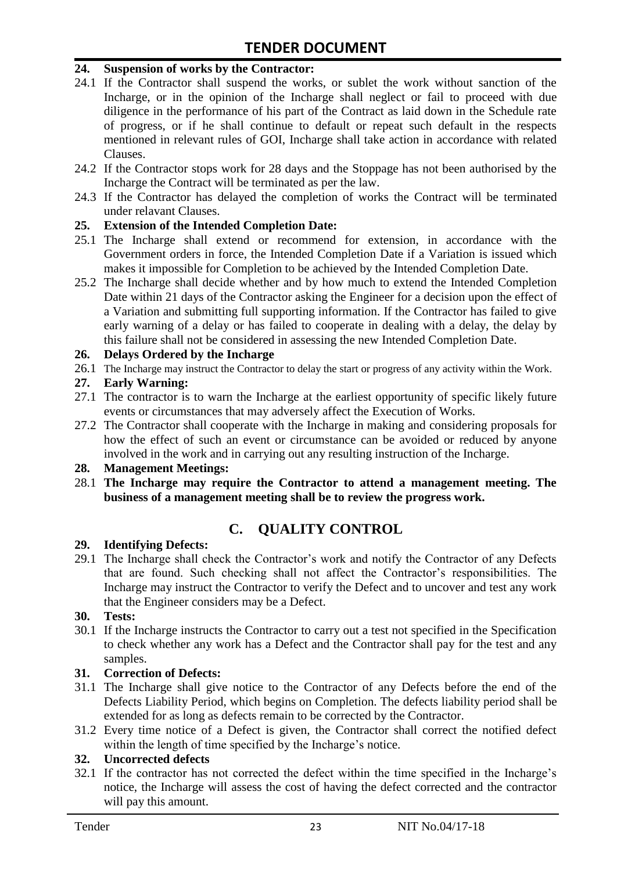#### **24. Suspension of works by the Contractor:**

- 24.1 If the Contractor shall suspend the works, or sublet the work without sanction of the Incharge, or in the opinion of the Incharge shall neglect or fail to proceed with due diligence in the performance of his part of the Contract as laid down in the Schedule rate of progress, or if he shall continue to default or repeat such default in the respects mentioned in relevant rules of GOI, Incharge shall take action in accordance with related Clauses.
- 24.2 If the Contractor stops work for 28 days and the Stoppage has not been authorised by the Incharge the Contract will be terminated as per the law.
- 24.3 If the Contractor has delayed the completion of works the Contract will be terminated under relavant Clauses.

#### **25. Extension of the Intended Completion Date:**

- 25.1 The Incharge shall extend or recommend for extension, in accordance with the Government orders in force, the Intended Completion Date if a Variation is issued which makes it impossible for Completion to be achieved by the Intended Completion Date.
- 25.2 The Incharge shall decide whether and by how much to extend the Intended Completion Date within 21 days of the Contractor asking the Engineer for a decision upon the effect of a Variation and submitting full supporting information. If the Contractor has failed to give early warning of a delay or has failed to cooperate in dealing with a delay, the delay by this failure shall not be considered in assessing the new Intended Completion Date.

#### **26. Delays Ordered by the Incharge**

26.1 The Incharge may instruct the Contractor to delay the start or progress of any activity within the Work.

#### **27. Early Warning:**

- 27.1 The contractor is to warn the Incharge at the earliest opportunity of specific likely future events or circumstances that may adversely affect the Execution of Works.
- 27.2 The Contractor shall cooperate with the Incharge in making and considering proposals for how the effect of such an event or circumstance can be avoided or reduced by anyone involved in the work and in carrying out any resulting instruction of the Incharge.

#### **28. Management Meetings:**

28.1 **The Incharge may require the Contractor to attend a management meeting. The business of a management meeting shall be to review the progress work.**

# **C. QUALITY CONTROL**

#### **29. Identifying Defects:**

29.1 The Incharge shall check the Contractor's work and notify the Contractor of any Defects that are found. Such checking shall not affect the Contractor's responsibilities. The Incharge may instruct the Contractor to verify the Defect and to uncover and test any work that the Engineer considers may be a Defect.

#### **30. Tests:**

30.1 If the Incharge instructs the Contractor to carry out a test not specified in the Specification to check whether any work has a Defect and the Contractor shall pay for the test and any samples.

#### **31. Correction of Defects:**

- 31.1 The Incharge shall give notice to the Contractor of any Defects before the end of the Defects Liability Period, which begins on Completion. The defects liability period shall be extended for as long as defects remain to be corrected by the Contractor.
- 31.2 Every time notice of a Defect is given, the Contractor shall correct the notified defect within the length of time specified by the Incharge's notice.

#### **32. Uncorrected defects**

32.1 If the contractor has not corrected the defect within the time specified in the Incharge's notice, the Incharge will assess the cost of having the defect corrected and the contractor will pay this amount.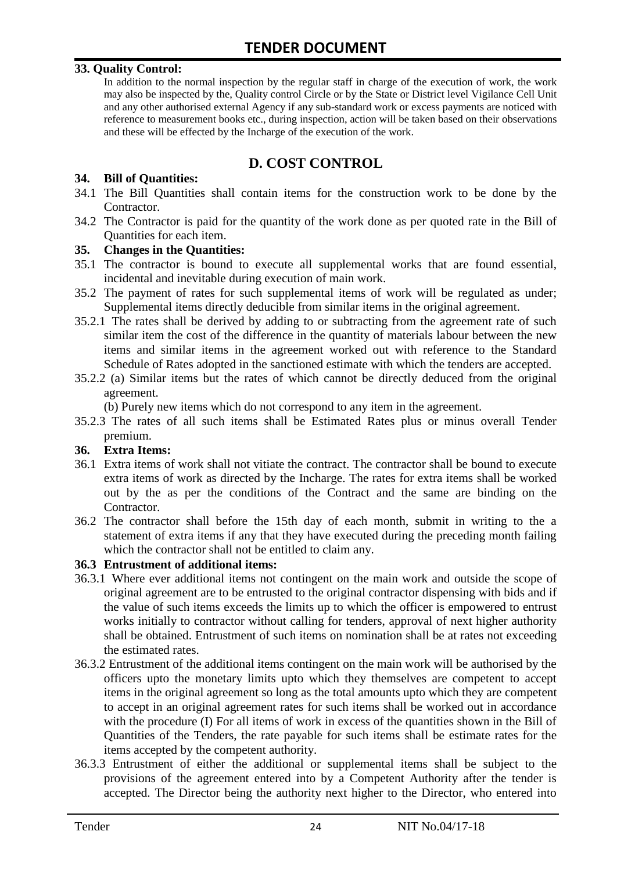#### **33. Quality Control:**

In addition to the normal inspection by the regular staff in charge of the execution of work, the work may also be inspected by the, Quality control Circle or by the State or District level Vigilance Cell Unit and any other authorised external Agency if any sub-standard work or excess payments are noticed with reference to measurement books etc., during inspection, action will be taken based on their observations and these will be effected by the Incharge of the execution of the work.

## **D. COST CONTROL**

#### **34. Bill of Quantities:**

- 34.1 The Bill Quantities shall contain items for the construction work to be done by the Contractor.
- 34.2 The Contractor is paid for the quantity of the work done as per quoted rate in the Bill of Quantities for each item.

#### **35. Changes in the Quantities:**

- 35.1 The contractor is bound to execute all supplemental works that are found essential, incidental and inevitable during execution of main work.
- 35.2 The payment of rates for such supplemental items of work will be regulated as under; Supplemental items directly deducible from similar items in the original agreement.
- 35.2.1 The rates shall be derived by adding to or subtracting from the agreement rate of such similar item the cost of the difference in the quantity of materials labour between the new items and similar items in the agreement worked out with reference to the Standard Schedule of Rates adopted in the sanctioned estimate with which the tenders are accepted.
- 35.2.2 (a) Similar items but the rates of which cannot be directly deduced from the original agreement.

(b) Purely new items which do not correspond to any item in the agreement.

35.2.3 The rates of all such items shall be Estimated Rates plus or minus overall Tender premium.

#### **36. Extra Items:**

- 36.1 Extra items of work shall not vitiate the contract. The contractor shall be bound to execute extra items of work as directed by the Incharge. The rates for extra items shall be worked out by the as per the conditions of the Contract and the same are binding on the Contractor.
- 36.2 The contractor shall before the 15th day of each month, submit in writing to the a statement of extra items if any that they have executed during the preceding month failing which the contractor shall not be entitled to claim any.

#### **36.3 Entrustment of additional items:**

- 36.3.1 Where ever additional items not contingent on the main work and outside the scope of original agreement are to be entrusted to the original contractor dispensing with bids and if the value of such items exceeds the limits up to which the officer is empowered to entrust works initially to contractor without calling for tenders, approval of next higher authority shall be obtained. Entrustment of such items on nomination shall be at rates not exceeding the estimated rates.
- 36.3.2 Entrustment of the additional items contingent on the main work will be authorised by the officers upto the monetary limits upto which they themselves are competent to accept items in the original agreement so long as the total amounts upto which they are competent to accept in an original agreement rates for such items shall be worked out in accordance with the procedure (I) For all items of work in excess of the quantities shown in the Bill of Quantities of the Tenders, the rate payable for such items shall be estimate rates for the items accepted by the competent authority.
- 36.3.3 Entrustment of either the additional or supplemental items shall be subject to the provisions of the agreement entered into by a Competent Authority after the tender is accepted. The Director being the authority next higher to the Director, who entered into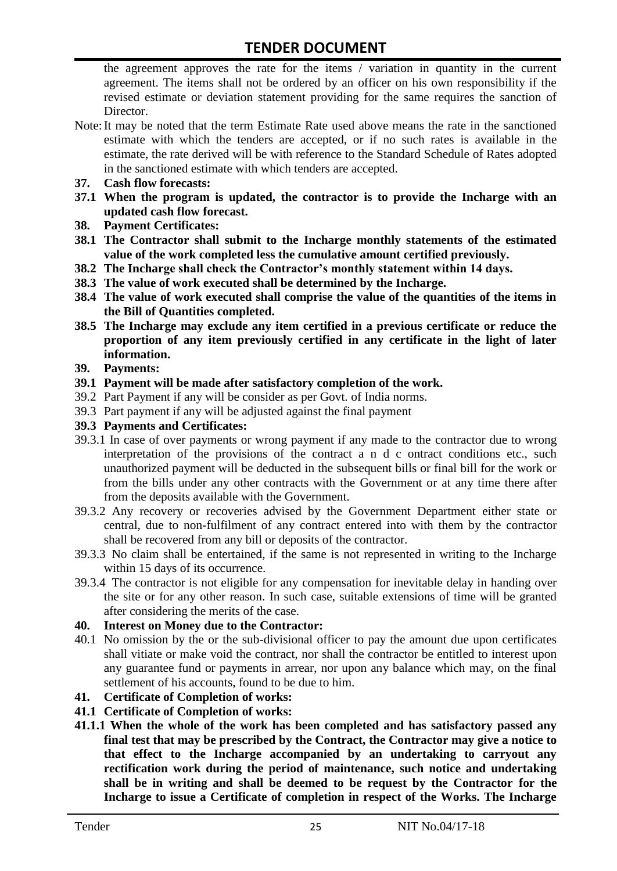the agreement approves the rate for the items / variation in quantity in the current agreement. The items shall not be ordered by an officer on his own responsibility if the revised estimate or deviation statement providing for the same requires the sanction of Director.

- Note:It may be noted that the term Estimate Rate used above means the rate in the sanctioned estimate with which the tenders are accepted, or if no such rates is available in the estimate, the rate derived will be with reference to the Standard Schedule of Rates adopted in the sanctioned estimate with which tenders are accepted.
- **37. Cash flow forecasts:**
- **37.1 When the program is updated, the contractor is to provide the Incharge with an updated cash flow forecast.**
- **38. Payment Certificates:**
- **38.1 The Contractor shall submit to the Incharge monthly statements of the estimated value of the work completed less the cumulative amount certified previously.**
- **38.2 The Incharge shall check the Contractor's monthly statement within 14 days.**
- **38.3 The value of work executed shall be determined by the Incharge.**
- **38.4 The value of work executed shall comprise the value of the quantities of the items in the Bill of Quantities completed.**
- **38.5 The Incharge may exclude any item certified in a previous certificate or reduce the proportion of any item previously certified in any certificate in the light of later information.**
- **39. Payments:**
- **39.1 Payment will be made after satisfactory completion of the work.**
- 39.2 Part Payment if any will be consider as per Govt. of India norms.
- 39.3 Part payment if any will be adjusted against the final payment
- **39.3 Payments and Certificates:**
- 39.3.1 In case of over payments or wrong payment if any made to the contractor due to wrong interpretation of the provisions of the contract a n d c ontract conditions etc., such unauthorized payment will be deducted in the subsequent bills or final bill for the work or from the bills under any other contracts with the Government or at any time there after from the deposits available with the Government.
- 39.3.2 Any recovery or recoveries advised by the Government Department either state or central, due to non-fulfilment of any contract entered into with them by the contractor shall be recovered from any bill or deposits of the contractor.
- 39.3.3 No claim shall be entertained, if the same is not represented in writing to the Incharge within 15 days of its occurrence.
- 39.3.4 The contractor is not eligible for any compensation for inevitable delay in handing over the site or for any other reason. In such case, suitable extensions of time will be granted after considering the merits of the case.

#### **40. Interest on Money due to the Contractor:**

- 40.1 No omission by the or the sub-divisional officer to pay the amount due upon certificates shall vitiate or make void the contract, nor shall the contractor be entitled to interest upon any guarantee fund or payments in arrear, nor upon any balance which may, on the final settlement of his accounts, found to be due to him.
- **41. Certificate of Completion of works:**
- **41.1 Certificate of Completion of works:**
- **41.1.1 When the whole of the work has been completed and has satisfactory passed any final test that may be prescribed by the Contract, the Contractor may give a notice to that effect to the Incharge accompanied by an undertaking to carryout any rectification work during the period of maintenance, such notice and undertaking shall be in writing and shall be deemed to be request by the Contractor for the Incharge to issue a Certificate of completion in respect of the Works. The Incharge**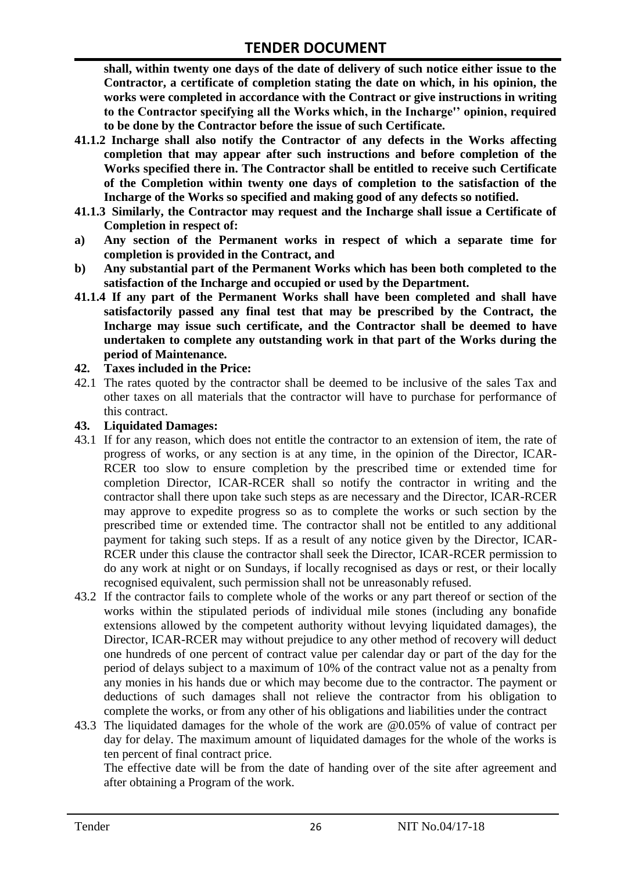**shall, within twenty one days of the date of delivery of such notice either issue to the Contractor, a certificate of completion stating the date on which, in his opinion, the works were completed in accordance with the Contract or give instructions in writing to the Contractor specifying all the Works which, in the Incharge'' opinion, required to be done by the Contractor before the issue of such Certificate.**

- **41.1.2 Incharge shall also notify the Contractor of any defects in the Works affecting completion that may appear after such instructions and before completion of the Works specified there in. The Contractor shall be entitled to receive such Certificate of the Completion within twenty one days of completion to the satisfaction of the Incharge of the Works so specified and making good of any defects so notified.**
- **41.1.3 Similarly, the Contractor may request and the Incharge shall issue a Certificate of Completion in respect of:**
- **a) Any section of the Permanent works in respect of which a separate time for completion is provided in the Contract, and**
- **b) Any substantial part of the Permanent Works which has been both completed to the satisfaction of the Incharge and occupied or used by the Department.**
- **41.1.4 If any part of the Permanent Works shall have been completed and shall have satisfactorily passed any final test that may be prescribed by the Contract, the Incharge may issue such certificate, and the Contractor shall be deemed to have undertaken to complete any outstanding work in that part of the Works during the period of Maintenance.**

#### **42. Taxes included in the Price:**

42.1 The rates quoted by the contractor shall be deemed to be inclusive of the sales Tax and other taxes on all materials that the contractor will have to purchase for performance of this contract.

#### **43. Liquidated Damages:**

- 43.1 If for any reason, which does not entitle the contractor to an extension of item, the rate of progress of works, or any section is at any time, in the opinion of the Director, ICAR-RCER too slow to ensure completion by the prescribed time or extended time for completion Director, ICAR-RCER shall so notify the contractor in writing and the contractor shall there upon take such steps as are necessary and the Director, ICAR-RCER may approve to expedite progress so as to complete the works or such section by the prescribed time or extended time. The contractor shall not be entitled to any additional payment for taking such steps. If as a result of any notice given by the Director, ICAR-RCER under this clause the contractor shall seek the Director, ICAR-RCER permission to do any work at night or on Sundays, if locally recognised as days or rest, or their locally recognised equivalent, such permission shall not be unreasonably refused.
- 43.2 If the contractor fails to complete whole of the works or any part thereof or section of the works within the stipulated periods of individual mile stones (including any bonafide extensions allowed by the competent authority without levying liquidated damages), the Director, ICAR-RCER may without prejudice to any other method of recovery will deduct one hundreds of one percent of contract value per calendar day or part of the day for the period of delays subject to a maximum of 10% of the contract value not as a penalty from any monies in his hands due or which may become due to the contractor. The payment or deductions of such damages shall not relieve the contractor from his obligation to complete the works, or from any other of his obligations and liabilities under the contract
- 43.3 The liquidated damages for the whole of the work are @0.05% of value of contract per day for delay. The maximum amount of liquidated damages for the whole of the works is ten percent of final contract price.

The effective date will be from the date of handing over of the site after agreement and after obtaining a Program of the work.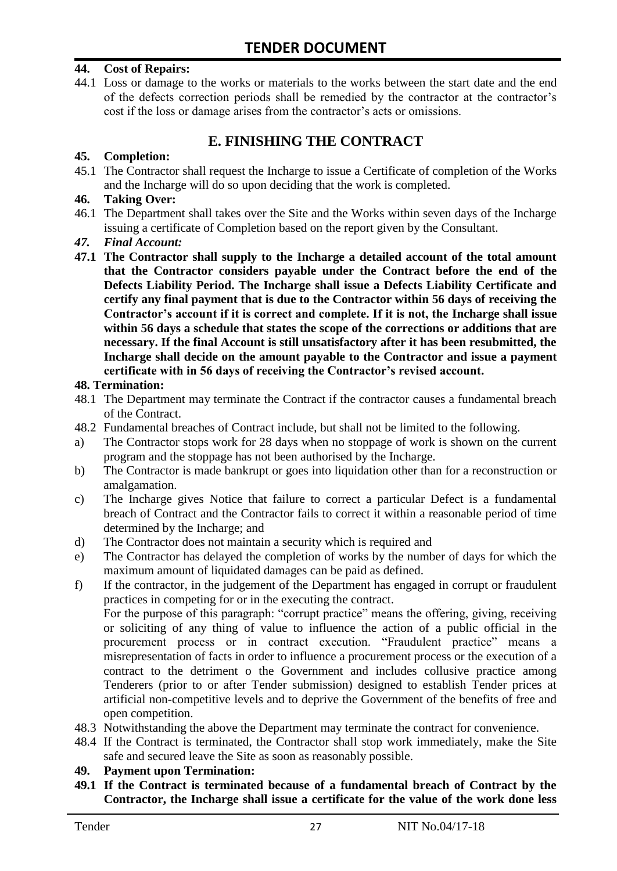#### **44. Cost of Repairs:**

44.1 Loss or damage to the works or materials to the works between the start date and the end of the defects correction periods shall be remedied by the contractor at the contractor's cost if the loss or damage arises from the contractor's acts or omissions.

### **E. FINISHING THE CONTRACT**

#### **45. Completion:**

45.1 The Contractor shall request the Incharge to issue a Certificate of completion of the Works and the Incharge will do so upon deciding that the work is completed.

#### **46. Taking Over:**

- 46.1 The Department shall takes over the Site and the Works within seven days of the Incharge issuing a certificate of Completion based on the report given by the Consultant.
- *47. Final Account:*
- **47.1 The Contractor shall supply to the Incharge a detailed account of the total amount that the Contractor considers payable under the Contract before the end of the Defects Liability Period. The Incharge shall issue a Defects Liability Certificate and certify any final payment that is due to the Contractor within 56 days of receiving the Contractor's account if it is correct and complete. If it is not, the Incharge shall issue within 56 days a schedule that states the scope of the corrections or additions that are necessary. If the final Account is still unsatisfactory after it has been resubmitted, the Incharge shall decide on the amount payable to the Contractor and issue a payment certificate with in 56 days of receiving the Contractor's revised account.**

#### **48. Termination:**

- 48.1 The Department may terminate the Contract if the contractor causes a fundamental breach of the Contract.
- 48.2 Fundamental breaches of Contract include, but shall not be limited to the following.
- a) The Contractor stops work for 28 days when no stoppage of work is shown on the current program and the stoppage has not been authorised by the Incharge.
- b) The Contractor is made bankrupt or goes into liquidation other than for a reconstruction or amalgamation.
- c) The Incharge gives Notice that failure to correct a particular Defect is a fundamental breach of Contract and the Contractor fails to correct it within a reasonable period of time determined by the Incharge; and
- d) The Contractor does not maintain a security which is required and
- e) The Contractor has delayed the completion of works by the number of days for which the maximum amount of liquidated damages can be paid as defined.
- f) If the contractor, in the judgement of the Department has engaged in corrupt or fraudulent practices in competing for or in the executing the contract.

For the purpose of this paragraph: "corrupt practice" means the offering, giving, receiving or soliciting of any thing of value to influence the action of a public official in the procurement process or in contract execution. "Fraudulent practice" means a misrepresentation of facts in order to influence a procurement process or the execution of a contract to the detriment o the Government and includes collusive practice among Tenderers (prior to or after Tender submission) designed to establish Tender prices at artificial non-competitive levels and to deprive the Government of the benefits of free and open competition.

- 48.3 Notwithstanding the above the Department may terminate the contract for convenience.
- 48.4 If the Contract is terminated, the Contractor shall stop work immediately, make the Site safe and secured leave the Site as soon as reasonably possible.

#### **49. Payment upon Termination:**

**49.1 If the Contract is terminated because of a fundamental breach of Contract by the Contractor, the Incharge shall issue a certificate for the value of the work done less**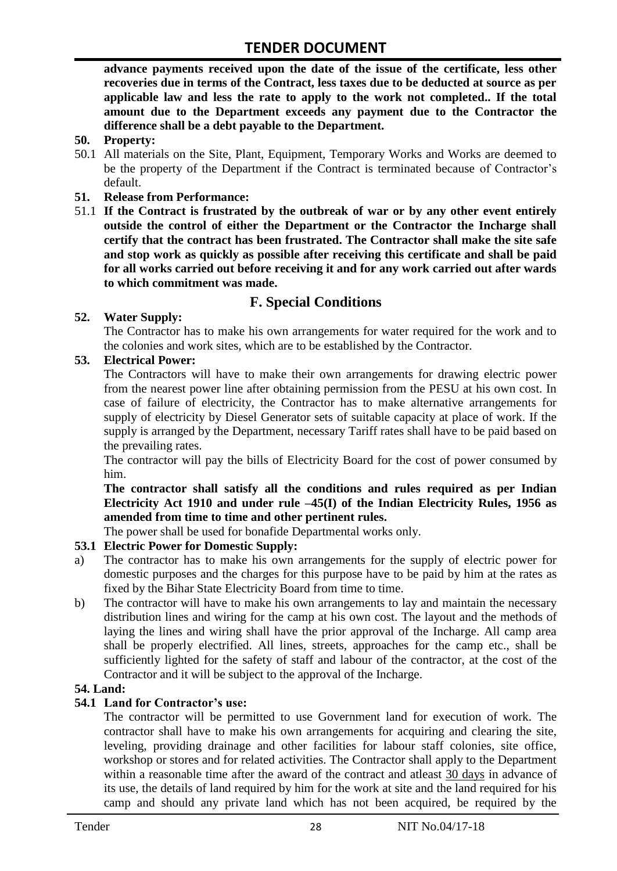**advance payments received upon the date of the issue of the certificate, less other recoveries due in terms of the Contract, less taxes due to be deducted at source as per applicable law and less the rate to apply to the work not completed.. If the total amount due to the Department exceeds any payment due to the Contractor the difference shall be a debt payable to the Department.**

- **50. Property:**
- 50.1 All materials on the Site, Plant, Equipment, Temporary Works and Works are deemed to be the property of the Department if the Contract is terminated because of Contractor's default.
- **51. Release from Performance:**
- 51.1 **If the Contract is frustrated by the outbreak of war or by any other event entirely outside the control of either the Department or the Contractor the Incharge shall certify that the contract has been frustrated. The Contractor shall make the site safe and stop work as quickly as possible after receiving this certificate and shall be paid for all works carried out before receiving it and for any work carried out after wards to which commitment was made.**

# **F. Special Conditions**

#### **52. Water Supply:**

The Contractor has to make his own arrangements for water required for the work and to the colonies and work sites, which are to be established by the Contractor.

#### **53. Electrical Power:**

The Contractors will have to make their own arrangements for drawing electric power from the nearest power line after obtaining permission from the PESU at his own cost. In case of failure of electricity, the Contractor has to make alternative arrangements for supply of electricity by Diesel Generator sets of suitable capacity at place of work. If the supply is arranged by the Department, necessary Tariff rates shall have to be paid based on the prevailing rates.

The contractor will pay the bills of Electricity Board for the cost of power consumed by him.

**The contractor shall satisfy all the conditions and rules required as per Indian Electricity Act 1910 and under rule –45(I) of the Indian Electricity Rules, 1956 as amended from time to time and other pertinent rules.**

The power shall be used for bonafide Departmental works only.

#### **53.1 Electric Power for Domestic Supply:**

- a) The contractor has to make his own arrangements for the supply of electric power for domestic purposes and the charges for this purpose have to be paid by him at the rates as fixed by the Bihar State Electricity Board from time to time.
- b) The contractor will have to make his own arrangements to lay and maintain the necessary distribution lines and wiring for the camp at his own cost. The layout and the methods of laying the lines and wiring shall have the prior approval of the Incharge. All camp area shall be properly electrified. All lines, streets, approaches for the camp etc., shall be sufficiently lighted for the safety of staff and labour of the contractor, at the cost of the Contractor and it will be subject to the approval of the Incharge.

#### **54. Land:**

#### **54.1 Land for Contractor's use:**

The contractor will be permitted to use Government land for execution of work. The contractor shall have to make his own arrangements for acquiring and clearing the site, leveling, providing drainage and other facilities for labour staff colonies, site office, workshop or stores and for related activities. The Contractor shall apply to the Department within a reasonable time after the award of the contract and atleast 30 days in advance of its use, the details of land required by him for the work at site and the land required for his camp and should any private land which has not been acquired, be required by the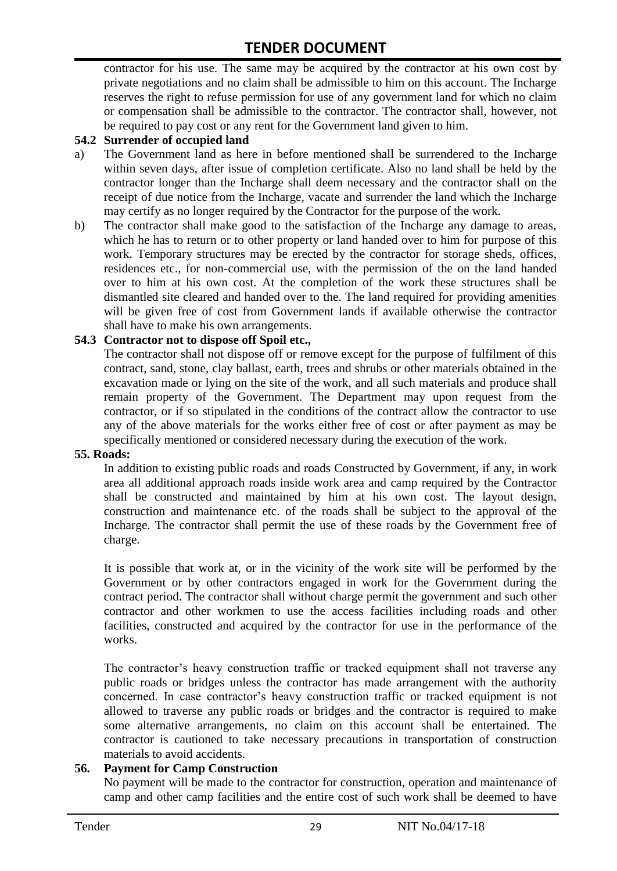contractor for his use. The same may be acquired by the contractor at his own cost by private negotiations and no claim shall be admissible to him on this account. The Incharge reserves the right to refuse permission for use of any government land for which no claim or compensation shall be admissible to the contractor. The contractor shall, however, not be required to pay cost or any rent for the Government land given to him.

#### **54.2 Surrender of occupied land**

- a) The Government land as here in before mentioned shall be surrendered to the Incharge within seven days, after issue of completion certificate. Also no land shall be held by the contractor longer than the Incharge shall deem necessary and the contractor shall on the receipt of due notice from the Incharge, vacate and surrender the land which the Incharge may certify as no longer required by the Contractor for the purpose of the work.
- b) The contractor shall make good to the satisfaction of the Incharge any damage to areas, which he has to return or to other property or land handed over to him for purpose of this work. Temporary structures may be erected by the contractor for storage sheds, offices, residences etc., for non-commercial use, with the permission of the on the land handed over to him at his own cost. At the completion of the work these structures shall be dismantled site cleared and handed over to the. The land required for providing amenities will be given free of cost from Government lands if available otherwise the contractor shall have to make his own arrangements.

#### **54.3 Contractor not to dispose off Spoil etc.,**

The contractor shall not dispose off or remove except for the purpose of fulfilment of this contract, sand, stone, clay ballast, earth, trees and shrubs or other materials obtained in the excavation made or lying on the site of the work, and all such materials and produce shall remain property of the Government. The Department may upon request from the contractor, or if so stipulated in the conditions of the contract allow the contractor to use any of the above materials for the works either free of cost or after payment as may be specifically mentioned or considered necessary during the execution of the work.

#### **55. Roads:**

In addition to existing public roads and roads Constructed by Government, if any, in work area all additional approach roads inside work area and camp required by the Contractor shall be constructed and maintained by him at his own cost. The layout design, construction and maintenance etc. of the roads shall be subject to the approval of the Incharge. The contractor shall permit the use of these roads by the Government free of charge.

It is possible that work at, or in the vicinity of the work site will be performed by the Government or by other contractors engaged in work for the Government during the contract period. The contractor shall without charge permit the government and such other contractor and other workmen to use the access facilities including roads and other facilities, constructed and acquired by the contractor for use in the performance of the works.

The contractor's heavy construction traffic or tracked equipment shall not traverse any public roads or bridges unless the contractor has made arrangement with the authority concerned. In case contractor's heavy construction traffic or tracked equipment is not allowed to traverse any public roads or bridges and the contractor is required to make some alternative arrangements, no claim on this account shall be entertained. The contractor is cautioned to take necessary precautions in transportation of construction materials to avoid accidents.

#### **56. Payment for Camp Construction**

No payment will be made to the contractor for construction, operation and maintenance of camp and other camp facilities and the entire cost of such work shall be deemed to have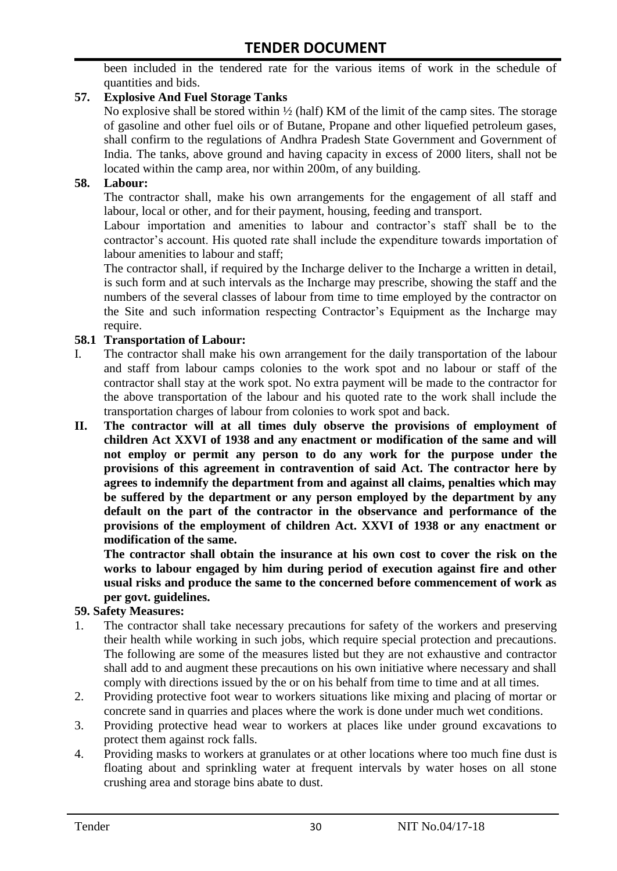been included in the tendered rate for the various items of work in the schedule of quantities and bids.

#### **57. Explosive And Fuel Storage Tanks**

No explosive shall be stored within  $\frac{1}{2}$  (half) KM of the limit of the camp sites. The storage of gasoline and other fuel oils or of Butane, Propane and other liquefied petroleum gases, shall confirm to the regulations of Andhra Pradesh State Government and Government of India. The tanks, above ground and having capacity in excess of 2000 liters, shall not be located within the camp area, nor within 200m, of any building.

#### **58. Labour:**

The contractor shall, make his own arrangements for the engagement of all staff and labour, local or other, and for their payment, housing, feeding and transport.

Labour importation and amenities to labour and contractor's staff shall be to the contractor's account. His quoted rate shall include the expenditure towards importation of labour amenities to labour and staff;

The contractor shall, if required by the Incharge deliver to the Incharge a written in detail, is such form and at such intervals as the Incharge may prescribe, showing the staff and the numbers of the several classes of labour from time to time employed by the contractor on the Site and such information respecting Contractor's Equipment as the Incharge may require.

#### **58.1 Transportation of Labour:**

- I. The contractor shall make his own arrangement for the daily transportation of the labour and staff from labour camps colonies to the work spot and no labour or staff of the contractor shall stay at the work spot. No extra payment will be made to the contractor for the above transportation of the labour and his quoted rate to the work shall include the transportation charges of labour from colonies to work spot and back.
- **II. The contractor will at all times duly observe the provisions of employment of children Act XXVI of 1938 and any enactment or modification of the same and will not employ or permit any person to do any work for the purpose under the provisions of this agreement in contravention of said Act. The contractor here by agrees to indemnify the department from and against all claims, penalties which may be suffered by the department or any person employed by the department by any default on the part of the contractor in the observance and performance of the provisions of the employment of children Act. XXVI of 1938 or any enactment or modification of the same.**

**The contractor shall obtain the insurance at his own cost to cover the risk on the works to labour engaged by him during period of execution against fire and other usual risks and produce the same to the concerned before commencement of work as per govt. guidelines.**

#### **59. Safety Measures:**

- 1. The contractor shall take necessary precautions for safety of the workers and preserving their health while working in such jobs, which require special protection and precautions. The following are some of the measures listed but they are not exhaustive and contractor shall add to and augment these precautions on his own initiative where necessary and shall comply with directions issued by the or on his behalf from time to time and at all times.
- 2. Providing protective foot wear to workers situations like mixing and placing of mortar or concrete sand in quarries and places where the work is done under much wet conditions.
- 3. Providing protective head wear to workers at places like under ground excavations to protect them against rock falls.
- 4. Providing masks to workers at granulates or at other locations where too much fine dust is floating about and sprinkling water at frequent intervals by water hoses on all stone crushing area and storage bins abate to dust.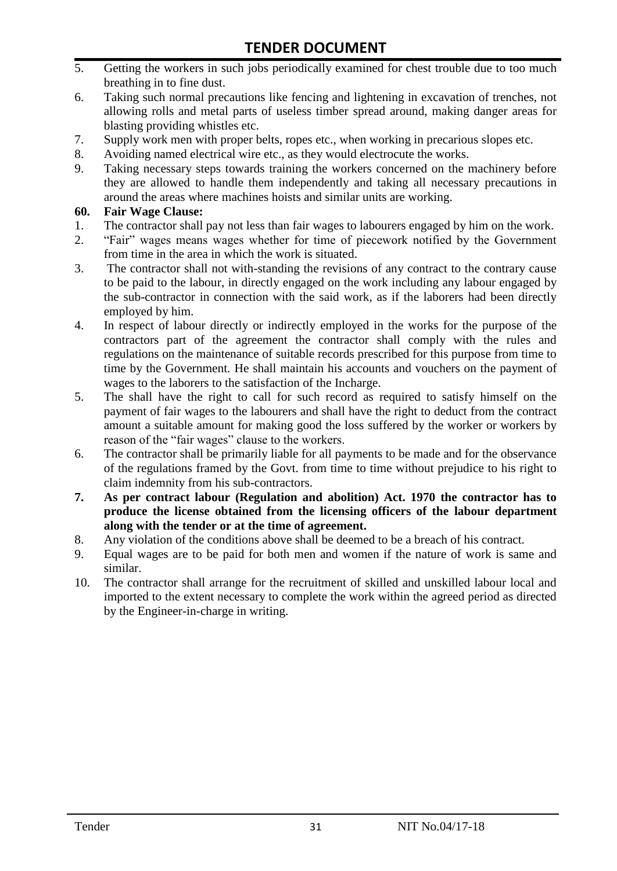- 5. Getting the workers in such jobs periodically examined for chest trouble due to too much breathing in to fine dust.
- 6. Taking such normal precautions like fencing and lightening in excavation of trenches, not allowing rolls and metal parts of useless timber spread around, making danger areas for blasting providing whistles etc.
- 7. Supply work men with proper belts, ropes etc., when working in precarious slopes etc.
- 8. Avoiding named electrical wire etc., as they would electrocute the works.
- 9. Taking necessary steps towards training the workers concerned on the machinery before they are allowed to handle them independently and taking all necessary precautions in around the areas where machines hoists and similar units are working.

#### **60. Fair Wage Clause:**

- 1. The contractor shall pay not less than fair wages to labourers engaged by him on the work.
- 2. "Fair" wages means wages whether for time of piecework notified by the Government from time in the area in which the work is situated.
- 3. The contractor shall not with-standing the revisions of any contract to the contrary cause to be paid to the labour, in directly engaged on the work including any labour engaged by the sub-contractor in connection with the said work, as if the laborers had been directly employed by him.
- 4. In respect of labour directly or indirectly employed in the works for the purpose of the contractors part of the agreement the contractor shall comply with the rules and regulations on the maintenance of suitable records prescribed for this purpose from time to time by the Government. He shall maintain his accounts and vouchers on the payment of wages to the laborers to the satisfaction of the Incharge.
- 5. The shall have the right to call for such record as required to satisfy himself on the payment of fair wages to the labourers and shall have the right to deduct from the contract amount a suitable amount for making good the loss suffered by the worker or workers by reason of the "fair wages" clause to the workers.
- 6. The contractor shall be primarily liable for all payments to be made and for the observance of the regulations framed by the Govt. from time to time without prejudice to his right to claim indemnity from his sub-contractors.
- **7. As per contract labour (Regulation and abolition) Act. 1970 the contractor has to produce the license obtained from the licensing officers of the labour department along with the tender or at the time of agreement.**
- 8. Any violation of the conditions above shall be deemed to be a breach of his contract.
- 9. Equal wages are to be paid for both men and women if the nature of work is same and similar.
- 10. The contractor shall arrange for the recruitment of skilled and unskilled labour local and imported to the extent necessary to complete the work within the agreed period as directed by the Engineer-in-charge in writing.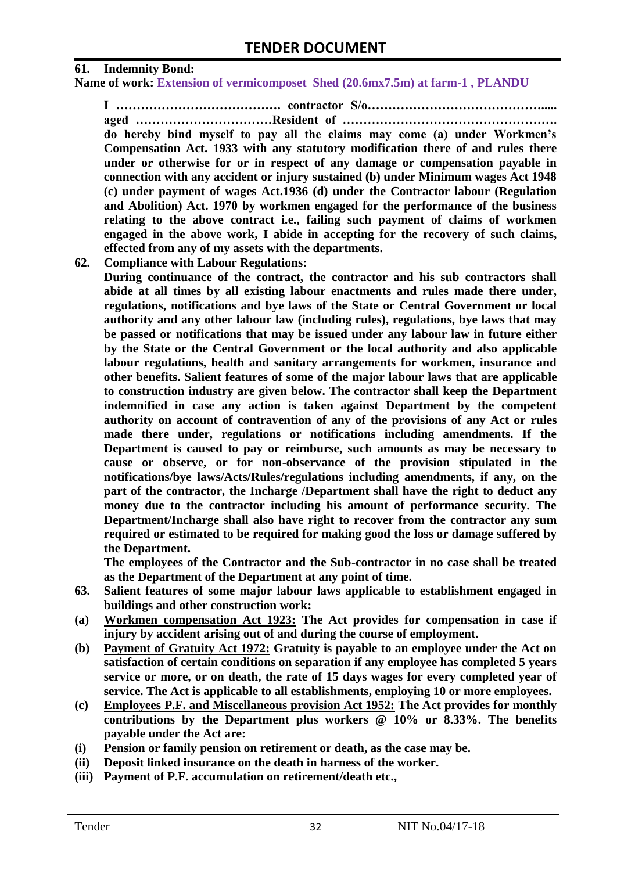#### **61. Indemnity Bond:**

**Name of work: Extension of vermicomposet Shed (20.6mx7.5m) at farm-1 , PLANDU**

**I …………………………………. contractor S/o……………………………………..... aged ……………………………Resident of ……………………………………………. do hereby bind myself to pay all the claims may come (a) under Workmen's Compensation Act. 1933 with any statutory modification there of and rules there under or otherwise for or in respect of any damage or compensation payable in connection with any accident or injury sustained (b) under Minimum wages Act 1948 (c) under payment of wages Act.1936 (d) under the Contractor labour (Regulation and Abolition) Act. 1970 by workmen engaged for the performance of the business relating to the above contract i.e., failing such payment of claims of workmen engaged in the above work, I abide in accepting for the recovery of such claims,** 

**effected from any of my assets with the departments. 62. Compliance with Labour Regulations:**

**During continuance of the contract, the contractor and his sub contractors shall abide at all times by all existing labour enactments and rules made there under, regulations, notifications and bye laws of the State or Central Government or local authority and any other labour law (including rules), regulations, bye laws that may be passed or notifications that may be issued under any labour law in future either by the State or the Central Government or the local authority and also applicable labour regulations, health and sanitary arrangements for workmen, insurance and other benefits. Salient features of some of the major labour laws that are applicable to construction industry are given below. The contractor shall keep the Department indemnified in case any action is taken against Department by the competent authority on account of contravention of any of the provisions of any Act or rules made there under, regulations or notifications including amendments. If the Department is caused to pay or reimburse, such amounts as may be necessary to cause or observe, or for non-observance of the provision stipulated in the notifications/bye laws/Acts/Rules/regulations including amendments, if any, on the part of the contractor, the Incharge /Department shall have the right to deduct any money due to the contractor including his amount of performance security. The Department/Incharge shall also have right to recover from the contractor any sum required or estimated to be required for making good the loss or damage suffered by the Department.**

**The employees of the Contractor and the Sub-contractor in no case shall be treated as the Department of the Department at any point of time.**

- **63. Salient features of some major labour laws applicable to establishment engaged in buildings and other construction work:**
- **(a) Workmen compensation Act 1923: The Act provides for compensation in case if injury by accident arising out of and during the course of employment.**
- **(b) Payment of Gratuity Act 1972: Gratuity is payable to an employee under the Act on satisfaction of certain conditions on separation if any employee has completed 5 years service or more, or on death, the rate of 15 days wages for every completed year of service. The Act is applicable to all establishments, employing 10 or more employees.**
- **(c) Employees P.F. and Miscellaneous provision Act 1952: The Act provides for monthly contributions by the Department plus workers @ 10% or 8.33%. The benefits payable under the Act are:**
- **(i) Pension or family pension on retirement or death, as the case may be.**
- **(ii) Deposit linked insurance on the death in harness of the worker.**
- **(iii) Payment of P.F. accumulation on retirement/death etc.,**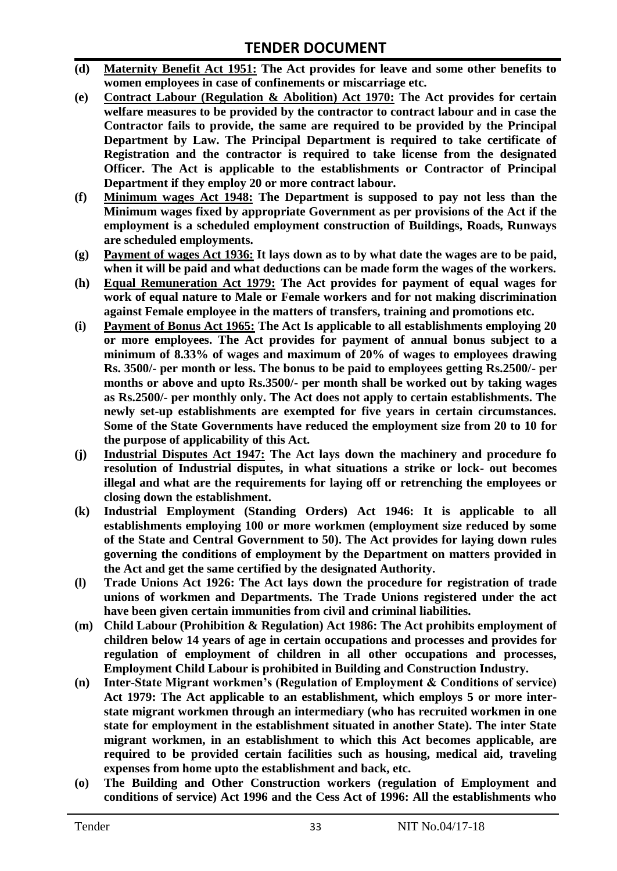- **(d) Maternity Benefit Act 1951: The Act provides for leave and some other benefits to women employees in case of confinements or miscarriage etc.**
- **(e) Contract Labour (Regulation & Abolition) Act 1970: The Act provides for certain welfare measures to be provided by the contractor to contract labour and in case the Contractor fails to provide, the same are required to be provided by the Principal Department by Law. The Principal Department is required to take certificate of Registration and the contractor is required to take license from the designated Officer. The Act is applicable to the establishments or Contractor of Principal Department if they employ 20 or more contract labour.**
- **(f) Minimum wages Act 1948: The Department is supposed to pay not less than the Minimum wages fixed by appropriate Government as per provisions of the Act if the employment is a scheduled employment construction of Buildings, Roads, Runways are scheduled employments.**
- **(g) Payment of wages Act 1936: It lays down as to by what date the wages are to be paid, when it will be paid and what deductions can be made form the wages of the workers.**
- **(h) Equal Remuneration Act 1979: The Act provides for payment of equal wages for work of equal nature to Male or Female workers and for not making discrimination against Female employee in the matters of transfers, training and promotions etc.**
- **(i) Payment of Bonus Act 1965: The Act Is applicable to all establishments employing 20 or more employees. The Act provides for payment of annual bonus subject to a minimum of 8.33% of wages and maximum of 20% of wages to employees drawing Rs. 3500/- per month or less. The bonus to be paid to employees getting Rs.2500/- per months or above and upto Rs.3500/- per month shall be worked out by taking wages as Rs.2500/- per monthly only. The Act does not apply to certain establishments. The newly set-up establishments are exempted for five years in certain circumstances. Some of the State Governments have reduced the employment size from 20 to 10 for the purpose of applicability of this Act.**
- **(j) Industrial Disputes Act 1947: The Act lays down the machinery and procedure fo resolution of Industrial disputes, in what situations a strike or lock- out becomes illegal and what are the requirements for laying off or retrenching the employees or closing down the establishment.**
- **(k) Industrial Employment (Standing Orders) Act 1946: It is applicable to all establishments employing 100 or more workmen (employment size reduced by some of the State and Central Government to 50). The Act provides for laying down rules governing the conditions of employment by the Department on matters provided in the Act and get the same certified by the designated Authority.**
- **(l) Trade Unions Act 1926: The Act lays down the procedure for registration of trade unions of workmen and Departments. The Trade Unions registered under the act have been given certain immunities from civil and criminal liabilities.**
- **(m) Child Labour (Prohibition & Regulation) Act 1986: The Act prohibits employment of children below 14 years of age in certain occupations and processes and provides for regulation of employment of children in all other occupations and processes, Employment Child Labour is prohibited in Building and Construction Industry.**
- **(n) Inter-State Migrant workmen's (Regulation of Employment & Conditions of service) Act 1979: The Act applicable to an establishment, which employs 5 or more interstate migrant workmen through an intermediary (who has recruited workmen in one state for employment in the establishment situated in another State). The inter State migrant workmen, in an establishment to which this Act becomes applicable, are required to be provided certain facilities such as housing, medical aid, traveling expenses from home upto the establishment and back, etc.**
- **(o) The Building and Other Construction workers (regulation of Employment and conditions of service) Act 1996 and the Cess Act of 1996: All the establishments who**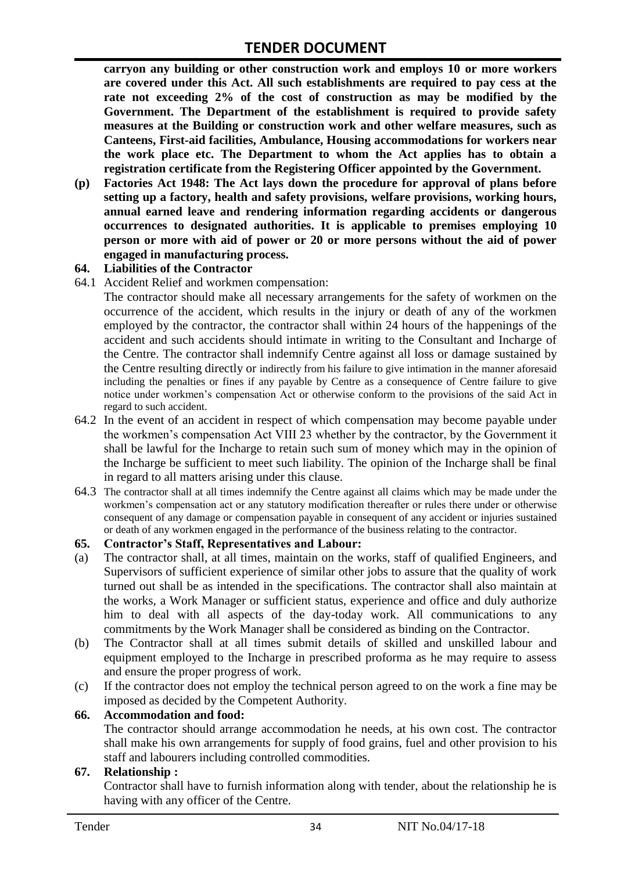**carryon any building or other construction work and employs 10 or more workers are covered under this Act. All such establishments are required to pay cess at the rate not exceeding 2% of the cost of construction as may be modified by the Government. The Department of the establishment is required to provide safety measures at the Building or construction work and other welfare measures, such as Canteens, First-aid facilities, Ambulance, Housing accommodations for workers near the work place etc. The Department to whom the Act applies has to obtain a registration certificate from the Registering Officer appointed by the Government.**

**(p) Factories Act 1948: The Act lays down the procedure for approval of plans before setting up a factory, health and safety provisions, welfare provisions, working hours, annual earned leave and rendering information regarding accidents or dangerous occurrences to designated authorities. It is applicable to premises employing 10 person or more with aid of power or 20 or more persons without the aid of power engaged in manufacturing process.**

#### **64. Liabilities of the Contractor**

64.1 Accident Relief and workmen compensation:

The contractor should make all necessary arrangements for the safety of workmen on the occurrence of the accident, which results in the injury or death of any of the workmen employed by the contractor, the contractor shall within 24 hours of the happenings of the accident and such accidents should intimate in writing to the Consultant and Incharge of the Centre. The contractor shall indemnify Centre against all loss or damage sustained by the Centre resulting directly or indirectly from his failure to give intimation in the manner aforesaid including the penalties or fines if any payable by Centre as a consequence of Centre failure to give notice under workmen's compensation Act or otherwise conform to the provisions of the said Act in regard to such accident.

- 64.2 In the event of an accident in respect of which compensation may become payable under the workmen's compensation Act VIII 23 whether by the contractor, by the Government it shall be lawful for the Incharge to retain such sum of money which may in the opinion of the Incharge be sufficient to meet such liability. The opinion of the Incharge shall be final in regard to all matters arising under this clause.
- 64.3 The contractor shall at all times indemnify the Centre against all claims which may be made under the workmen's compensation act or any statutory modification thereafter or rules there under or otherwise consequent of any damage or compensation payable in consequent of any accident or injuries sustained or death of any workmen engaged in the performance of the business relating to the contractor.

#### **65. Contractor's Staff, Representatives and Labour:**

- (a) The contractor shall, at all times, maintain on the works, staff of qualified Engineers, and Supervisors of sufficient experience of similar other jobs to assure that the quality of work turned out shall be as intended in the specifications. The contractor shall also maintain at the works, a Work Manager or sufficient status, experience and office and duly authorize him to deal with all aspects of the day-today work. All communications to any commitments by the Work Manager shall be considered as binding on the Contractor.
- (b) The Contractor shall at all times submit details of skilled and unskilled labour and equipment employed to the Incharge in prescribed proforma as he may require to assess and ensure the proper progress of work.
- (c) If the contractor does not employ the technical person agreed to on the work a fine may be imposed as decided by the Competent Authority.

#### **66. Accommodation and food:**

The contractor should arrange accommodation he needs, at his own cost. The contractor shall make his own arrangements for supply of food grains, fuel and other provision to his staff and labourers including controlled commodities.

#### **67. Relationship :**

Contractor shall have to furnish information along with tender, about the relationship he is having with any officer of the Centre.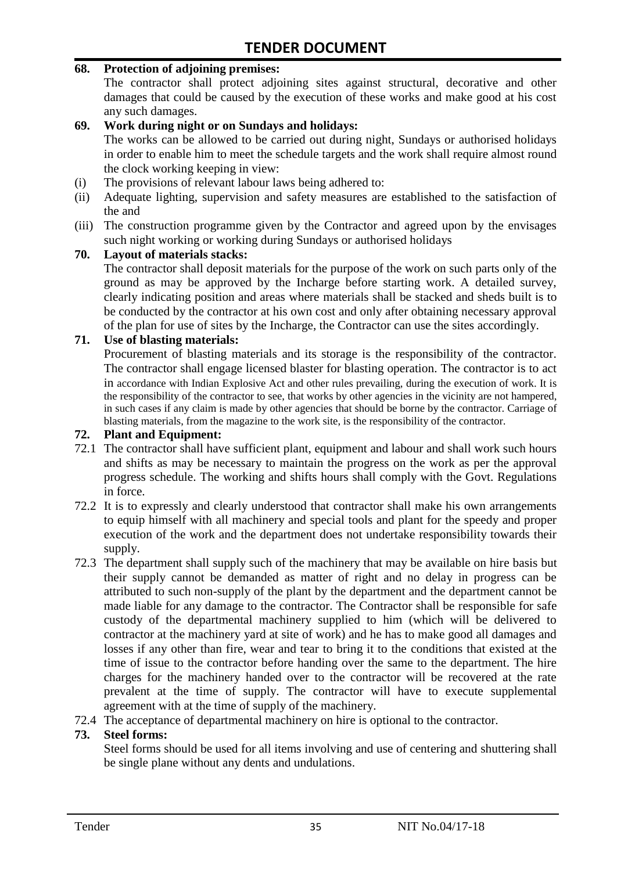#### **68. Protection of adjoining premises:**

The contractor shall protect adjoining sites against structural, decorative and other damages that could be caused by the execution of these works and make good at his cost any such damages.

#### **69. Work during night or on Sundays and holidays:**

The works can be allowed to be carried out during night, Sundays or authorised holidays in order to enable him to meet the schedule targets and the work shall require almost round the clock working keeping in view:

- (i) The provisions of relevant labour laws being adhered to:
- (ii) Adequate lighting, supervision and safety measures are established to the satisfaction of the and
- (iii) The construction programme given by the Contractor and agreed upon by the envisages such night working or working during Sundays or authorised holidays

#### **70. Layout of materials stacks:**

The contractor shall deposit materials for the purpose of the work on such parts only of the ground as may be approved by the Incharge before starting work. A detailed survey, clearly indicating position and areas where materials shall be stacked and sheds built is to be conducted by the contractor at his own cost and only after obtaining necessary approval of the plan for use of sites by the Incharge, the Contractor can use the sites accordingly.

#### **71. Use of blasting materials:**

Procurement of blasting materials and its storage is the responsibility of the contractor. The contractor shall engage licensed blaster for blasting operation. The contractor is to act in accordance with Indian Explosive Act and other rules prevailing, during the execution of work. It is the responsibility of the contractor to see, that works by other agencies in the vicinity are not hampered, in such cases if any claim is made by other agencies that should be borne by the contractor. Carriage of blasting materials, from the magazine to the work site, is the responsibility of the contractor.

#### **72. Plant and Equipment:**

- 72.1 The contractor shall have sufficient plant, equipment and labour and shall work such hours and shifts as may be necessary to maintain the progress on the work as per the approval progress schedule. The working and shifts hours shall comply with the Govt. Regulations in force.
- 72.2 It is to expressly and clearly understood that contractor shall make his own arrangements to equip himself with all machinery and special tools and plant for the speedy and proper execution of the work and the department does not undertake responsibility towards their supply.
- 72.3 The department shall supply such of the machinery that may be available on hire basis but their supply cannot be demanded as matter of right and no delay in progress can be attributed to such non-supply of the plant by the department and the department cannot be made liable for any damage to the contractor. The Contractor shall be responsible for safe custody of the departmental machinery supplied to him (which will be delivered to contractor at the machinery yard at site of work) and he has to make good all damages and losses if any other than fire, wear and tear to bring it to the conditions that existed at the time of issue to the contractor before handing over the same to the department. The hire charges for the machinery handed over to the contractor will be recovered at the rate prevalent at the time of supply. The contractor will have to execute supplemental agreement with at the time of supply of the machinery.
- 72.4 The acceptance of departmental machinery on hire is optional to the contractor.

#### **73. Steel forms:**

Steel forms should be used for all items involving and use of centering and shuttering shall be single plane without any dents and undulations.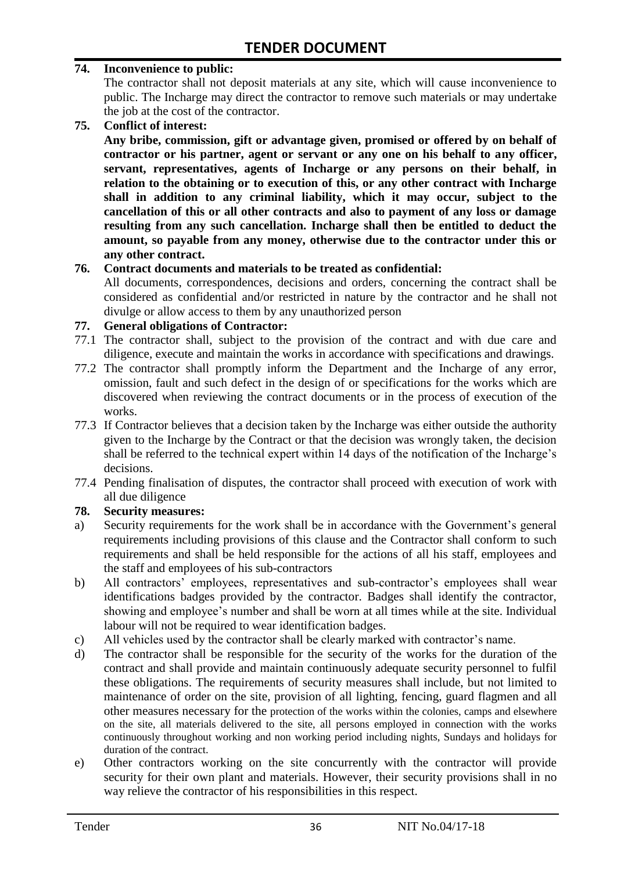#### **74. Inconvenience to public:**

The contractor shall not deposit materials at any site, which will cause inconvenience to public. The Incharge may direct the contractor to remove such materials or may undertake the job at the cost of the contractor.

**75. Conflict of interest:**

**Any bribe, commission, gift or advantage given, promised or offered by on behalf of contractor or his partner, agent or servant or any one on his behalf to any officer, servant, representatives, agents of Incharge or any persons on their behalf, in relation to the obtaining or to execution of this, or any other contract with Incharge shall in addition to any criminal liability, which it may occur, subject to the cancellation of this or all other contracts and also to payment of any loss or damage resulting from any such cancellation. Incharge shall then be entitled to deduct the amount, so payable from any money, otherwise due to the contractor under this or any other contract.**

#### **76. Contract documents and materials to be treated as confidential:**

All documents, correspondences, decisions and orders, concerning the contract shall be considered as confidential and/or restricted in nature by the contractor and he shall not divulge or allow access to them by any unauthorized person

#### **77. General obligations of Contractor:**

- 77.1 The contractor shall, subject to the provision of the contract and with due care and diligence, execute and maintain the works in accordance with specifications and drawings.
- 77.2 The contractor shall promptly inform the Department and the Incharge of any error, omission, fault and such defect in the design of or specifications for the works which are discovered when reviewing the contract documents or in the process of execution of the works.
- 77.3 If Contractor believes that a decision taken by the Incharge was either outside the authority given to the Incharge by the Contract or that the decision was wrongly taken, the decision shall be referred to the technical expert within 14 days of the notification of the Incharge's decisions.
- 77.4 Pending finalisation of disputes, the contractor shall proceed with execution of work with all due diligence

#### **78. Security measures:**

- a) Security requirements for the work shall be in accordance with the Government's general requirements including provisions of this clause and the Contractor shall conform to such requirements and shall be held responsible for the actions of all his staff, employees and the staff and employees of his sub-contractors
- b) All contractors' employees, representatives and sub-contractor's employees shall wear identifications badges provided by the contractor. Badges shall identify the contractor, showing and employee's number and shall be worn at all times while at the site. Individual labour will not be required to wear identification badges.
- c) All vehicles used by the contractor shall be clearly marked with contractor's name.
- d) The contractor shall be responsible for the security of the works for the duration of the contract and shall provide and maintain continuously adequate security personnel to fulfil these obligations. The requirements of security measures shall include, but not limited to maintenance of order on the site, provision of all lighting, fencing, guard flagmen and all other measures necessary for the protection of the works within the colonies, camps and elsewhere on the site, all materials delivered to the site, all persons employed in connection with the works continuously throughout working and non working period including nights, Sundays and holidays for duration of the contract.
- e) Other contractors working on the site concurrently with the contractor will provide security for their own plant and materials. However, their security provisions shall in no way relieve the contractor of his responsibilities in this respect.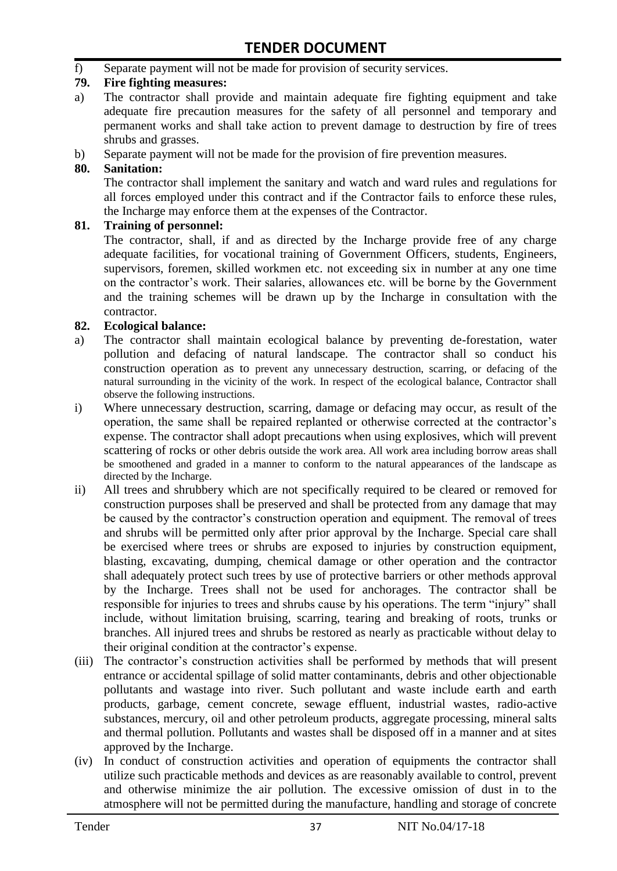f) Separate payment will not be made for provision of security services.

#### **79. Fire fighting measures:**

- a) The contractor shall provide and maintain adequate fire fighting equipment and take adequate fire precaution measures for the safety of all personnel and temporary and permanent works and shall take action to prevent damage to destruction by fire of trees shrubs and grasses.
- b) Separate payment will not be made for the provision of fire prevention measures.

#### **80. Sanitation:**

The contractor shall implement the sanitary and watch and ward rules and regulations for all forces employed under this contract and if the Contractor fails to enforce these rules, the Incharge may enforce them at the expenses of the Contractor.

#### **81. Training of personnel:**

The contractor, shall, if and as directed by the Incharge provide free of any charge adequate facilities, for vocational training of Government Officers, students, Engineers, supervisors, foremen, skilled workmen etc. not exceeding six in number at any one time on the contractor's work. Their salaries, allowances etc. will be borne by the Government and the training schemes will be drawn up by the Incharge in consultation with the contractor.

#### **82. Ecological balance:**

- a) The contractor shall maintain ecological balance by preventing de-forestation, water pollution and defacing of natural landscape. The contractor shall so conduct his construction operation as to prevent any unnecessary destruction, scarring, or defacing of the natural surrounding in the vicinity of the work. In respect of the ecological balance, Contractor shall observe the following instructions.
- i) Where unnecessary destruction, scarring, damage or defacing may occur, as result of the operation, the same shall be repaired replanted or otherwise corrected at the contractor's expense. The contractor shall adopt precautions when using explosives, which will prevent scattering of rocks or other debris outside the work area. All work area including borrow areas shall be smoothened and graded in a manner to conform to the natural appearances of the landscape as directed by the Incharge.
- ii) All trees and shrubbery which are not specifically required to be cleared or removed for construction purposes shall be preserved and shall be protected from any damage that may be caused by the contractor's construction operation and equipment. The removal of trees and shrubs will be permitted only after prior approval by the Incharge. Special care shall be exercised where trees or shrubs are exposed to injuries by construction equipment, blasting, excavating, dumping, chemical damage or other operation and the contractor shall adequately protect such trees by use of protective barriers or other methods approval by the Incharge. Trees shall not be used for anchorages. The contractor shall be responsible for injuries to trees and shrubs cause by his operations. The term "injury" shall include, without limitation bruising, scarring, tearing and breaking of roots, trunks or branches. All injured trees and shrubs be restored as nearly as practicable without delay to their original condition at the contractor's expense.
- (iii) The contractor's construction activities shall be performed by methods that will present entrance or accidental spillage of solid matter contaminants, debris and other objectionable pollutants and wastage into river. Such pollutant and waste include earth and earth products, garbage, cement concrete, sewage effluent, industrial wastes, radio-active substances, mercury, oil and other petroleum products, aggregate processing, mineral salts and thermal pollution. Pollutants and wastes shall be disposed off in a manner and at sites approved by the Incharge.
- (iv) In conduct of construction activities and operation of equipments the contractor shall utilize such practicable methods and devices as are reasonably available to control, prevent and otherwise minimize the air pollution. The excessive omission of dust in to the atmosphere will not be permitted during the manufacture, handling and storage of concrete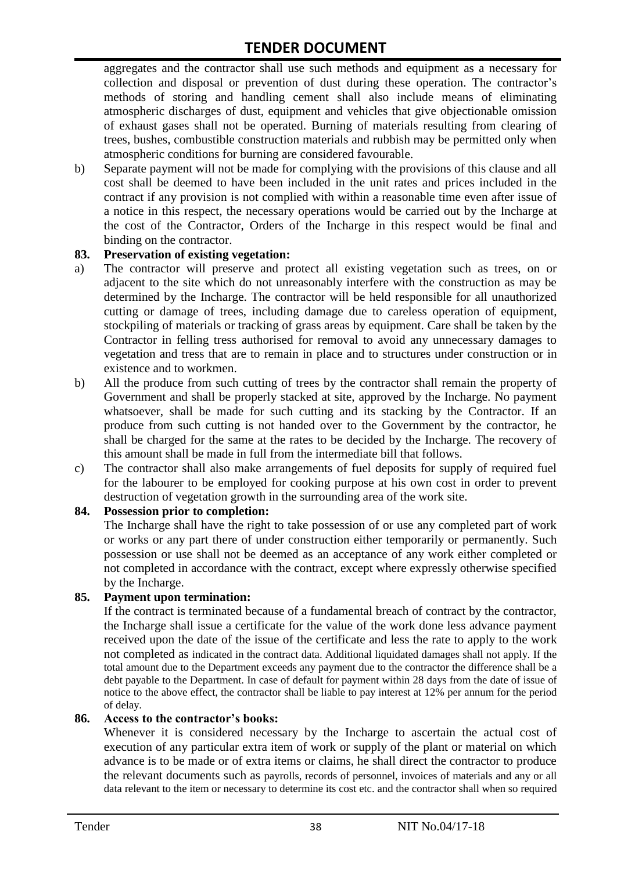aggregates and the contractor shall use such methods and equipment as a necessary for collection and disposal or prevention of dust during these operation. The contractor's methods of storing and handling cement shall also include means of eliminating atmospheric discharges of dust, equipment and vehicles that give objectionable omission of exhaust gases shall not be operated. Burning of materials resulting from clearing of trees, bushes, combustible construction materials and rubbish may be permitted only when atmospheric conditions for burning are considered favourable.

b) Separate payment will not be made for complying with the provisions of this clause and all cost shall be deemed to have been included in the unit rates and prices included in the contract if any provision is not complied with within a reasonable time even after issue of a notice in this respect, the necessary operations would be carried out by the Incharge at the cost of the Contractor, Orders of the Incharge in this respect would be final and binding on the contractor.

#### **83. Preservation of existing vegetation:**

- a) The contractor will preserve and protect all existing vegetation such as trees, on or adjacent to the site which do not unreasonably interfere with the construction as may be determined by the Incharge. The contractor will be held responsible for all unauthorized cutting or damage of trees, including damage due to careless operation of equipment, stockpiling of materials or tracking of grass areas by equipment. Care shall be taken by the Contractor in felling tress authorised for removal to avoid any unnecessary damages to vegetation and tress that are to remain in place and to structures under construction or in existence and to workmen.
- b) All the produce from such cutting of trees by the contractor shall remain the property of Government and shall be properly stacked at site, approved by the Incharge. No payment whatsoever, shall be made for such cutting and its stacking by the Contractor. If an produce from such cutting is not handed over to the Government by the contractor, he shall be charged for the same at the rates to be decided by the Incharge. The recovery of this amount shall be made in full from the intermediate bill that follows.
- c) The contractor shall also make arrangements of fuel deposits for supply of required fuel for the labourer to be employed for cooking purpose at his own cost in order to prevent destruction of vegetation growth in the surrounding area of the work site.

#### **84. Possession prior to completion:**

The Incharge shall have the right to take possession of or use any completed part of work or works or any part there of under construction either temporarily or permanently. Such possession or use shall not be deemed as an acceptance of any work either completed or not completed in accordance with the contract, except where expressly otherwise specified by the Incharge.

#### **85. Payment upon termination:**

If the contract is terminated because of a fundamental breach of contract by the contractor, the Incharge shall issue a certificate for the value of the work done less advance payment received upon the date of the issue of the certificate and less the rate to apply to the work not completed as indicated in the contract data. Additional liquidated damages shall not apply. If the total amount due to the Department exceeds any payment due to the contractor the difference shall be a debt payable to the Department. In case of default for payment within 28 days from the date of issue of notice to the above effect, the contractor shall be liable to pay interest at 12% per annum for the period of delay.

#### **86. Access to the contractor's books:**

Whenever it is considered necessary by the Incharge to ascertain the actual cost of execution of any particular extra item of work or supply of the plant or material on which advance is to be made or of extra items or claims, he shall direct the contractor to produce the relevant documents such as payrolls, records of personnel, invoices of materials and any or all data relevant to the item or necessary to determine its cost etc. and the contractor shall when so required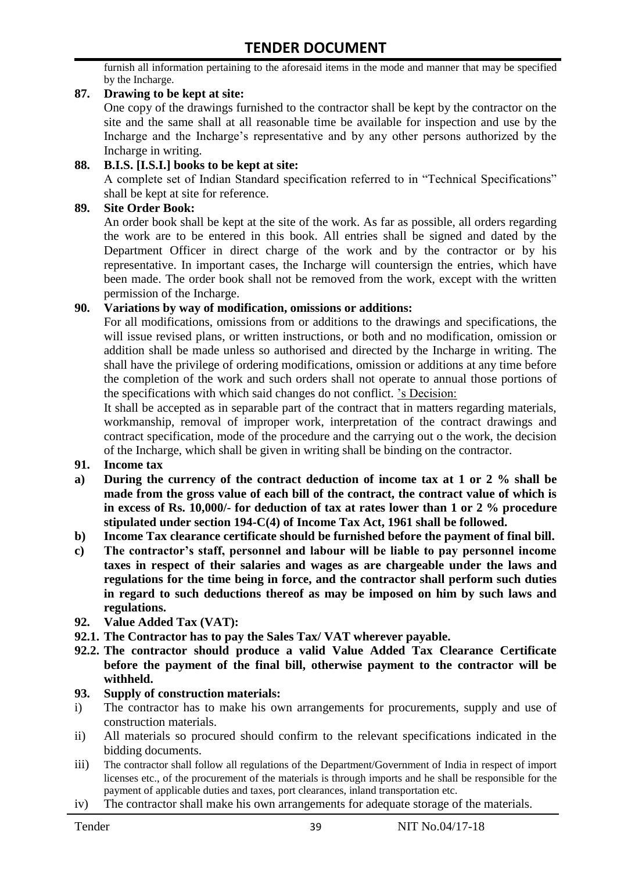furnish all information pertaining to the aforesaid items in the mode and manner that may be specified by the Incharge.

#### **87. Drawing to be kept at site:**

One copy of the drawings furnished to the contractor shall be kept by the contractor on the site and the same shall at all reasonable time be available for inspection and use by the Incharge and the Incharge's representative and by any other persons authorized by the Incharge in writing.

#### **88. B.I.S. [I.S.I.] books to be kept at site:**

A complete set of Indian Standard specification referred to in "Technical Specifications" shall be kept at site for reference.

#### **89. Site Order Book:**

An order book shall be kept at the site of the work. As far as possible, all orders regarding the work are to be entered in this book. All entries shall be signed and dated by the Department Officer in direct charge of the work and by the contractor or by his representative. In important cases, the Incharge will countersign the entries, which have been made. The order book shall not be removed from the work, except with the written permission of the Incharge.

#### **90. Variations by way of modification, omissions or additions:**

For all modifications, omissions from or additions to the drawings and specifications, the will issue revised plans, or written instructions, or both and no modification, omission or addition shall be made unless so authorised and directed by the Incharge in writing. The shall have the privilege of ordering modifications, omission or additions at any time before the completion of the work and such orders shall not operate to annual those portions of the specifications with which said changes do not conflict. 's Decision:

It shall be accepted as in separable part of the contract that in matters regarding materials, workmanship, removal of improper work, interpretation of the contract drawings and contract specification, mode of the procedure and the carrying out o the work, the decision of the Incharge, which shall be given in writing shall be binding on the contractor.

- **91. Income tax**
- **a) During the currency of the contract deduction of income tax at 1 or 2 % shall be made from the gross value of each bill of the contract, the contract value of which is in excess of Rs. 10,000/- for deduction of tax at rates lower than 1 or 2 % procedure stipulated under section 194-C(4) of Income Tax Act, 1961 shall be followed.**
- **b) Income Tax clearance certificate should be furnished before the payment of final bill.**
- **c) The contractor's staff, personnel and labour will be liable to pay personnel income taxes in respect of their salaries and wages as are chargeable under the laws and regulations for the time being in force, and the contractor shall perform such duties in regard to such deductions thereof as may be imposed on him by such laws and regulations.**
- **92. Value Added Tax (VAT):**
- **92.1. The Contractor has to pay the Sales Tax/ VAT wherever payable.**
- **92.2. The contractor should produce a valid Value Added Tax Clearance Certificate before the payment of the final bill, otherwise payment to the contractor will be withheld.**

#### **93. Supply of construction materials:**

- i) The contractor has to make his own arrangements for procurements, supply and use of construction materials.
- ii) All materials so procured should confirm to the relevant specifications indicated in the bidding documents.
- iii) The contractor shall follow all regulations of the Department/Government of India in respect of import licenses etc., of the procurement of the materials is through imports and he shall be responsible for the payment of applicable duties and taxes, port clearances, inland transportation etc.
- iv) The contractor shall make his own arrangements for adequate storage of the materials.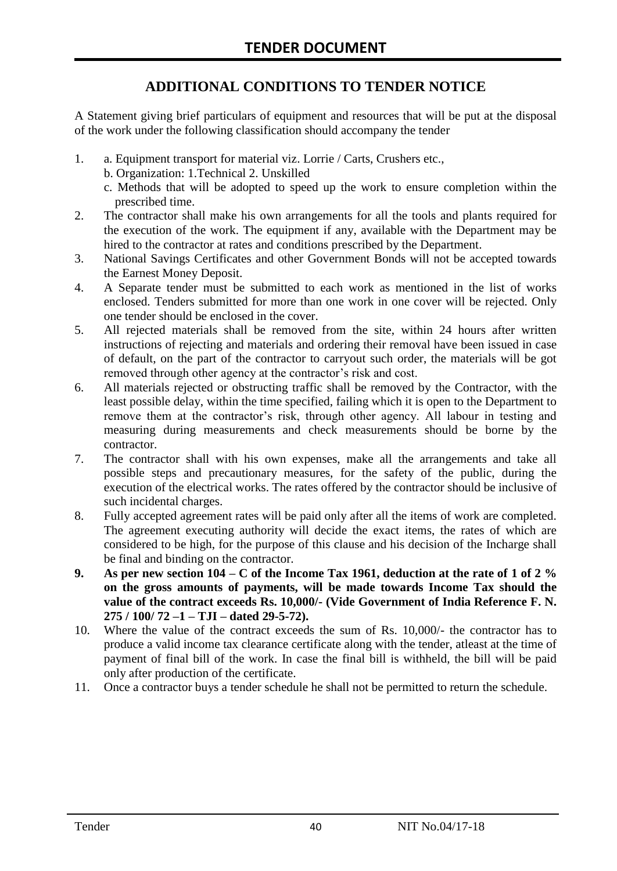## **ADDITIONAL CONDITIONS TO TENDER NOTICE**

A Statement giving brief particulars of equipment and resources that will be put at the disposal of the work under the following classification should accompany the tender

- 1. a. Equipment transport for material viz. Lorrie / Carts, Crushers etc.,
	- b. Organization: 1.Technical 2. Unskilled
	- c. Methods that will be adopted to speed up the work to ensure completion within the prescribed time.
- 2. The contractor shall make his own arrangements for all the tools and plants required for the execution of the work. The equipment if any, available with the Department may be hired to the contractor at rates and conditions prescribed by the Department.
- 3. National Savings Certificates and other Government Bonds will not be accepted towards the Earnest Money Deposit.
- 4. A Separate tender must be submitted to each work as mentioned in the list of works enclosed. Tenders submitted for more than one work in one cover will be rejected. Only one tender should be enclosed in the cover.
- 5. All rejected materials shall be removed from the site, within 24 hours after written instructions of rejecting and materials and ordering their removal have been issued in case of default, on the part of the contractor to carryout such order, the materials will be got removed through other agency at the contractor's risk and cost.
- 6. All materials rejected or obstructing traffic shall be removed by the Contractor, with the least possible delay, within the time specified, failing which it is open to the Department to remove them at the contractor's risk, through other agency. All labour in testing and measuring during measurements and check measurements should be borne by the contractor.
- 7. The contractor shall with his own expenses, make all the arrangements and take all possible steps and precautionary measures, for the safety of the public, during the execution of the electrical works. The rates offered by the contractor should be inclusive of such incidental charges.
- 8. Fully accepted agreement rates will be paid only after all the items of work are completed. The agreement executing authority will decide the exact items, the rates of which are considered to be high, for the purpose of this clause and his decision of the Incharge shall be final and binding on the contractor.
- **9. As per new section 104 – C of the Income Tax 1961, deduction at the rate of 1 of 2 % on the gross amounts of payments, will be made towards Income Tax should the value of the contract exceeds Rs. 10,000/- (Vide Government of India Reference F. N. 275 / 100/ 72 –1 – TJI – dated 29-5-72).**
- 10. Where the value of the contract exceeds the sum of Rs. 10,000/- the contractor has to produce a valid income tax clearance certificate along with the tender, atleast at the time of payment of final bill of the work. In case the final bill is withheld, the bill will be paid only after production of the certificate.
- 11. Once a contractor buys a tender schedule he shall not be permitted to return the schedule.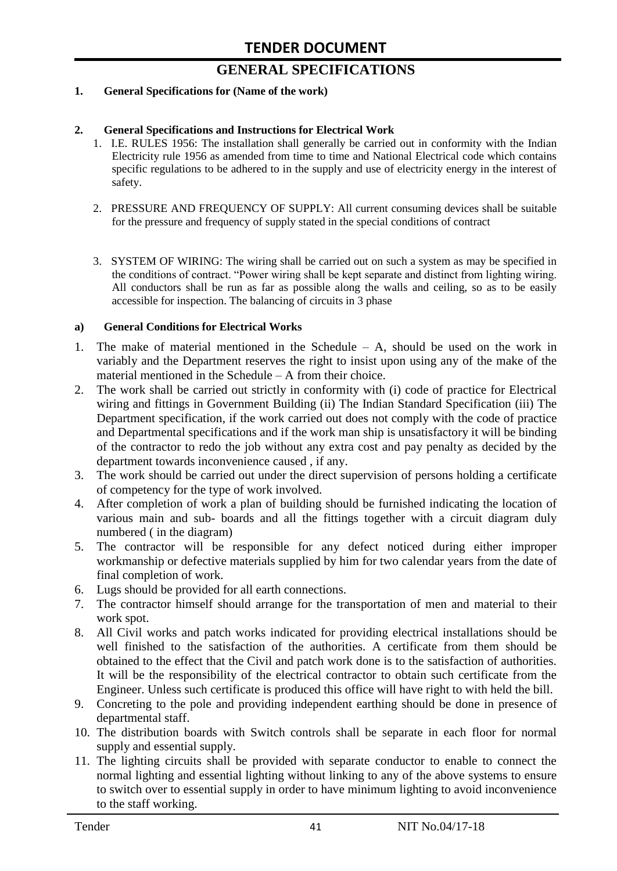# **GENERAL SPECIFICATIONS**

#### **1. General Specifications for (Name of the work)**

#### **2. General Specifications and Instructions for Electrical Work**

- 1. I.E. RULES 1956: The installation shall generally be carried out in conformity with the Indian Electricity rule 1956 as amended from time to time and National Electrical code which contains specific regulations to be adhered to in the supply and use of electricity energy in the interest of safety.
- 2. PRESSURE AND FREQUENCY OF SUPPLY: All current consuming devices shall be suitable for the pressure and frequency of supply stated in the special conditions of contract
- 3. SYSTEM OF WIRING: The wiring shall be carried out on such a system as may be specified in the conditions of contract. "Power wiring shall be kept separate and distinct from lighting wiring. All conductors shall be run as far as possible along the walls and ceiling, so as to be easily accessible for inspection. The balancing of circuits in 3 phase

#### **a) General Conditions for Electrical Works**

- 1. The make of material mentioned in the Schedule A, should be used on the work in variably and the Department reserves the right to insist upon using any of the make of the material mentioned in the Schedule – A from their choice.
- 2. The work shall be carried out strictly in conformity with (i) code of practice for Electrical wiring and fittings in Government Building (ii) The Indian Standard Specification (iii) The Department specification, if the work carried out does not comply with the code of practice and Departmental specifications and if the work man ship is unsatisfactory it will be binding of the contractor to redo the job without any extra cost and pay penalty as decided by the department towards inconvenience caused , if any.
- 3. The work should be carried out under the direct supervision of persons holding a certificate of competency for the type of work involved.
- 4. After completion of work a plan of building should be furnished indicating the location of various main and sub- boards and all the fittings together with a circuit diagram duly numbered ( in the diagram)
- 5. The contractor will be responsible for any defect noticed during either improper workmanship or defective materials supplied by him for two calendar years from the date of final completion of work.
- 6. Lugs should be provided for all earth connections.
- 7. The contractor himself should arrange for the transportation of men and material to their work spot.
- 8. All Civil works and patch works indicated for providing electrical installations should be well finished to the satisfaction of the authorities. A certificate from them should be obtained to the effect that the Civil and patch work done is to the satisfaction of authorities. It will be the responsibility of the electrical contractor to obtain such certificate from the Engineer. Unless such certificate is produced this office will have right to with held the bill.
- 9. Concreting to the pole and providing independent earthing should be done in presence of departmental staff.
- 10. The distribution boards with Switch controls shall be separate in each floor for normal supply and essential supply.
- 11. The lighting circuits shall be provided with separate conductor to enable to connect the normal lighting and essential lighting without linking to any of the above systems to ensure to switch over to essential supply in order to have minimum lighting to avoid inconvenience to the staff working.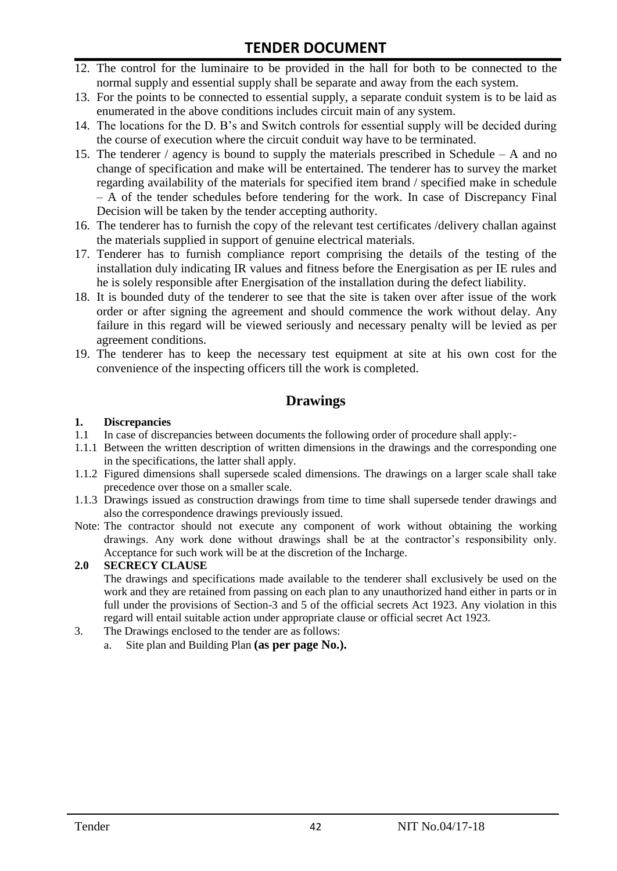- 12. The control for the luminaire to be provided in the hall for both to be connected to the normal supply and essential supply shall be separate and away from the each system.
- 13. For the points to be connected to essential supply, a separate conduit system is to be laid as enumerated in the above conditions includes circuit main of any system.
- 14. The locations for the D. B's and Switch controls for essential supply will be decided during the course of execution where the circuit conduit way have to be terminated.
- 15. The tenderer / agency is bound to supply the materials prescribed in Schedule A and no change of specification and make will be entertained. The tenderer has to survey the market regarding availability of the materials for specified item brand / specified make in schedule – A of the tender schedules before tendering for the work. In case of Discrepancy Final Decision will be taken by the tender accepting authority.
- 16. The tenderer has to furnish the copy of the relevant test certificates /delivery challan against the materials supplied in support of genuine electrical materials.
- 17. Tenderer has to furnish compliance report comprising the details of the testing of the installation duly indicating IR values and fitness before the Energisation as per IE rules and he is solely responsible after Energisation of the installation during the defect liability.
- 18. It is bounded duty of the tenderer to see that the site is taken over after issue of the work order or after signing the agreement and should commence the work without delay. Any failure in this regard will be viewed seriously and necessary penalty will be levied as per agreement conditions.
- 19. The tenderer has to keep the necessary test equipment at site at his own cost for the convenience of the inspecting officers till the work is completed.

### **Drawings**

#### **1. Discrepancies**

- 1.1 In case of discrepancies between documents the following order of procedure shall apply:-
- 1.1.1 Between the written description of written dimensions in the drawings and the corresponding one in the specifications, the latter shall apply.
- 1.1.2 Figured dimensions shall supersede scaled dimensions. The drawings on a larger scale shall take precedence over those on a smaller scale.
- 1.1.3 Drawings issued as construction drawings from time to time shall supersede tender drawings and also the correspondence drawings previously issued.
- Note: The contractor should not execute any component of work without obtaining the working drawings. Any work done without drawings shall be at the contractor's responsibility only. Acceptance for such work will be at the discretion of the Incharge.

#### **2.0 SECRECY CLAUSE**

The drawings and specifications made available to the tenderer shall exclusively be used on the work and they are retained from passing on each plan to any unauthorized hand either in parts or in full under the provisions of Section-3 and 5 of the official secrets Act 1923. Any violation in this regard will entail suitable action under appropriate clause or official secret Act 1923.

- 3. The Drawings enclosed to the tender are as follows:
	- a. Site plan and Building Plan **(as per page No.).**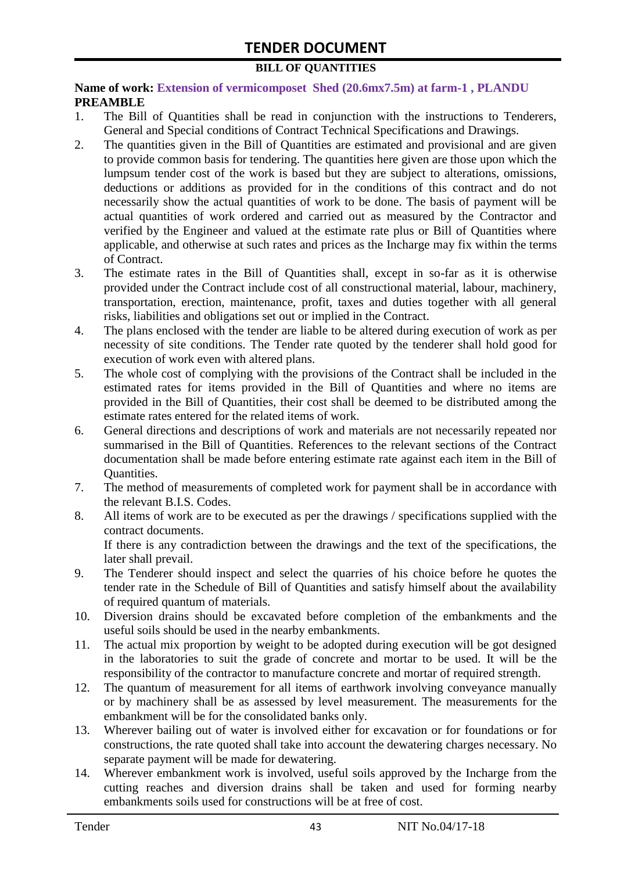#### **BILL OF QUANTITIES**

#### **Name of work: Extension of vermicomposet Shed (20.6mx7.5m) at farm-1 , PLANDU PREAMBLE**

- 1. The Bill of Quantities shall be read in conjunction with the instructions to Tenderers, General and Special conditions of Contract Technical Specifications and Drawings.
- 2. The quantities given in the Bill of Quantities are estimated and provisional and are given to provide common basis for tendering. The quantities here given are those upon which the lumpsum tender cost of the work is based but they are subject to alterations, omissions, deductions or additions as provided for in the conditions of this contract and do not necessarily show the actual quantities of work to be done. The basis of payment will be actual quantities of work ordered and carried out as measured by the Contractor and verified by the Engineer and valued at the estimate rate plus or Bill of Quantities where applicable, and otherwise at such rates and prices as the Incharge may fix within the terms of Contract.
- 3. The estimate rates in the Bill of Quantities shall, except in so-far as it is otherwise provided under the Contract include cost of all constructional material, labour, machinery, transportation, erection, maintenance, profit, taxes and duties together with all general risks, liabilities and obligations set out or implied in the Contract.
- 4. The plans enclosed with the tender are liable to be altered during execution of work as per necessity of site conditions. The Tender rate quoted by the tenderer shall hold good for execution of work even with altered plans.
- 5. The whole cost of complying with the provisions of the Contract shall be included in the estimated rates for items provided in the Bill of Quantities and where no items are provided in the Bill of Quantities, their cost shall be deemed to be distributed among the estimate rates entered for the related items of work.
- 6. General directions and descriptions of work and materials are not necessarily repeated nor summarised in the Bill of Quantities. References to the relevant sections of the Contract documentation shall be made before entering estimate rate against each item in the Bill of Quantities.
- 7. The method of measurements of completed work for payment shall be in accordance with the relevant B.I.S. Codes.
- 8. All items of work are to be executed as per the drawings / specifications supplied with the contract documents. If there is any contradiction between the drawings and the text of the specifications, the

later shall prevail. 9. The Tenderer should inspect and select the quarries of his choice before he quotes the

- tender rate in the Schedule of Bill of Quantities and satisfy himself about the availability of required quantum of materials.
- 10. Diversion drains should be excavated before completion of the embankments and the useful soils should be used in the nearby embankments.
- 11. The actual mix proportion by weight to be adopted during execution will be got designed in the laboratories to suit the grade of concrete and mortar to be used. It will be the responsibility of the contractor to manufacture concrete and mortar of required strength.
- 12. The quantum of measurement for all items of earthwork involving conveyance manually or by machinery shall be as assessed by level measurement. The measurements for the embankment will be for the consolidated banks only.
- 13. Wherever bailing out of water is involved either for excavation or for foundations or for constructions, the rate quoted shall take into account the dewatering charges necessary. No separate payment will be made for dewatering.
- 14. Wherever embankment work is involved, useful soils approved by the Incharge from the cutting reaches and diversion drains shall be taken and used for forming nearby embankments soils used for constructions will be at free of cost.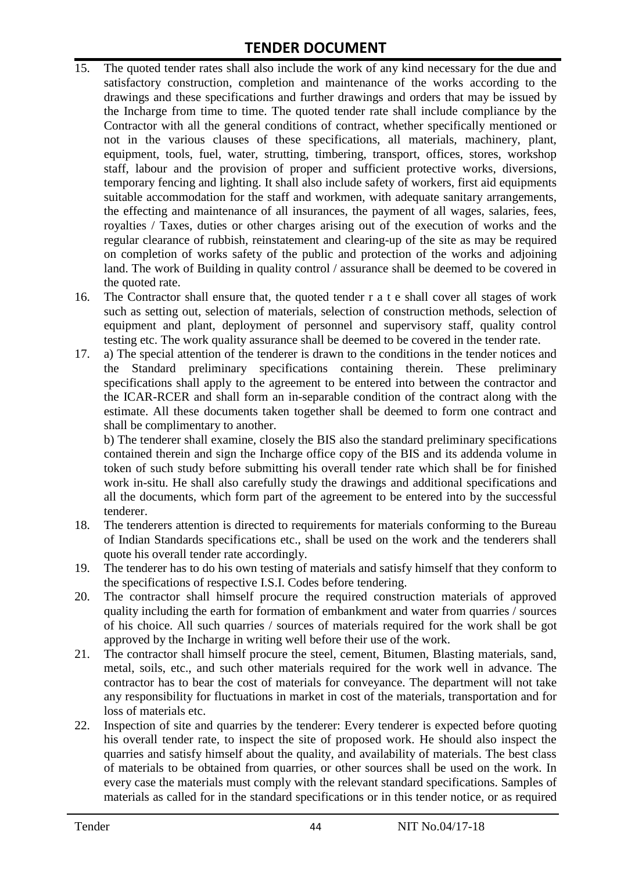- 15. The quoted tender rates shall also include the work of any kind necessary for the due and satisfactory construction, completion and maintenance of the works according to the drawings and these specifications and further drawings and orders that may be issued by the Incharge from time to time. The quoted tender rate shall include compliance by the Contractor with all the general conditions of contract, whether specifically mentioned or not in the various clauses of these specifications, all materials, machinery, plant, equipment, tools, fuel, water, strutting, timbering, transport, offices, stores, workshop staff, labour and the provision of proper and sufficient protective works, diversions, temporary fencing and lighting. It shall also include safety of workers, first aid equipments suitable accommodation for the staff and workmen, with adequate sanitary arrangements, the effecting and maintenance of all insurances, the payment of all wages, salaries, fees, royalties / Taxes, duties or other charges arising out of the execution of works and the regular clearance of rubbish, reinstatement and clearing-up of the site as may be required on completion of works safety of the public and protection of the works and adjoining land. The work of Building in quality control / assurance shall be deemed to be covered in the quoted rate.
- 16. The Contractor shall ensure that, the quoted tender r a t e shall cover all stages of work such as setting out, selection of materials, selection of construction methods, selection of equipment and plant, deployment of personnel and supervisory staff, quality control testing etc. The work quality assurance shall be deemed to be covered in the tender rate.
- 17. a) The special attention of the tenderer is drawn to the conditions in the tender notices and the Standard preliminary specifications containing therein. These preliminary specifications shall apply to the agreement to be entered into between the contractor and the ICAR-RCER and shall form an in-separable condition of the contract along with the estimate. All these documents taken together shall be deemed to form one contract and shall be complimentary to another.

b) The tenderer shall examine, closely the BIS also the standard preliminary specifications contained therein and sign the Incharge office copy of the BIS and its addenda volume in token of such study before submitting his overall tender rate which shall be for finished work in-situ. He shall also carefully study the drawings and additional specifications and all the documents, which form part of the agreement to be entered into by the successful tenderer.

- 18. The tenderers attention is directed to requirements for materials conforming to the Bureau of Indian Standards specifications etc., shall be used on the work and the tenderers shall quote his overall tender rate accordingly.
- 19. The tenderer has to do his own testing of materials and satisfy himself that they conform to the specifications of respective I.S.I. Codes before tendering.
- 20. The contractor shall himself procure the required construction materials of approved quality including the earth for formation of embankment and water from quarries / sources of his choice. All such quarries / sources of materials required for the work shall be got approved by the Incharge in writing well before their use of the work.
- 21. The contractor shall himself procure the steel, cement, Bitumen, Blasting materials, sand, metal, soils, etc., and such other materials required for the work well in advance. The contractor has to bear the cost of materials for conveyance. The department will not take any responsibility for fluctuations in market in cost of the materials, transportation and for loss of materials etc.
- 22. Inspection of site and quarries by the tenderer: Every tenderer is expected before quoting his overall tender rate, to inspect the site of proposed work. He should also inspect the quarries and satisfy himself about the quality, and availability of materials. The best class of materials to be obtained from quarries, or other sources shall be used on the work. In every case the materials must comply with the relevant standard specifications. Samples of materials as called for in the standard specifications or in this tender notice, or as required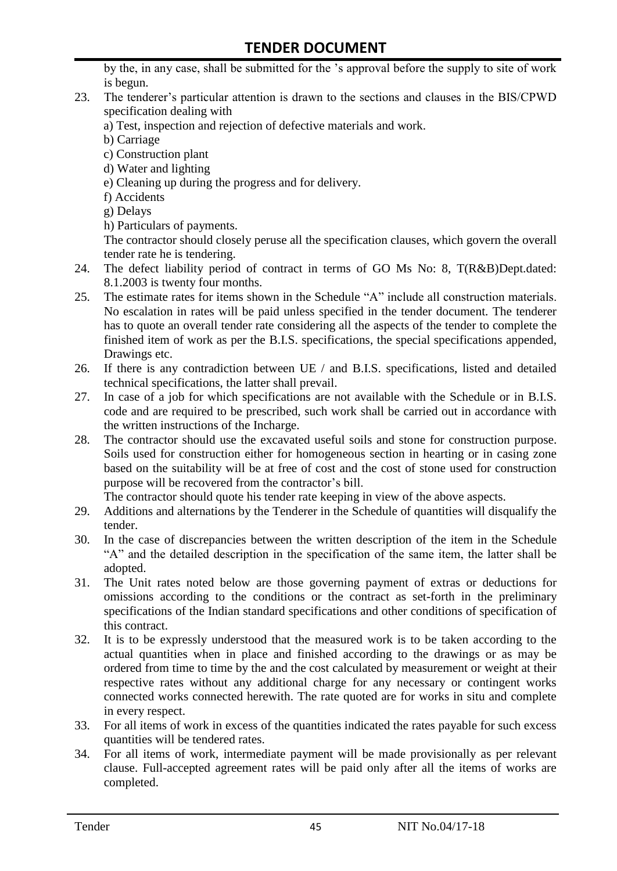by the, in any case, shall be submitted for the 's approval before the supply to site of work is begun.

- 23. The tenderer's particular attention is drawn to the sections and clauses in the BIS/CPWD specification dealing with
	- a) Test, inspection and rejection of defective materials and work.
	- b) Carriage
	- c) Construction plant
	- d) Water and lighting
	- e) Cleaning up during the progress and for delivery.
	- f) Accidents
	- g) Delays
	- h) Particulars of payments.

The contractor should closely peruse all the specification clauses, which govern the overall tender rate he is tendering.

- 24. The defect liability period of contract in terms of GO Ms No: 8, T(R&B)Dept.dated: 8.1.2003 is twenty four months.
- 25. The estimate rates for items shown in the Schedule "A" include all construction materials. No escalation in rates will be paid unless specified in the tender document. The tenderer has to quote an overall tender rate considering all the aspects of the tender to complete the finished item of work as per the B.I.S. specifications, the special specifications appended, Drawings etc.
- 26. If there is any contradiction between UE / and B.I.S. specifications, listed and detailed technical specifications, the latter shall prevail.
- 27. In case of a job for which specifications are not available with the Schedule or in B.I.S. code and are required to be prescribed, such work shall be carried out in accordance with the written instructions of the Incharge.
- 28. The contractor should use the excavated useful soils and stone for construction purpose. Soils used for construction either for homogeneous section in hearting or in casing zone based on the suitability will be at free of cost and the cost of stone used for construction purpose will be recovered from the contractor's bill.

The contractor should quote his tender rate keeping in view of the above aspects.

- 29. Additions and alternations by the Tenderer in the Schedule of quantities will disqualify the tender.
- 30. In the case of discrepancies between the written description of the item in the Schedule "A" and the detailed description in the specification of the same item, the latter shall be adopted.
- 31. The Unit rates noted below are those governing payment of extras or deductions for omissions according to the conditions or the contract as set-forth in the preliminary specifications of the Indian standard specifications and other conditions of specification of this contract.
- 32. It is to be expressly understood that the measured work is to be taken according to the actual quantities when in place and finished according to the drawings or as may be ordered from time to time by the and the cost calculated by measurement or weight at their respective rates without any additional charge for any necessary or contingent works connected works connected herewith. The rate quoted are for works in situ and complete in every respect.
- 33. For all items of work in excess of the quantities indicated the rates payable for such excess quantities will be tendered rates.
- 34. For all items of work, intermediate payment will be made provisionally as per relevant clause. Full-accepted agreement rates will be paid only after all the items of works are completed.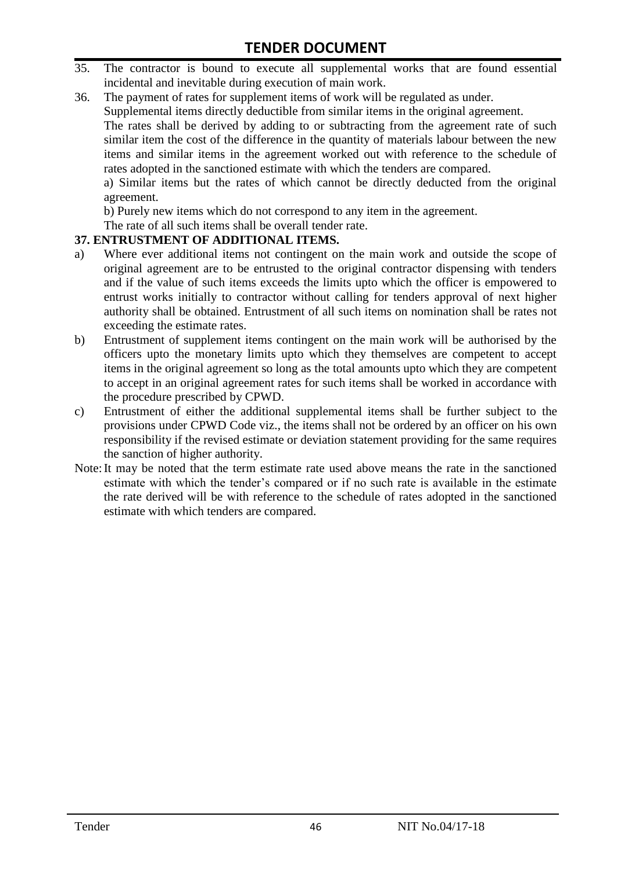- 35. The contractor is bound to execute all supplemental works that are found essential incidental and inevitable during execution of main work.
- 36. The payment of rates for supplement items of work will be regulated as under.

Supplemental items directly deductible from similar items in the original agreement.

The rates shall be derived by adding to or subtracting from the agreement rate of such similar item the cost of the difference in the quantity of materials labour between the new items and similar items in the agreement worked out with reference to the schedule of rates adopted in the sanctioned estimate with which the tenders are compared.

a) Similar items but the rates of which cannot be directly deducted from the original agreement.

b) Purely new items which do not correspond to any item in the agreement.

The rate of all such items shall be overall tender rate.

#### **37. ENTRUSTMENT OF ADDITIONAL ITEMS.**

- a) Where ever additional items not contingent on the main work and outside the scope of original agreement are to be entrusted to the original contractor dispensing with tenders and if the value of such items exceeds the limits upto which the officer is empowered to entrust works initially to contractor without calling for tenders approval of next higher authority shall be obtained. Entrustment of all such items on nomination shall be rates not exceeding the estimate rates.
- b) Entrustment of supplement items contingent on the main work will be authorised by the officers upto the monetary limits upto which they themselves are competent to accept items in the original agreement so long as the total amounts upto which they are competent to accept in an original agreement rates for such items shall be worked in accordance with the procedure prescribed by CPWD.
- c) Entrustment of either the additional supplemental items shall be further subject to the provisions under CPWD Code viz., the items shall not be ordered by an officer on his own responsibility if the revised estimate or deviation statement providing for the same requires the sanction of higher authority.
- Note:It may be noted that the term estimate rate used above means the rate in the sanctioned estimate with which the tender's compared or if no such rate is available in the estimate the rate derived will be with reference to the schedule of rates adopted in the sanctioned estimate with which tenders are compared.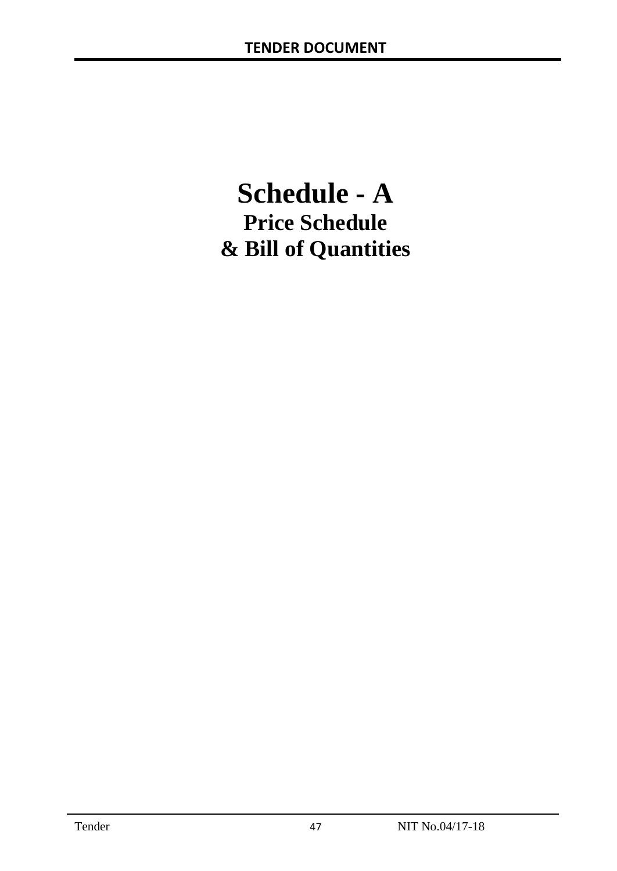# **Schedule - A Price Schedule & Bill of Quantities**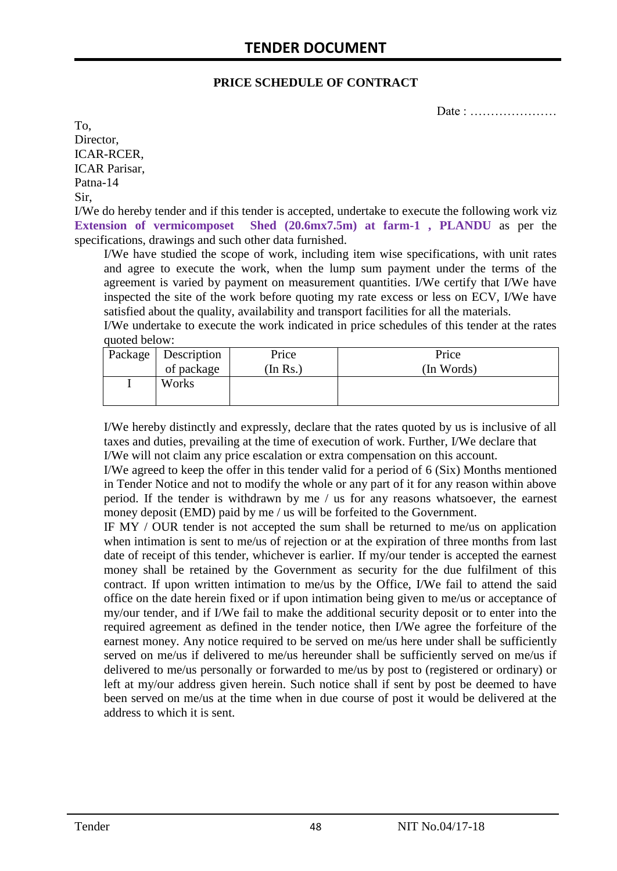#### **PRICE SCHEDULE OF CONTRACT**

Date : …………………

To, Director, ICAR-RCER, ICAR Parisar, Patna-14 Sir,

I/We do hereby tender and if this tender is accepted, undertake to execute the following work viz **Extension of vermicomposet Shed (20.6mx7.5m) at farm-1 , PLANDU** as per the specifications, drawings and such other data furnished.

I/We have studied the scope of work, including item wise specifications, with unit rates and agree to execute the work, when the lump sum payment under the terms of the agreement is varied by payment on measurement quantities. I/We certify that I/We have inspected the site of the work before quoting my rate excess or less on ECV, I/We have satisfied about the quality, availability and transport facilities for all the materials.

I/We undertake to execute the work indicated in price schedules of this tender at the rates quoted below:

| Package   Description | Price    | Price      |
|-----------------------|----------|------------|
| of package            | (In Rs.) | (In Words) |
| Works                 |          |            |
|                       |          |            |

I/We hereby distinctly and expressly, declare that the rates quoted by us is inclusive of all taxes and duties, prevailing at the time of execution of work. Further, I/We declare that I/We will not claim any price escalation or extra compensation on this account.

I/We agreed to keep the offer in this tender valid for a period of 6 (Six) Months mentioned in Tender Notice and not to modify the whole or any part of it for any reason within above period. If the tender is withdrawn by me / us for any reasons whatsoever, the earnest money deposit (EMD) paid by me / us will be forfeited to the Government.

IF MY / OUR tender is not accepted the sum shall be returned to me/us on application when intimation is sent to me/us of rejection or at the expiration of three months from last date of receipt of this tender, whichever is earlier. If my/our tender is accepted the earnest money shall be retained by the Government as security for the due fulfilment of this contract. If upon written intimation to me/us by the Office, I/We fail to attend the said office on the date herein fixed or if upon intimation being given to me/us or acceptance of my/our tender, and if I/We fail to make the additional security deposit or to enter into the required agreement as defined in the tender notice, then I/We agree the forfeiture of the earnest money. Any notice required to be served on me/us here under shall be sufficiently served on me/us if delivered to me/us hereunder shall be sufficiently served on me/us if delivered to me/us personally or forwarded to me/us by post to (registered or ordinary) or left at my/our address given herein. Such notice shall if sent by post be deemed to have been served on me/us at the time when in due course of post it would be delivered at the address to which it is sent.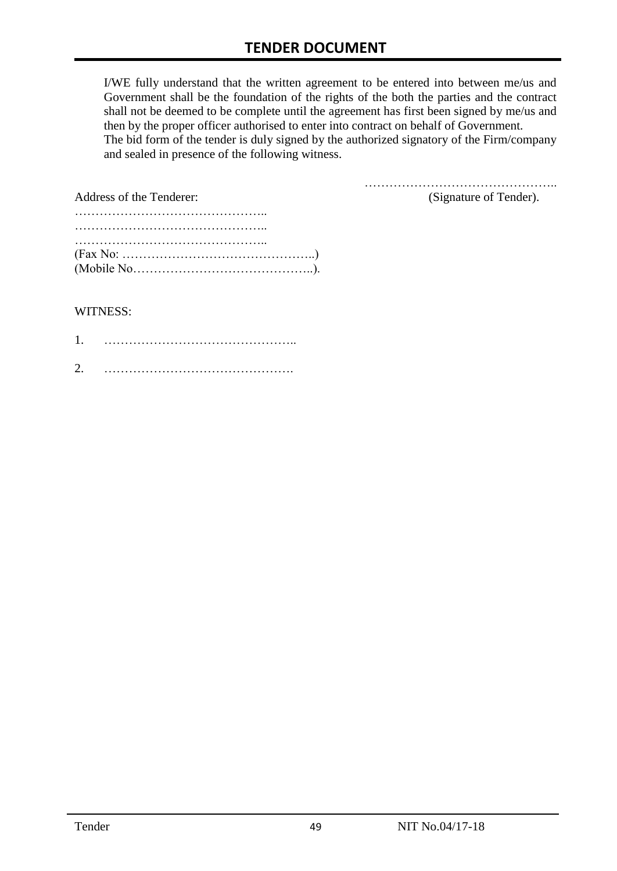I/WE fully understand that the written agreement to be entered into between me/us and Government shall be the foundation of the rights of the both the parties and the contract shall not be deemed to be complete until the agreement has first been signed by me/us and then by the proper officer authorised to enter into contract on behalf of Government. The bid form of the tender is duly signed by the authorized signatory of the Firm/company and sealed in presence of the following witness.

………………………………………..

| Address of the Tenderer:                                                                  | (Signature of Tender). |
|-------------------------------------------------------------------------------------------|------------------------|
|                                                                                           |                        |
| $(Fax No: \dots \dots \dots \dots \dots \dots \dots \dots \dots \dots \dots \dots \dots)$ |                        |

#### WITNESS:

| ◠ |  |
|---|--|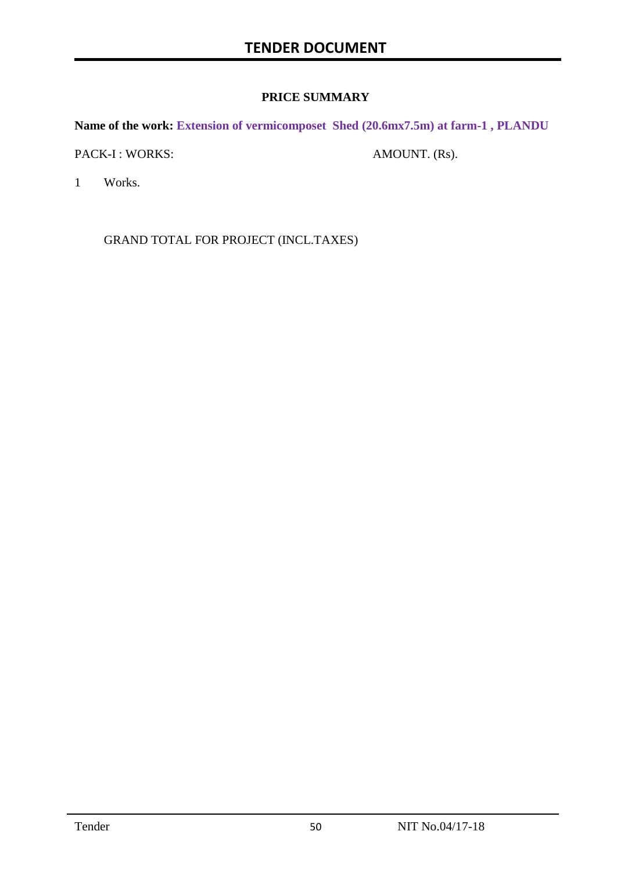#### **PRICE SUMMARY**

**Name of the work: Extension of vermicomposet Shed (20.6mx7.5m) at farm-1 , PLANDU**

PACK-I : WORKS: AMOUNT. (Rs).

1 Works.

GRAND TOTAL FOR PROJECT (INCL.TAXES)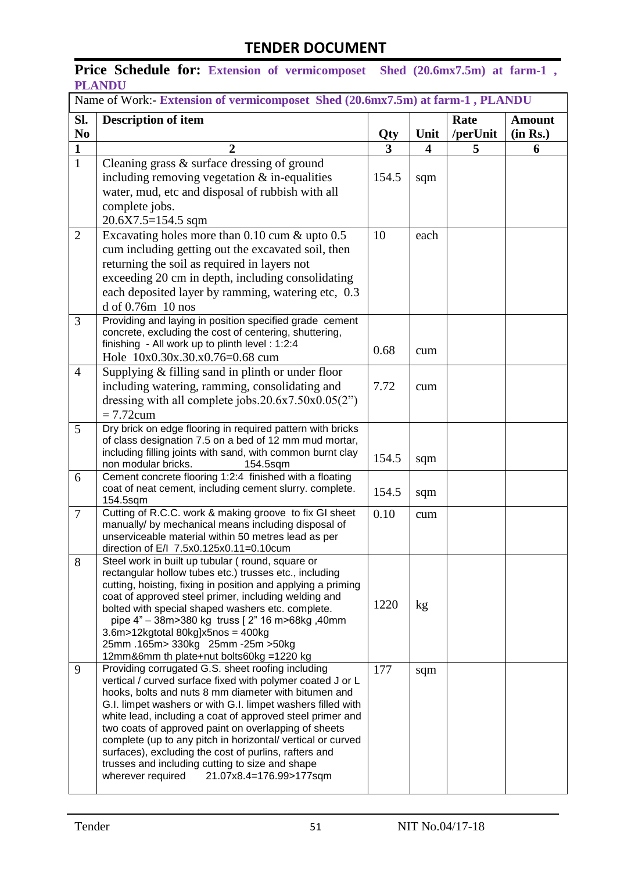Price Schedule for: Extension of vermicomposet Shed (20.6mx7.5m) at farm-1, **PLANDU** 

|                | Name of Work:- Extension of vermicomposet Shed (20.6mx7.5m) at farm-1, PLANDU                                        |       |      |          |               |
|----------------|----------------------------------------------------------------------------------------------------------------------|-------|------|----------|---------------|
| SI.            | <b>Description of item</b>                                                                                           |       |      | Rate     | <b>Amount</b> |
| N <sub>0</sub> |                                                                                                                      | Qty   | Unit | /perUnit | (in Rs.)      |
| $\mathbf{1}$   | $\boldsymbol{2}$                                                                                                     | 3     | 4    | 5        | 6             |
| $\mathbf{1}$   | Cleaning grass & surface dressing of ground<br>including removing vegetation $&$ in-equalities                       | 154.5 | sqm  |          |               |
|                | water, mud, etc and disposal of rubbish with all<br>complete jobs.                                                   |       |      |          |               |
|                | 20.6X7.5=154.5 sqm                                                                                                   |       |      |          |               |
| $\overline{2}$ | Excavating holes more than $0.10$ cum $\&$ upto $0.5$                                                                | 10    | each |          |               |
|                | cum including getting out the excavated soil, then                                                                   |       |      |          |               |
|                | returning the soil as required in layers not                                                                         |       |      |          |               |
|                | exceeding 20 cm in depth, including consolidating                                                                    |       |      |          |               |
|                | each deposited layer by ramming, watering etc, 0.3<br>$d$ of 0.76 $m$ 10 nos                                         |       |      |          |               |
| 3              | Providing and laying in position specified grade cement                                                              |       |      |          |               |
|                | concrete, excluding the cost of centering, shuttering,                                                               |       |      |          |               |
|                | finishing - All work up to plinth level : 1:2:4                                                                      | 0.68  | cum  |          |               |
|                | Hole 10x0.30x.30.x0.76=0.68 cum                                                                                      |       |      |          |               |
| $\overline{4}$ | Supplying $&$ filling sand in plinth or under floor                                                                  |       |      |          |               |
|                | including watering, ramming, consolidating and                                                                       | 7.72  | cum  |          |               |
|                | dressing with all complete jobs.20.6x7.50x0.05(2")                                                                   |       |      |          |               |
|                | $= 7.72$ cum                                                                                                         |       |      |          |               |
| 5              | Dry brick on edge flooring in required pattern with bricks<br>of class designation 7.5 on a bed of 12 mm mud mortar, |       |      |          |               |
|                | including filling joints with sand, with common burnt clay                                                           |       |      |          |               |
|                | non modular bricks.<br>154.5sqm                                                                                      | 154.5 | sqm  |          |               |
| 6              | Cement concrete flooring 1:2:4 finished with a floating                                                              |       |      |          |               |
|                | coat of neat cement, including cement slurry. complete.<br>154.5sqm                                                  | 154.5 | sqm  |          |               |
| 7              | Cutting of R.C.C. work & making groove to fix GI sheet<br>manually/ by mechanical means including disposal of        | 0.10  | cum  |          |               |
|                | unserviceable material within 50 metres lead as per                                                                  |       |      |          |               |
|                | direction of E/I 7.5x0.125x0.11=0.10cum                                                                              |       |      |          |               |
| 8              | Steel work in built up tubular (round, square or<br>rectangular hollow tubes etc.) trusses etc., including           |       |      |          |               |
|                | cutting, hoisting, fixing in position and applying a priming                                                         |       |      |          |               |
|                | coat of approved steel primer, including welding and                                                                 | 1220  |      |          |               |
|                | bolted with special shaped washers etc. complete.<br>pipe 4" - 38m>380 kg truss [2" 16 m>68kg, 40mm                  |       | kg   |          |               |
|                | $3.6m > 12$ kgtotal 80kg]x5nos = 400kg                                                                               |       |      |          |               |
|                | 25mm.165m> 330kg 25mm -25m >50kg                                                                                     |       |      |          |               |
|                | 12mm&6mm th plate+nut bolts60kg =1220 kg                                                                             |       |      |          |               |
| 9              | Providing corrugated G.S. sheet roofing including<br>vertical / curved surface fixed with polymer coated J or L      | 177   | sqm  |          |               |
|                | hooks, bolts and nuts 8 mm diameter with bitumen and                                                                 |       |      |          |               |
|                | G.I. limpet washers or with G.I. limpet washers filled with                                                          |       |      |          |               |
|                | white lead, including a coat of approved steel primer and                                                            |       |      |          |               |
|                | two coats of approved paint on overlapping of sheets                                                                 |       |      |          |               |
|                | complete (up to any pitch in horizontal/ vertical or curved<br>surfaces), excluding the cost of purlins, rafters and |       |      |          |               |
|                | trusses and including cutting to size and shape                                                                      |       |      |          |               |
|                | wherever required<br>21.07x8.4=176.99>177sqm                                                                         |       |      |          |               |
|                |                                                                                                                      |       |      |          |               |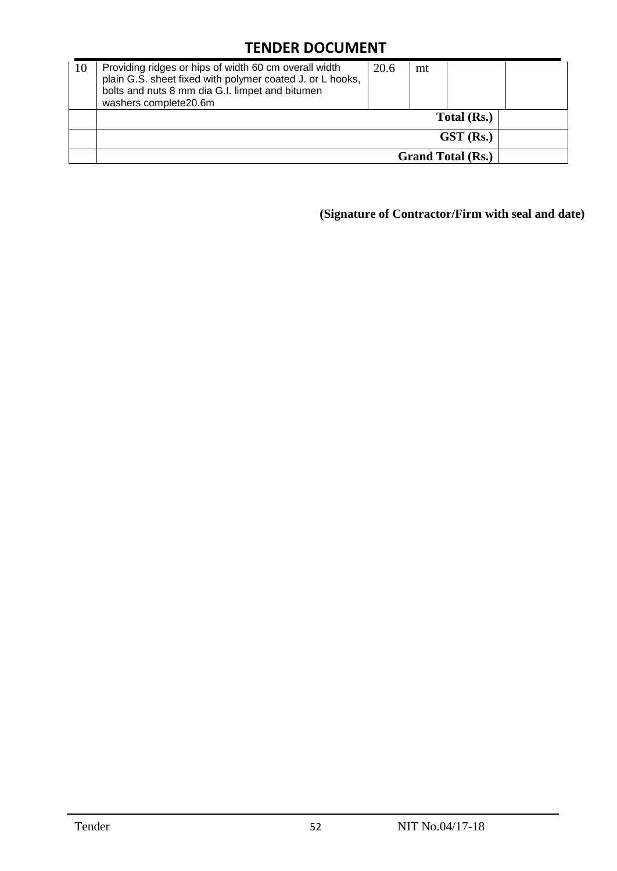| 10 | Providing ridges or hips of width 60 cm overall width<br>plain G.S. sheet fixed with polymer coated J. or L hooks,<br>bolts and nuts 8 mm dia G.I. limpet and bitumen<br>washers complete20.6m | 20.6 | mt |                          |  |
|----|------------------------------------------------------------------------------------------------------------------------------------------------------------------------------------------------|------|----|--------------------------|--|
|    |                                                                                                                                                                                                |      |    | Total (Rs.)              |  |
|    |                                                                                                                                                                                                |      |    | $GST$ (Rs.)              |  |
|    |                                                                                                                                                                                                |      |    | <b>Grand Total (Rs.)</b> |  |

**(Signature of Contractor/Firm with seal and date)**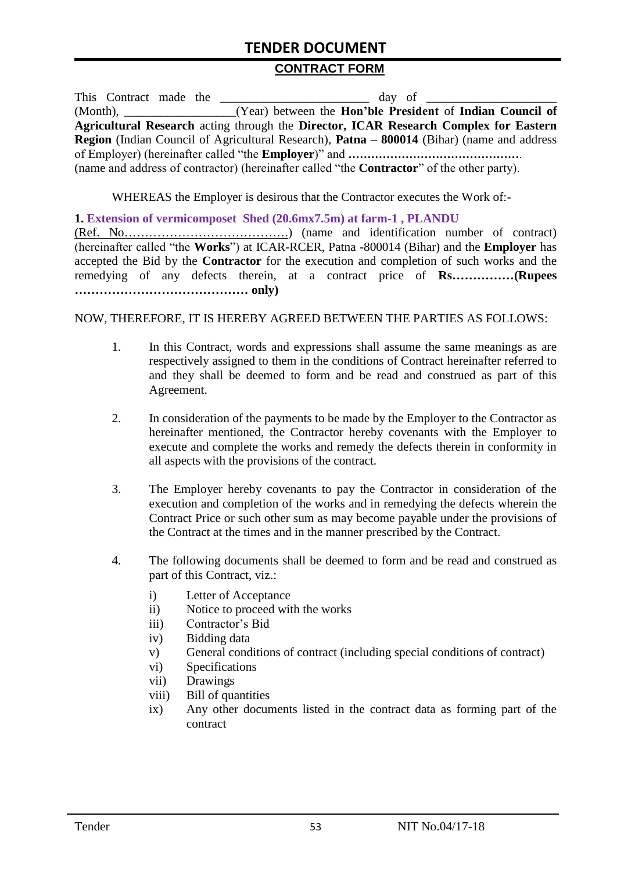#### **CONTRACT FORM**

|                                                                                                          |  |  | This Contract made the<br>day of                                                                   |  |
|----------------------------------------------------------------------------------------------------------|--|--|----------------------------------------------------------------------------------------------------|--|
| $(Month)$ ,                                                                                              |  |  | (Year) between the Hon'ble President of Indian Council of                                          |  |
|                                                                                                          |  |  | Agricultural Research acting through the Director, ICAR Research Complex for Eastern               |  |
| <b>Region</b> (Indian Council of Agricultural Research), <b>Patna – 800014</b> (Bihar) (name and address |  |  |                                                                                                    |  |
|                                                                                                          |  |  |                                                                                                    |  |
|                                                                                                          |  |  | (name and address of contractor) (hereinafter called "the <b>Contractor</b> " of the other party). |  |

WHEREAS the Employer is desirous that the Contractor executes the Work of:-

#### **1. Extension of vermicomposet Shed (20.6mx7.5m) at farm-1 , PLANDU**

(Ref. No………………………………….) (name and identification number of contract) (hereinafter called "the **Works**") at ICAR-RCER, Patna -800014 (Bihar) and the **Employer** has accepted the Bid by the **Contractor** for the execution and completion of such works and the remedying of any defects therein, at a contract price of **Rs……………(Rupees …………………………………… only)**

#### NOW, THEREFORE, IT IS HEREBY AGREED BETWEEN THE PARTIES AS FOLLOWS:

- 1. In this Contract, words and expressions shall assume the same meanings as are respectively assigned to them in the conditions of Contract hereinafter referred to and they shall be deemed to form and be read and construed as part of this Agreement.
- 2. In consideration of the payments to be made by the Employer to the Contractor as hereinafter mentioned, the Contractor hereby covenants with the Employer to execute and complete the works and remedy the defects therein in conformity in all aspects with the provisions of the contract.
- 3. The Employer hereby covenants to pay the Contractor in consideration of the execution and completion of the works and in remedying the defects wherein the Contract Price or such other sum as may become payable under the provisions of the Contract at the times and in the manner prescribed by the Contract.
- 4. The following documents shall be deemed to form and be read and construed as part of this Contract, viz.:
	- i) Letter of Acceptance
	- ii) Notice to proceed with the works
	- iii) Contractor's Bid
	- iv) Bidding data
	- v) General conditions of contract (including special conditions of contract)
	- vi) Specifications
	- vii) Drawings
	- viii) Bill of quantities
	- ix) Any other documents listed in the contract data as forming part of the contract